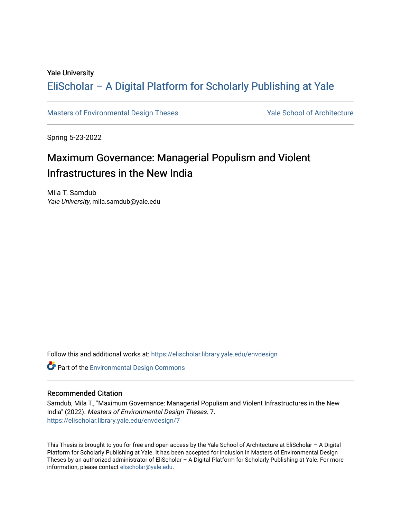#### Yale University

## [EliScholar – A Digital Platform for Scholarly Publishing at Yale](https://elischolar.library.yale.edu/)

[Masters of Environmental Design Theses](https://elischolar.library.yale.edu/envdesign) Yale School of Architecture

Spring 5-23-2022

## Maximum Governance: Managerial Populism and Violent Infrastructures in the New India

Mila T. Samdub Yale University, mila.samdub@yale.edu

Follow this and additional works at: [https://elischolar.library.yale.edu/envdesign](https://elischolar.library.yale.edu/envdesign?utm_source=elischolar.library.yale.edu%2Fenvdesign%2F7&utm_medium=PDF&utm_campaign=PDFCoverPages) 

Part of the [Environmental Design Commons](https://network.bepress.com/hgg/discipline/777?utm_source=elischolar.library.yale.edu%2Fenvdesign%2F7&utm_medium=PDF&utm_campaign=PDFCoverPages) 

#### Recommended Citation

Samdub, Mila T., "Maximum Governance: Managerial Populism and Violent Infrastructures in the New India" (2022). Masters of Environmental Design Theses. 7. [https://elischolar.library.yale.edu/envdesign/7](https://elischolar.library.yale.edu/envdesign/7?utm_source=elischolar.library.yale.edu%2Fenvdesign%2F7&utm_medium=PDF&utm_campaign=PDFCoverPages) 

This Thesis is brought to you for free and open access by the Yale School of Architecture at EliScholar – A Digital Platform for Scholarly Publishing at Yale. It has been accepted for inclusion in Masters of Environmental Design Theses by an authorized administrator of EliScholar – A Digital Platform for Scholarly Publishing at Yale. For more information, please contact [elischolar@yale.edu.](mailto:elischolar@yale.edu)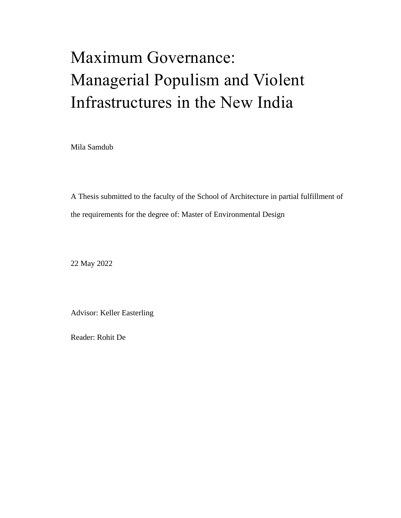# Maximum Governance: Managerial Populism and Violent Infrastructures in the New India

Mila Samdub

A Thesis submitted to the faculty of the School of Architecture in partial fulfillment of the requirements for the degree of: Master of Environmental Design

22 May 2022

Advisor: Keller Easterling

Reader: Rohit De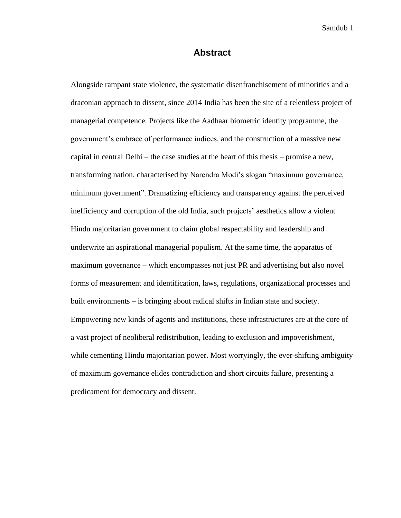#### **Abstract**

<span id="page-2-0"></span>Alongside rampant state violence, the systematic disenfranchisement of minorities and a draconian approach to dissent, since 2014 India has been the site of a relentless project of managerial competence. Projects like the Aadhaar biometric identity programme, the government's embrace of performance indices, and the construction of a massive new capital in central Delhi – the case studies at the heart of this thesis – promise a new, transforming nation, characterised by Narendra Modi's slogan "maximum governance, minimum government". Dramatizing efficiency and transparency against the perceived inefficiency and corruption of the old India, such projects' aesthetics allow a violent Hindu majoritarian government to claim global respectability and leadership and underwrite an aspirational managerial populism. At the same time, the apparatus of maximum governance – which encompasses not just PR and advertising but also novel forms of measurement and identification, laws, regulations, organizational processes and built environments – is bringing about radical shifts in Indian state and society. Empowering new kinds of agents and institutions, these infrastructures are at the core of a vast project of neoliberal redistribution, leading to exclusion and impoverishment, while cementing Hindu majoritarian power. Most worryingly, the ever-shifting ambiguity of maximum governance elides contradiction and short circuits failure, presenting a predicament for democracy and dissent.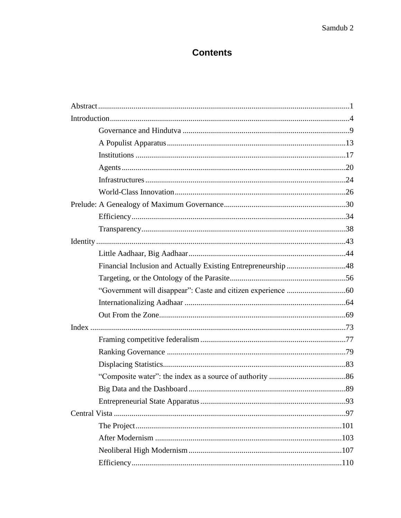## **Contents**

| Financial Inclusion and Actually Existing Entrepreneurship 48 |  |
|---------------------------------------------------------------|--|
|                                                               |  |
|                                                               |  |
|                                                               |  |
|                                                               |  |
|                                                               |  |
|                                                               |  |
|                                                               |  |
|                                                               |  |
|                                                               |  |
|                                                               |  |
|                                                               |  |
|                                                               |  |
|                                                               |  |
|                                                               |  |
|                                                               |  |
|                                                               |  |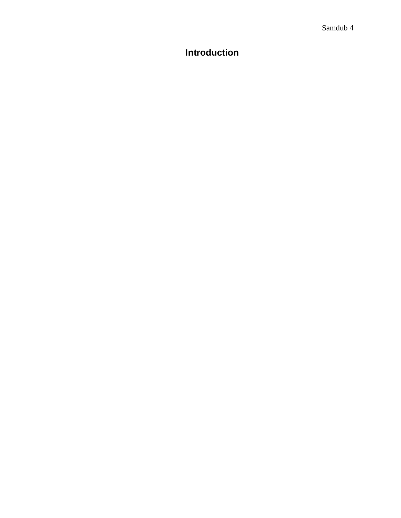## <span id="page-5-0"></span>**Introduction**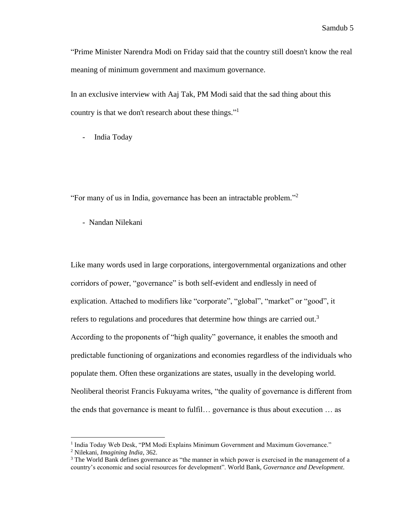"Prime Minister Narendra Modi on Friday said that the country still doesn't know the real meaning of minimum government and maximum governance.

In an exclusive interview with Aaj Tak, PM Modi said that the sad thing about this country is that we don't research about these things."<sup>1</sup>

India Today

"For many of us in India, governance has been an intractable problem."<sup>2</sup>

- Nandan Nilekani

Like many words used in large corporations, intergovernmental organizations and other corridors of power, "governance" is both self-evident and endlessly in need of explication. Attached to modifiers like "corporate", "global", "market" or "good", it refers to regulations and procedures that determine how things are carried out.<sup>3</sup> According to the proponents of "high quality" governance, it enables the smooth and predictable functioning of organizations and economies regardless of the individuals who populate them. Often these organizations are states, usually in the developing world. Neoliberal theorist Francis Fukuyama writes, "the quality of governance is different from the ends that governance is meant to fulfil… governance is thus about execution … as

<sup>&</sup>lt;sup>1</sup> India Today Web Desk, "PM Modi Explains Minimum Government and Maximum Governance."

<sup>2</sup> Nilekani, *Imagining India*, 362.

<sup>&</sup>lt;sup>3</sup> The World Bank defines governance as "the manner in which power is exercised in the management of a country's economic and social resources for development". World Bank, *Governance and Development*.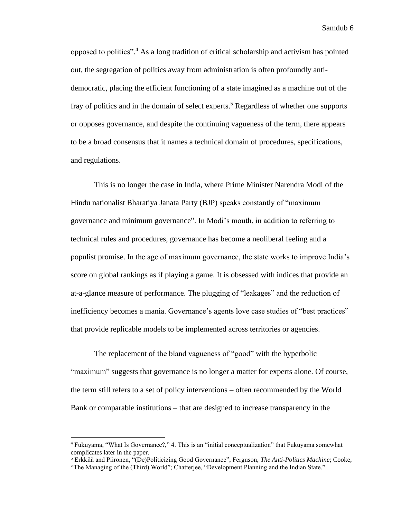opposed to politics". <sup>4</sup> As a long tradition of critical scholarship and activism has pointed out, the segregation of politics away from administration is often profoundly antidemocratic, placing the efficient functioning of a state imagined as a machine out of the fray of politics and in the domain of select experts.<sup>5</sup> Regardless of whether one supports or opposes governance, and despite the continuing vagueness of the term, there appears to be a broad consensus that it names a technical domain of procedures, specifications, and regulations.

This is no longer the case in India, where Prime Minister Narendra Modi of the Hindu nationalist Bharatiya Janata Party (BJP) speaks constantly of "maximum governance and minimum governance". In Modi's mouth, in addition to referring to technical rules and procedures, governance has become a neoliberal feeling and a populist promise. In the age of maximum governance, the state works to improve India's score on global rankings as if playing a game. It is obsessed with indices that provide an at-a-glance measure of performance. The plugging of "leakages" and the reduction of inefficiency becomes a mania. Governance's agents love case studies of "best practices" that provide replicable models to be implemented across territories or agencies.

The replacement of the bland vagueness of "good" with the hyperbolic "maximum" suggests that governance is no longer a matter for experts alone. Of course, the term still refers to a set of policy interventions – often recommended by the World Bank or comparable institutions – that are designed to increase transparency in the

<sup>4</sup> Fukuyama, "What Is Governance?," 4. This is an "initial conceptualization" that Fukuyama somewhat complicates later in the paper.

<sup>5</sup> Erkkilä and Piironen, "(De)Politicizing Good Governance"; Ferguson, *The Anti-Politics Machine*; Cooke,

<sup>&</sup>quot;The Managing of the (Third) World"; Chatterjee, "Development Planning and the Indian State."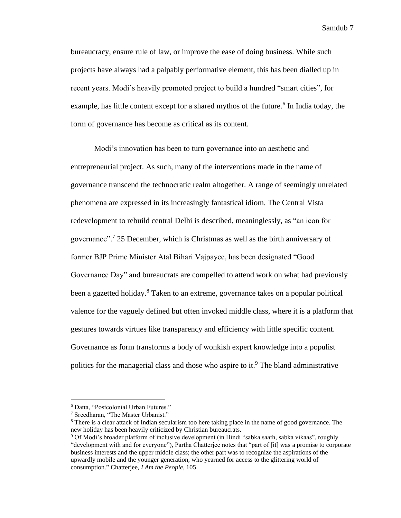bureaucracy, ensure rule of law, or improve the ease of doing business. While such projects have always had a palpably performative element, this has been dialled up in recent years. Modi's heavily promoted project to build a hundred "smart cities", for example, has little content except for a shared mythos of the future.<sup>6</sup> In India today, the form of governance has become as critical as its content.

Modi's innovation has been to turn governance into an aesthetic and entrepreneurial project. As such, many of the interventions made in the name of governance transcend the technocratic realm altogether. A range of seemingly unrelated phenomena are expressed in its increasingly fantastical idiom. The Central Vista redevelopment to rebuild central Delhi is described, meaninglessly, as "an icon for governance". 7 25 December, which is Christmas as well as the birth anniversary of former BJP Prime Minister Atal Bihari Vajpayee, has been designated "Good Governance Day" and bureaucrats are compelled to attend work on what had previously been a gazetted holiday.<sup>8</sup> Taken to an extreme, governance takes on a popular political valence for the vaguely defined but often invoked middle class, where it is a platform that gestures towards virtues like transparency and efficiency with little specific content. Governance as form transforms a body of wonkish expert knowledge into a populist politics for the managerial class and those who aspire to it.<sup>9</sup> The bland administrative

<sup>6</sup> Datta, "Postcolonial Urban Futures."

<sup>7</sup> Sreedharan, "The Master Urbanist."

<sup>8</sup> There is a clear attack of Indian secularism too here taking place in the name of good governance. The new holiday has been heavily criticized by Christian bureaucrats.

<sup>9</sup> Of Modi's broader platform of inclusive development (in Hindi "sabka saath, sabka vikaas", roughly "development with and for everyone"), Partha Chatterjee notes that "part of [it] was a promise to corporate business interests and the upper middle class; the other part was to recognize the aspirations of the upwardly mobile and the younger generation, who yearned for access to the glittering world of consumption." Chatterjee, *I Am the People*, 105.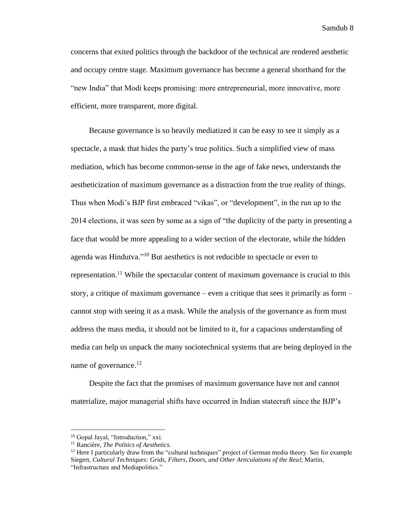concerns that exited politics through the backdoor of the technical are rendered aesthetic and occupy centre stage. Maximum governance has become a general shorthand for the "new India" that Modi keeps promising: more entrepreneurial, more innovative, more efficient, more transparent, more digital.

Because governance is so heavily mediatized it can be easy to see it simply as a spectacle, a mask that hides the party's true politics. Such a simplified view of mass mediation, which has become common-sense in the age of fake news, understands the aestheticization of maximum governance as a distraction from the true reality of things. Thus when Modi's BJP first embraced "vikas", or "development", in the run up to the 2014 elections, it was seen by some as a sign of "the duplicity of the party in presenting a face that would be more appealing to a wider section of the electorate, while the hidden agenda was Hindutva."<sup>10</sup> But aesthetics is not reducible to spectacle or even to representation.<sup>11</sup> While the spectacular content of maximum governance is crucial to this story, a critique of maximum governance – even a critique that sees it primarily as form – cannot stop with seeing it as a mask. While the analysis of the governance as form must address the mass media, it should not be limited to it, for a capacious understanding of media can help us unpack the many sociotechnical systems that are being deployed in the name of governance.<sup>12</sup>

Despite the fact that the promises of maximum governance have not and cannot materialize, major managerial shifts have occurred in Indian statecraft since the BJP's

<sup>&</sup>lt;sup>10</sup> Gopal Jayal, "Introduction," xxi.

<sup>11</sup> Rancière, *The Politics of Aesthetics*.

 $12$  Here I particularly draw from the "cultural techniques" project of German media theory. See for example Siegert, *Cultural Techniques: Grids, Filters, Doors, and Other Articulations of the Real*; Martin, "Infrastructure and Mediapolitics."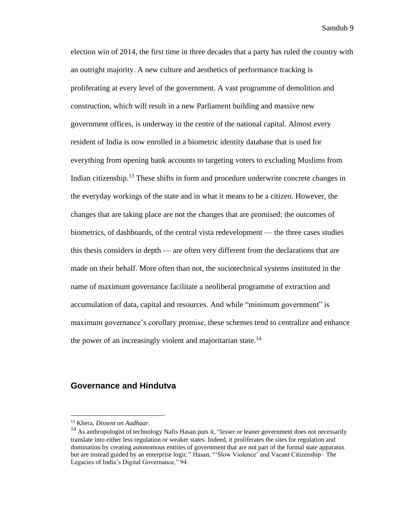election win of 2014, the first time in three decades that a party has ruled the country with an outright majority. A new culture and aesthetics of performance tracking is proliferating at every level of the government. A vast programme of demolition and construction, which will result in a new Parliament building and massive new government offices, is underway in the centre of the national capital. Almost every resident of India is now enrolled in a biometric identity database that is used for everything from opening bank accounts to targeting voters to excluding Muslims from Indian citizenship.<sup>13</sup> These shifts in form and procedure underwrite concrete changes in the everyday workings of the state and in what it means to be a citizen. However, the changes that are taking place are not the changes that are promised: the outcomes of biometrics, of dashboards, of the central vista redevelopment — the three cases studies this thesis considers in depth — are often very different from the declarations that are made on their behalf. More often than not, the sociotechnical systems instituted in the name of maximum governance facilitate a neoliberal programme of extraction and accumulation of data, capital and resources. And while "minimum government" is maximum governance's corollary promise, these schemes tend to centralize and enhance the power of an increasingly violent and majoritarian state.<sup>14</sup>

#### <span id="page-10-0"></span>**Governance and Hindutva**

<sup>13</sup> Khera, *Dissent on Aadhaar*.

<sup>&</sup>lt;sup>14</sup> As anthropologist of technology Nafis Hasan puts it, "lesser or leaner government does not necessarily translate into either less regulation or weaker states. Indeed, it proliferates the sites for regulation and domination by creating autonomous entities of government that are not part of the formal state apparatus but are instead guided by an enterprise logic." Hasan, "'Slow Violence' and Vacant Citizenship– The Legacies of India's Digital Governance," 94.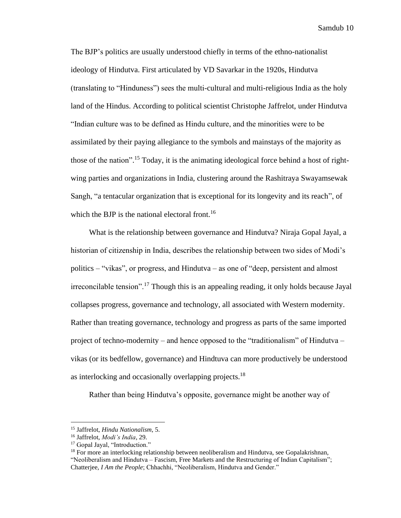The BJP's politics are usually understood chiefly in terms of the ethno-nationalist ideology of Hindutva. First articulated by VD Savarkar in the 1920s, Hindutva (translating to "Hinduness") sees the multi-cultural and multi-religious India as the holy land of the Hindus. According to political scientist Christophe Jaffrelot, under Hindutva "Indian culture was to be defined as Hindu culture, and the minorities were to be assimilated by their paying allegiance to the symbols and mainstays of the majority as those of the nation".<sup>15</sup> Today, it is the animating ideological force behind a host of rightwing parties and organizations in India, clustering around the Rashitraya Swayamsewak Sangh, "a tentacular organization that is exceptional for its longevity and its reach", of which the BJP is the national electoral front.<sup>16</sup>

What is the relationship between governance and Hindutva? Niraja Gopal Jayal, a historian of citizenship in India, describes the relationship between two sides of Modi's politics – "vikas", or progress, and Hindutva – as one of "deep, persistent and almost irreconcilable tension".<sup>17</sup> Though this is an appealing reading, it only holds because Jayal collapses progress, governance and technology, all associated with Western modernity. Rather than treating governance, technology and progress as parts of the same imported project of techno-modernity – and hence opposed to the "traditionalism" of Hindutva – vikas (or its bedfellow, governance) and Hindtuva can more productively be understood as interlocking and occasionally overlapping projects.<sup>18</sup>

Rather than being Hindutva's opposite, governance might be another way of

<sup>15</sup> Jaffrelot, *Hindu Nationalism*, 5.

<sup>16</sup> Jaffrelot, *Modi's India*, 29.

<sup>&</sup>lt;sup>17</sup> Gopal Jayal, "Introduction."

<sup>&</sup>lt;sup>18</sup> For more an interlocking relationship between neoliberalism and Hindutva, see Gopalakrishnan, "Neoliberalism and Hindutva – Fascism, Free Markets and the Restructuring of Indian Capitalism"; Chatterjee, *I Am the People*; Chhachhi, "Neoliberalism, Hindutva and Gender."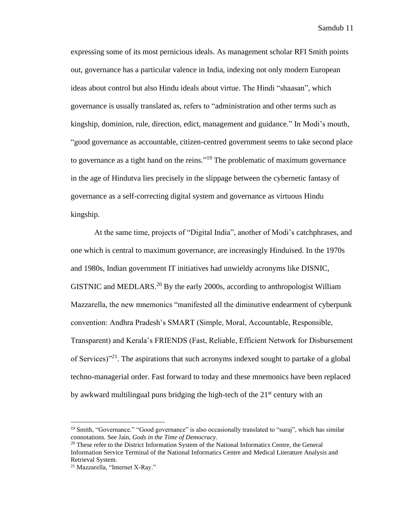expressing some of its most pernicious ideals. As management scholar RFI Smith points out, governance has a particular valence in India, indexing not only modern European ideas about control but also Hindu ideals about virtue. The Hindi "shaasan", which governance is usually translated as, refers to "administration and other terms such as kingship, dominion, rule, direction, edict, management and guidance." In Modi's mouth, "good governance as accountable, citizen-centred government seems to take second place to governance as a tight hand on the reins."<sup>19</sup> The problematic of maximum governance in the age of Hindutva lies precisely in the slippage between the cybernetic fantasy of governance as a self-correcting digital system and governance as virtuous Hindu kingship.

At the same time, projects of "Digital India", another of Modi's catchphrases, and one which is central to maximum governance, are increasingly Hinduised. In the 1970s and 1980s, Indian government IT initiatives had unwieldy acronyms like DISNIC, GISTNIC and MEDLARS.<sup>20</sup> By the early 2000s, according to anthropologist William Mazzarella, the new mnemonics "manifested all the diminutive endearment of cyberpunk convention: Andhra Pradesh's SMART (Simple, Moral, Accountable, Responsible, Transparent) and Kerala's FRIENDS (Fast, Reliable, Efficient Network for Disbursement of Services)<sup>"21</sup>. The aspirations that such acronyms indexed sought to partake of a global techno-managerial order. Fast forward to today and these mnemonics have been replaced by awkward multilingual puns bridging the high-tech of the  $21<sup>st</sup>$  century with an

<sup>&</sup>lt;sup>19</sup> Smith, "Governance." "Good governance" is also occasionally translated to "suraj", which has similar connotations. See Jain, *Gods in the Time of Democracy*.

<sup>&</sup>lt;sup>20</sup> These refer to the District Information System of the National Informatics Centre, the General Information Service Terminal of the National Informatics Centre and Medical Literature Analysis and Retrieval System.

<sup>21</sup> Mazzarella, "Internet X-Ray."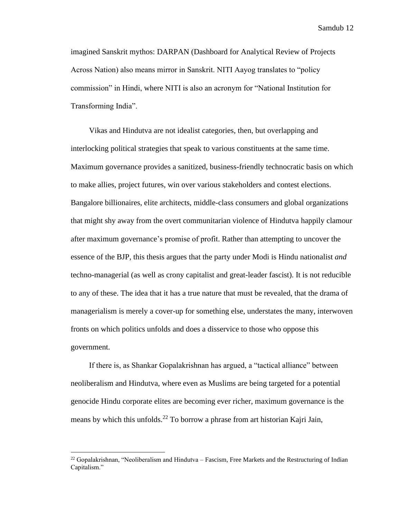imagined Sanskrit mythos: DARPAN (Dashboard for Analytical Review of Projects Across Nation) also means mirror in Sanskrit. NITI Aayog translates to "policy commission" in Hindi, where NITI is also an acronym for "National Institution for Transforming India".

Vikas and Hindutva are not idealist categories, then, but overlapping and interlocking political strategies that speak to various constituents at the same time. Maximum governance provides a sanitized, business-friendly technocratic basis on which to make allies, project futures, win over various stakeholders and contest elections. Bangalore billionaires, elite architects, middle-class consumers and global organizations that might shy away from the overt communitarian violence of Hindutva happily clamour after maximum governance's promise of profit. Rather than attempting to uncover the essence of the BJP, this thesis argues that the party under Modi is Hindu nationalist *and* techno-managerial (as well as crony capitalist and great-leader fascist). It is not reducible to any of these. The idea that it has a true nature that must be revealed, that the drama of managerialism is merely a cover-up for something else, understates the many, interwoven fronts on which politics unfolds and does a disservice to those who oppose this government.

If there is, as Shankar Gopalakrishnan has argued, a "tactical alliance" between neoliberalism and Hindutva, where even as Muslims are being targeted for a potential genocide Hindu corporate elites are becoming ever richer, maximum governance is the means by which this unfolds.<sup>22</sup> To borrow a phrase from art historian Kajri Jain,

 $^{22}$  Gopalakrishnan, "Neoliberalism and Hindutva – Fascism, Free Markets and the Restructuring of Indian Capitalism."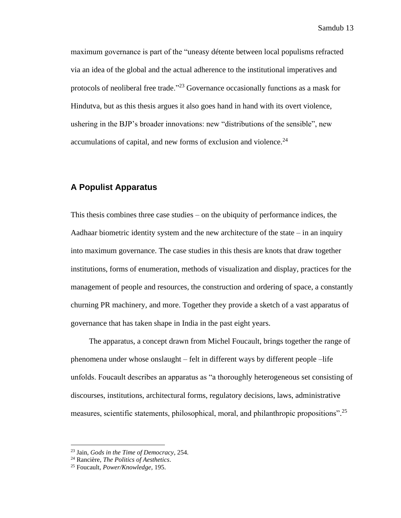maximum governance is part of the "uneasy détente between local populisms refracted via an idea of the global and the actual adherence to the institutional imperatives and protocols of neoliberal free trade."<sup>23</sup> Governance occasionally functions as a mask for Hindutva, but as this thesis argues it also goes hand in hand with its overt violence, ushering in the BJP's broader innovations: new "distributions of the sensible", new accumulations of capital, and new forms of exclusion and violence.<sup>24</sup>

#### <span id="page-14-0"></span>**A Populist Apparatus**

This thesis combines three case studies – on the ubiquity of performance indices, the Aadhaar biometric identity system and the new architecture of the state  $-$  in an inquiry into maximum governance. The case studies in this thesis are knots that draw together institutions, forms of enumeration, methods of visualization and display, practices for the management of people and resources, the construction and ordering of space, a constantly churning PR machinery, and more. Together they provide a sketch of a vast apparatus of governance that has taken shape in India in the past eight years.

The apparatus, a concept drawn from Michel Foucault, brings together the range of phenomena under whose onslaught – felt in different ways by different people –life unfolds. Foucault describes an apparatus as "a thoroughly heterogeneous set consisting of discourses, institutions, architectural forms, regulatory decisions, laws, administrative measures, scientific statements, philosophical, moral, and philanthropic propositions".<sup>25</sup>

<sup>23</sup> Jain, *Gods in the Time of Democracy*, 254.

<sup>24</sup> Rancière, *The Politics of Aesthetics*.

<sup>25</sup> Foucault, *Power/Knowledge*, 195.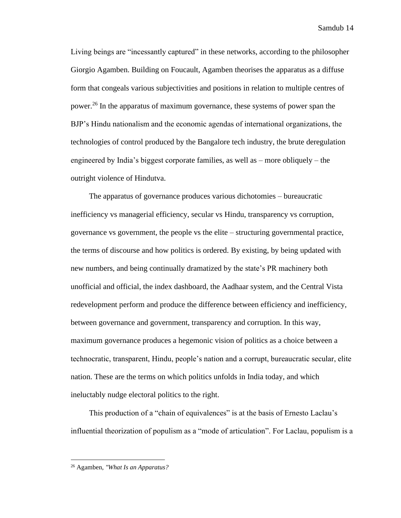Living beings are "incessantly captured" in these networks, according to the philosopher Giorgio Agamben. Building on Foucault, Agamben theorises the apparatus as a diffuse form that congeals various subjectivities and positions in relation to multiple centres of power.<sup>26</sup> In the apparatus of maximum governance, these systems of power span the BJP's Hindu nationalism and the economic agendas of international organizations, the technologies of control produced by the Bangalore tech industry, the brute deregulation engineered by India's biggest corporate families, as well as – more obliquely – the outright violence of Hindutva.

The apparatus of governance produces various dichotomies – bureaucratic inefficiency vs managerial efficiency, secular vs Hindu, transparency vs corruption, governance vs government, the people vs the elite – structuring governmental practice, the terms of discourse and how politics is ordered. By existing, by being updated with new numbers, and being continually dramatized by the state's PR machinery both unofficial and official, the index dashboard, the Aadhaar system, and the Central Vista redevelopment perform and produce the difference between efficiency and inefficiency, between governance and government, transparency and corruption. In this way, maximum governance produces a hegemonic vision of politics as a choice between a technocratic, transparent, Hindu, people's nation and a corrupt, bureaucratic secular, elite nation. These are the terms on which politics unfolds in India today, and which ineluctably nudge electoral politics to the right.

This production of a "chain of equivalences" is at the basis of Ernesto Laclau's influential theorization of populism as a "mode of articulation". For Laclau, populism is a

<sup>26</sup> Agamben, *"What Is an Apparatus?*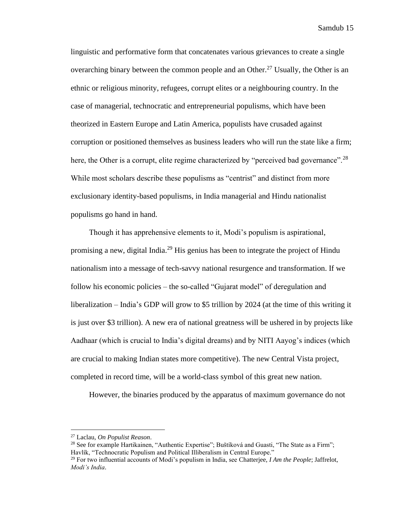linguistic and performative form that concatenates various grievances to create a single overarching binary between the common people and an Other.<sup>27</sup> Usually, the Other is an ethnic or religious minority, refugees, corrupt elites or a neighbouring country. In the case of managerial, technocratic and entrepreneurial populisms, which have been theorized in Eastern Europe and Latin America, populists have crusaded against corruption or positioned themselves as business leaders who will run the state like a firm; here, the Other is a corrupt, elite regime characterized by "perceived bad governance".<sup>28</sup> While most scholars describe these populisms as "centrist" and distinct from more exclusionary identity-based populisms, in India managerial and Hindu nationalist populisms go hand in hand.

Though it has apprehensive elements to it, Modi's populism is aspirational, promising a new, digital India.<sup>29</sup> His genius has been to integrate the project of Hindu nationalism into a message of tech-savvy national resurgence and transformation. If we follow his economic policies – the so-called "Gujarat model" of deregulation and liberalization – India's GDP will grow to \$5 trillion by 2024 (at the time of this writing it is just over \$3 trillion). A new era of national greatness will be ushered in by projects like Aadhaar (which is crucial to India's digital dreams) and by NITI Aayog's indices (which are crucial to making Indian states more competitive). The new Central Vista project, completed in record time, will be a world-class symbol of this great new nation.

However, the binaries produced by the apparatus of maximum governance do not

<sup>27</sup> Laclau, *On Populist Reason*.

<sup>&</sup>lt;sup>28</sup> See for example Hartikainen, "Authentic Expertise"; Buštíková and Guasti, "The State as a Firm"; Havlík, "Technocratic Populism and Political Illiberalism in Central Europe."

<sup>29</sup> For two influential accounts of Modi's populism in India, see Chatterjee, *I Am the People*; Jaffrelot, *Modi's India*.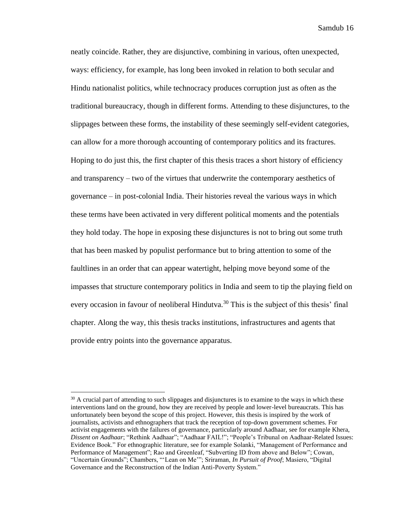neatly coincide. Rather, they are disjunctive, combining in various, often unexpected, ways: efficiency, for example, has long been invoked in relation to both secular and Hindu nationalist politics, while technocracy produces corruption just as often as the traditional bureaucracy, though in different forms. Attending to these disjunctures, to the slippages between these forms, the instability of these seemingly self-evident categories, can allow for a more thorough accounting of contemporary politics and its fractures. Hoping to do just this, the first chapter of this thesis traces a short history of efficiency and transparency – two of the virtues that underwrite the contemporary aesthetics of governance – in post-colonial India. Their histories reveal the various ways in which these terms have been activated in very different political moments and the potentials they hold today. The hope in exposing these disjunctures is not to bring out some truth that has been masked by populist performance but to bring attention to some of the faultlines in an order that can appear watertight, helping move beyond some of the impasses that structure contemporary politics in India and seem to tip the playing field on every occasion in favour of neoliberal Hindutva.<sup>30</sup> This is the subject of this thesis' final chapter. Along the way, this thesis tracks institutions, infrastructures and agents that provide entry points into the governance apparatus.

 $30$  A crucial part of attending to such slippages and disjunctures is to examine to the ways in which these interventions land on the ground, how they are received by people and lower-level bureaucrats. This has unfortunately been beyond the scope of this project. However, this thesis is inspired by the work of journalists, activists and ethnographers that track the reception of top-down government schemes. For activist engagements with the failures of governance, particularly around Aadhaar, see for example Khera, *Dissent on Aadhaar*; "Rethink Aadhaar"; "Aadhaar FAIL!"; "People's Tribunal on Aadhaar-Related Issues: Evidence Book." For ethnographic literature, see for example Solanki, "Management of Performance and Performance of Management"; Rao and Greenleaf, "Subverting ID from above and Below"; Cowan, "Uncertain Grounds"; Chambers, "'Lean on Me'"; Sriraman, *In Pursuit of Proof*; Masiero, "Digital Governance and the Reconstruction of the Indian Anti-Poverty System."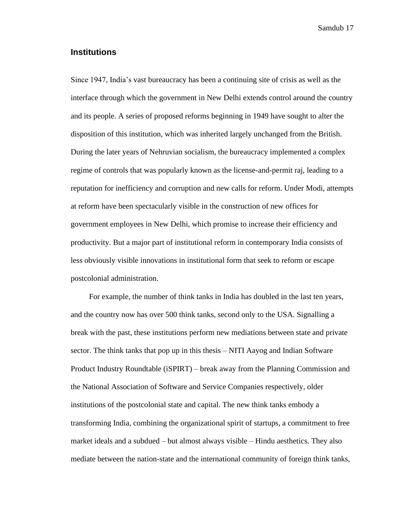#### <span id="page-18-0"></span>**Institutions**

Since 1947, India's vast bureaucracy has been a continuing site of crisis as well as the interface through which the government in New Delhi extends control around the country and its people. A series of proposed reforms beginning in 1949 have sought to alter the disposition of this institution, which was inherited largely unchanged from the British. During the later years of Nehruvian socialism, the bureaucracy implemented a complex regime of controls that was popularly known as the license-and-permit raj, leading to a reputation for inefficiency and corruption and new calls for reform. Under Modi, attempts at reform have been spectacularly visible in the construction of new offices for government employees in New Delhi, which promise to increase their efficiency and productivity. But a major part of institutional reform in contemporary India consists of less obviously visible innovations in institutional form that seek to reform or escape postcolonial administration.

For example, the number of think tanks in India has doubled in the last ten years, and the country now has over 500 think tanks, second only to the USA. Signalling a break with the past, these institutions perform new mediations between state and private sector. The think tanks that pop up in this thesis – NITI Aayog and Indian Software Product Industry Roundtable (iSPIRT) – break away from the Planning Commission and the National Association of Software and Service Companies respectively, older institutions of the postcolonial state and capital. The new think tanks embody a transforming India, combining the organizational spirit of startups, a commitment to free market ideals and a subdued – but almost always visible – Hindu aesthetics. They also mediate between the nation-state and the international community of foreign think tanks,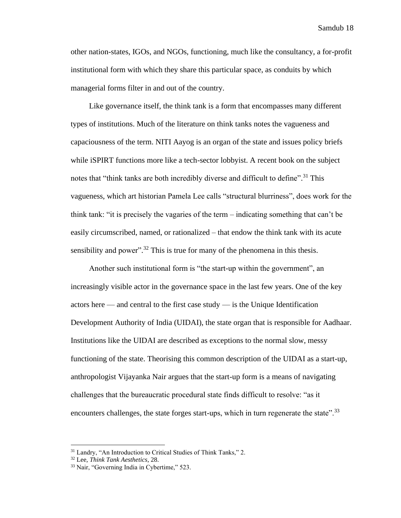other nation-states, IGOs, and NGOs, functioning, much like the consultancy, a for-profit institutional form with which they share this particular space, as conduits by which managerial forms filter in and out of the country.

Like governance itself, the think tank is a form that encompasses many different types of institutions. Much of the literature on think tanks notes the vagueness and capaciousness of the term. NITI Aayog is an organ of the state and issues policy briefs while iSPIRT functions more like a tech-sector lobbyist. A recent book on the subject notes that "think tanks are both incredibly diverse and difficult to define".<sup>31</sup> This vagueness, which art historian Pamela Lee calls "structural blurriness", does work for the think tank: "it is precisely the vagaries of the term – indicating something that can't be easily circumscribed, named, or rationalized – that endow the think tank with its acute sensibility and power".<sup>32</sup> This is true for many of the phenomena in this thesis.

Another such institutional form is "the start-up within the government", an increasingly visible actor in the governance space in the last few years. One of the key actors here — and central to the first case study — is the Unique Identification Development Authority of India (UIDAI), the state organ that is responsible for Aadhaar. Institutions like the UIDAI are described as exceptions to the normal slow, messy functioning of the state. Theorising this common description of the UIDAI as a start-up, anthropologist Vijayanka Nair argues that the start-up form is a means of navigating challenges that the bureaucratic procedural state finds difficult to resolve: "as it encounters challenges, the state forges start-ups, which in turn regenerate the state".<sup>33</sup>

<sup>&</sup>lt;sup>31</sup> Landry, "An Introduction to Critical Studies of Think Tanks," 2.

<sup>32</sup> Lee, *Think Tank Aesthetics*, 28.

<sup>33</sup> Nair, "Governing India in Cybertime," 523.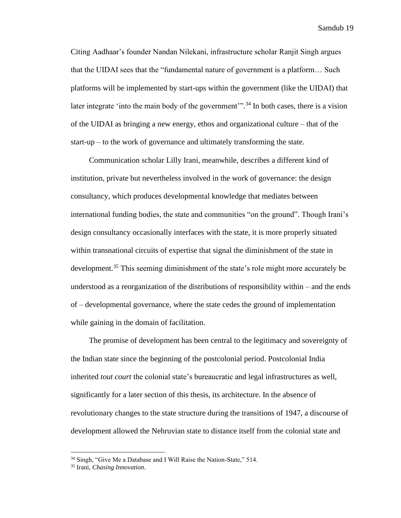Citing Aadhaar's founder Nandan Nilekani, infrastructure scholar Ranjit Singh argues that the UIDAI sees that the "fundamental nature of government is a platform… Such platforms will be implemented by start-ups within the government (like the UIDAI) that later integrate 'into the main body of the government'".<sup>34</sup> In both cases, there is a vision of the UIDAI as bringing a new energy, ethos and organizational culture – that of the start-up – to the work of governance and ultimately transforming the state.

Communication scholar Lilly Irani, meanwhile, describes a different kind of institution, private but nevertheless involved in the work of governance: the design consultancy, which produces developmental knowledge that mediates between international funding bodies, the state and communities "on the ground". Though Irani's design consultancy occasionally interfaces with the state, it is more properly situated within transnational circuits of expertise that signal the diminishment of the state in development.<sup>35</sup> This seeming diminishment of the state's role might more accurately be understood as a reorganization of the distributions of responsibility within – and the ends of – developmental governance, where the state cedes the ground of implementation while gaining in the domain of facilitation.

The promise of development has been central to the legitimacy and sovereignty of the Indian state since the beginning of the postcolonial period. Postcolonial India inherited *tout court* the colonial state's bureaucratic and legal infrastructures as well, significantly for a later section of this thesis, its architecture. In the absence of revolutionary changes to the state structure during the transitions of 1947, a discourse of development allowed the Nehruvian state to distance itself from the colonial state and

<sup>&</sup>lt;sup>34</sup> Singh, "Give Me a Database and I Will Raise the Nation-State," 514.

<sup>35</sup> Irani, *Chasing Innovation*.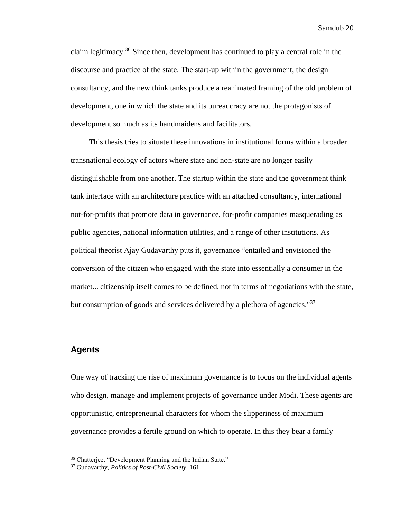claim legitimacy.<sup>36</sup> Since then, development has continued to play a central role in the discourse and practice of the state. The start-up within the government, the design consultancy, and the new think tanks produce a reanimated framing of the old problem of development, one in which the state and its bureaucracy are not the protagonists of development so much as its handmaidens and facilitators.

This thesis tries to situate these innovations in institutional forms within a broader transnational ecology of actors where state and non-state are no longer easily distinguishable from one another. The startup within the state and the government think tank interface with an architecture practice with an attached consultancy, international not-for-profits that promote data in governance, for-profit companies masquerading as public agencies, national information utilities, and a range of other institutions. As political theorist Ajay Gudavarthy puts it, governance "entailed and envisioned the conversion of the citizen who engaged with the state into essentially a consumer in the market... citizenship itself comes to be defined, not in terms of negotiations with the state, but consumption of goods and services delivered by a plethora of agencies."<sup>37</sup>

#### <span id="page-21-0"></span>**Agents**

One way of tracking the rise of maximum governance is to focus on the individual agents who design, manage and implement projects of governance under Modi. These agents are opportunistic, entrepreneurial characters for whom the slipperiness of maximum governance provides a fertile ground on which to operate. In this they bear a family

<sup>&</sup>lt;sup>36</sup> Chatterjee, "Development Planning and the Indian State."

<sup>37</sup> Gudavarthy, *Politics of Post-Civil Society*, 161.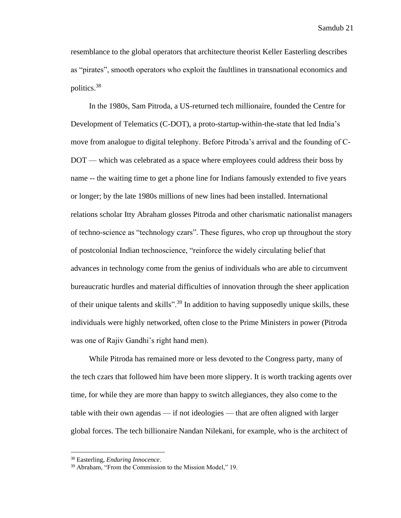resemblance to the global operators that architecture theorist Keller Easterling describes as "pirates", smooth operators who exploit the faultlines in transnational economics and politics. 38

In the 1980s, Sam Pitroda, a US-returned tech millionaire, founded the Centre for Development of Telematics (C-DOT), a proto-startup-within-the-state that led India's move from analogue to digital telephony. Before Pitroda's arrival and the founding of C-DOT — which was celebrated as a space where employees could address their boss by name -- the waiting time to get a phone line for Indians famously extended to five years or longer; by the late 1980s millions of new lines had been installed. International relations scholar Itty Abraham glosses Pitroda and other charismatic nationalist managers of techno-science as "technology czars". These figures, who crop up throughout the story of postcolonial Indian technoscience, "reinforce the widely circulating belief that advances in technology come from the genius of individuals who are able to circumvent bureaucratic hurdles and material difficulties of innovation through the sheer application of their unique talents and skills"<sup>39</sup> In addition to having supposedly unique skills, these individuals were highly networked, often close to the Prime Ministers in power (Pitroda was one of Rajiv Gandhi's right hand men).

While Pitroda has remained more or less devoted to the Congress party, many of the tech czars that followed him have been more slippery. It is worth tracking agents over time, for while they are more than happy to switch allegiances, they also come to the table with their own agendas — if not ideologies — that are often aligned with larger global forces. The tech billionaire Nandan Nilekani, for example, who is the architect of

<sup>38</sup> Easterling, *Enduring Innocence*.

<sup>39</sup> Abraham, "From the Commission to the Mission Model," 19.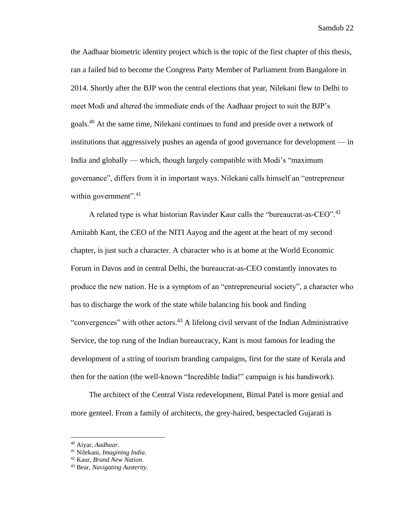the Aadhaar biometric identity project which is the topic of the first chapter of this thesis, ran a failed bid to become the Congress Party Member of Parliament from Bangalore in 2014. Shortly after the BJP won the central elections that year, Nilekani flew to Delhi to meet Modi and altered the immediate ends of the Aadhaar project to suit the BJP's goals.<sup>40</sup> At the same time, Nilekani continues to fund and preside over a network of institutions that aggressively pushes an agenda of good governance for development — in India and globally — which, though largely compatible with Modi's "maximum governance", differs from it in important ways. Nilekani calls himself an "entrepreneur within government". $41$ 

A related type is what historian Ravinder Kaur calls the "bureaucrat-as-CEO".<sup>42</sup> Amitabh Kant, the CEO of the NITI Aayog and the agent at the heart of my second chapter, is just such a character. A character who is at home at the World Economic Forum in Davos and in central Delhi, the bureaucrat-as-CEO constantly innovates to produce the new nation. He is a symptom of an "entrepreneurial society", a character who has to discharge the work of the state while balancing his book and finding "convergences" with other actors.<sup>43</sup> A lifelong civil servant of the Indian Administrative Service, the top rung of the Indian bureaucracy, Kant is most famous for leading the development of a string of tourism branding campaigns, first for the state of Kerala and then for the nation (the well-known "Incredible India!" campaign is his handiwork).

The architect of the Central Vista redevelopment, Bimal Patel is more genial and more genteel. From a family of architects, the grey-haired, bespectacled Gujarati is

<sup>40</sup> Aiyar, *Aadhaar*.

<sup>41</sup> Nilekani, *Imagining India*.

<sup>42</sup> Kaur, *Brand New Nation*.

<sup>43</sup> Bear, *Navigating Austerity*.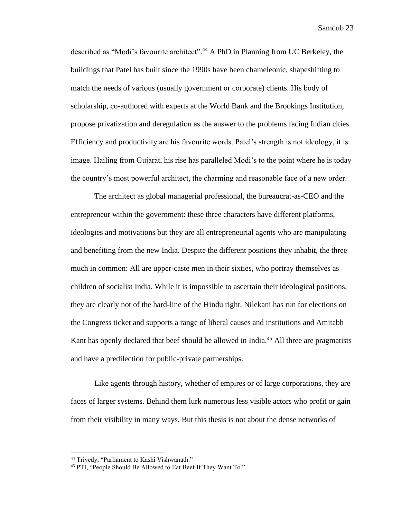described as "Modi's favourite architect". <sup>44</sup> A PhD in Planning from UC Berkeley, the buildings that Patel has built since the 1990s have been chameleonic, shapeshifting to match the needs of various (usually government or corporate) clients. His body of scholarship, co-authored with experts at the World Bank and the Brookings Institution, propose privatization and deregulation as the answer to the problems facing Indian cities. Efficiency and productivity are his favourite words. Patel's strength is not ideology, it is image. Hailing from Gujarat, his rise has paralleled Modi's to the point where he is today the country's most powerful architect, the charming and reasonable face of a new order.

The architect as global managerial professional, the bureaucrat-as-CEO and the entrepreneur within the government: these three characters have different platforms, ideologies and motivations but they are all entrepreneurial agents who are manipulating and benefiting from the new India. Despite the different positions they inhabit, the three much in common: All are upper-caste men in their sixties, who portray themselves as children of socialist India. While it is impossible to ascertain their ideological positions, they are clearly not of the hard-line of the Hindu right. Nilekani has run for elections on the Congress ticket and supports a range of liberal causes and institutions and Amitabh Kant has openly declared that beef should be allowed in India.<sup>45</sup> All three are pragmatists and have a predilection for public-private partnerships.

Like agents through history, whether of empires or of large corporations, they are faces of larger systems. Behind them lurk numerous less visible actors who profit or gain from their visibility in many ways. But this thesis is not about the dense networks of

<sup>44</sup> Trivedy, "Parliament to Kashi Vishwanath."

<sup>45</sup> PTI, "People Should Be Allowed to Eat Beef If They Want To."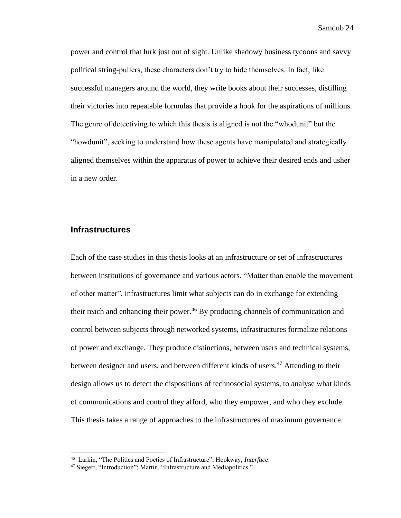power and control that lurk just out of sight. Unlike shadowy business tycoons and savvy political string-pullers, these characters don't try to hide themselves. In fact, like successful managers around the world, they write books about their successes, distilling their victories into repeatable formulas that provide a hook for the aspirations of millions. The genre of detectiving to which this thesis is aligned is not the "whodunit" but the "howdunit", seeking to understand how these agents have manipulated and strategically aligned themselves within the apparatus of power to achieve their desired ends and usher in a new order.

#### <span id="page-25-0"></span>**Infrastructures**

Each of the case studies in this thesis looks at an infrastructure or set of infrastructures between institutions of governance and various actors. "Matter than enable the movement of other matter", infrastructures limit what subjects can do in exchange for extending their reach and enhancing their power.<sup>46</sup> By producing channels of communication and control between subjects through networked systems, infrastructures formalize relations of power and exchange. They produce distinctions, between users and technical systems, between designer and users, and between different kinds of users.<sup>47</sup> Attending to their design allows us to detect the dispositions of technosocial systems, to analyse what kinds of communications and control they afford, who they empower, and who they exclude. This thesis takes a range of approaches to the infrastructures of maximum governance.

<sup>46</sup> Larkin, "The Politics and Poetics of Infrastructure"; Hookway, *Interface*.

<sup>47</sup> Siegert, "Introduction"; Martin, "Infrastructure and Mediapolitics."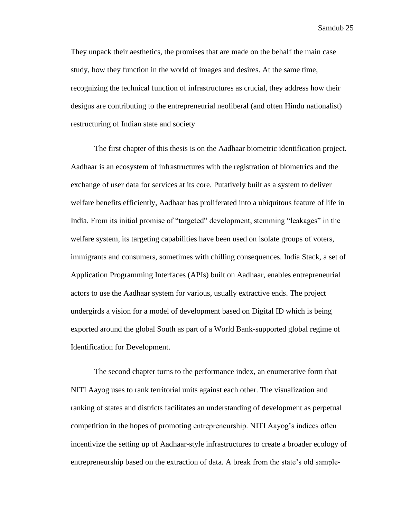They unpack their aesthetics, the promises that are made on the behalf the main case study, how they function in the world of images and desires. At the same time, recognizing the technical function of infrastructures as crucial, they address how their designs are contributing to the entrepreneurial neoliberal (and often Hindu nationalist) restructuring of Indian state and society

The first chapter of this thesis is on the Aadhaar biometric identification project. Aadhaar is an ecosystem of infrastructures with the registration of biometrics and the exchange of user data for services at its core. Putatively built as a system to deliver welfare benefits efficiently, Aadhaar has proliferated into a ubiquitous feature of life in India. From its initial promise of "targeted" development, stemming "leakages" in the welfare system, its targeting capabilities have been used on isolate groups of voters, immigrants and consumers, sometimes with chilling consequences. India Stack, a set of Application Programming Interfaces (APIs) built on Aadhaar, enables entrepreneurial actors to use the Aadhaar system for various, usually extractive ends. The project undergirds a vision for a model of development based on Digital ID which is being exported around the global South as part of a World Bank-supported global regime of Identification for Development.

The second chapter turns to the performance index, an enumerative form that NITI Aayog uses to rank territorial units against each other. The visualization and ranking of states and districts facilitates an understanding of development as perpetual competition in the hopes of promoting entrepreneurship. NITI Aayog's indices often incentivize the setting up of Aadhaar-style infrastructures to create a broader ecology of entrepreneurship based on the extraction of data. A break from the state's old sample-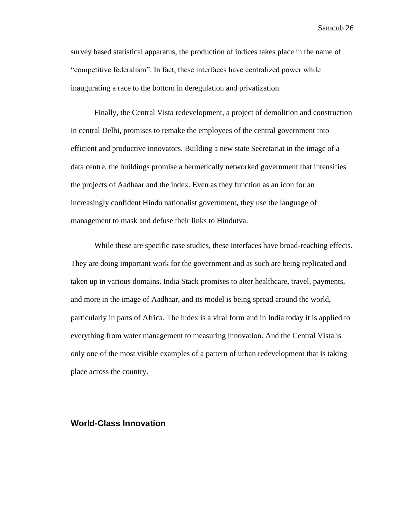survey based statistical apparatus, the production of indices takes place in the name of "competitive federalism". In fact, these interfaces have centralized power while inaugurating a race to the bottom in deregulation and privatization.

Finally, the Central Vista redevelopment, a project of demolition and construction in central Delhi, promises to remake the employees of the central government into efficient and productive innovators. Building a new state Secretariat in the image of a data centre, the buildings promise a hermetically networked government that intensifies the projects of Aadhaar and the index. Even as they function as an icon for an increasingly confident Hindu nationalist government, they use the language of management to mask and defuse their links to Hindutva.

While these are specific case studies, these interfaces have broad-reaching effects. They are doing important work for the government and as such are being replicated and taken up in various domains. India Stack promises to alter healthcare, travel, payments, and more in the image of Aadhaar, and its model is being spread around the world, particularly in parts of Africa. The index is a viral form and in India today it is applied to everything from water management to measuring innovation. And the Central Vista is only one of the most visible examples of a pattern of urban redevelopment that is taking place across the country.

#### <span id="page-27-0"></span>**World-Class Innovation**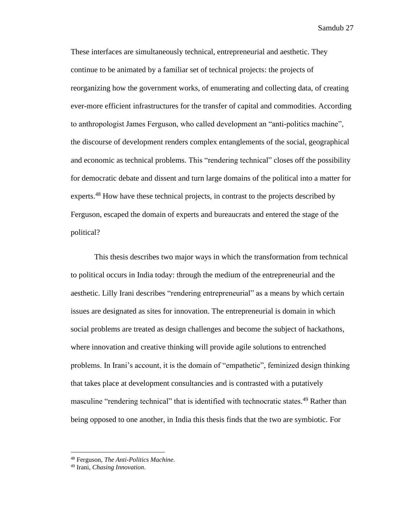These interfaces are simultaneously technical, entrepreneurial and aesthetic. They continue to be animated by a familiar set of technical projects: the projects of reorganizing how the government works, of enumerating and collecting data, of creating ever-more efficient infrastructures for the transfer of capital and commodities. According to anthropologist James Ferguson, who called development an "anti-politics machine", the discourse of development renders complex entanglements of the social, geographical and economic as technical problems. This "rendering technical" closes off the possibility for democratic debate and dissent and turn large domains of the political into a matter for experts.<sup>48</sup> How have these technical projects, in contrast to the projects described by Ferguson, escaped the domain of experts and bureaucrats and entered the stage of the political?

This thesis describes two major ways in which the transformation from technical to political occurs in India today: through the medium of the entrepreneurial and the aesthetic. Lilly Irani describes "rendering entrepreneurial" as a means by which certain issues are designated as sites for innovation. The entrepreneurial is domain in which social problems are treated as design challenges and become the subject of hackathons, where innovation and creative thinking will provide agile solutions to entrenched problems. In Irani's account, it is the domain of "empathetic", feminized design thinking that takes place at development consultancies and is contrasted with a putatively masculine "rendering technical" that is identified with technocratic states.<sup>49</sup> Rather than being opposed to one another, in India this thesis finds that the two are symbiotic. For

<sup>48</sup> Ferguson, *The Anti-Politics Machine*.

<sup>49</sup> Irani, *Chasing Innovation*.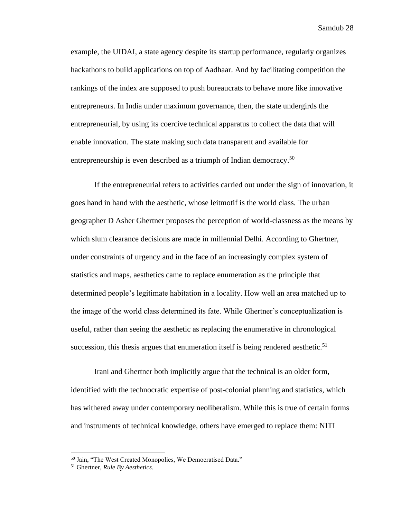example, the UIDAI, a state agency despite its startup performance, regularly organizes hackathons to build applications on top of Aadhaar. And by facilitating competition the rankings of the index are supposed to push bureaucrats to behave more like innovative entrepreneurs. In India under maximum governance, then, the state undergirds the entrepreneurial, by using its coercive technical apparatus to collect the data that will enable innovation. The state making such data transparent and available for entrepreneurship is even described as a triumph of Indian democracy.<sup>50</sup>

If the entrepreneurial refers to activities carried out under the sign of innovation, it goes hand in hand with the aesthetic, whose leitmotif is the world class. The urban geographer D Asher Ghertner proposes the perception of world-classness as the means by which slum clearance decisions are made in millennial Delhi. According to Ghertner, under constraints of urgency and in the face of an increasingly complex system of statistics and maps, aesthetics came to replace enumeration as the principle that determined people's legitimate habitation in a locality. How well an area matched up to the image of the world class determined its fate. While Ghertner's conceptualization is useful, rather than seeing the aesthetic as replacing the enumerative in chronological succession, this thesis argues that enumeration itself is being rendered aesthetic.<sup>51</sup>

Irani and Ghertner both implicitly argue that the technical is an older form, identified with the technocratic expertise of post-colonial planning and statistics, which has withered away under contemporary neoliberalism. While this is true of certain forms and instruments of technical knowledge, others have emerged to replace them: NITI

<sup>50</sup> Jain, "The West Created Monopolies, We Democratised Data."

<sup>51</sup> Ghertner, *Rule By Aesthetics*.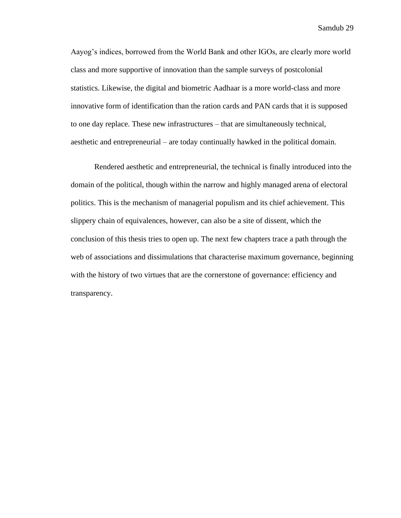Aayog's indices, borrowed from the World Bank and other IGOs, are clearly more world class and more supportive of innovation than the sample surveys of postcolonial statistics. Likewise, the digital and biometric Aadhaar is a more world-class and more innovative form of identification than the ration cards and PAN cards that it is supposed to one day replace. These new infrastructures – that are simultaneously technical, aesthetic and entrepreneurial – are today continually hawked in the political domain.

Rendered aesthetic and entrepreneurial, the technical is finally introduced into the domain of the political, though within the narrow and highly managed arena of electoral politics. This is the mechanism of managerial populism and its chief achievement. This slippery chain of equivalences, however, can also be a site of dissent, which the conclusion of this thesis tries to open up. The next few chapters trace a path through the web of associations and dissimulations that characterise maximum governance, beginning with the history of two virtues that are the cornerstone of governance: efficiency and transparency.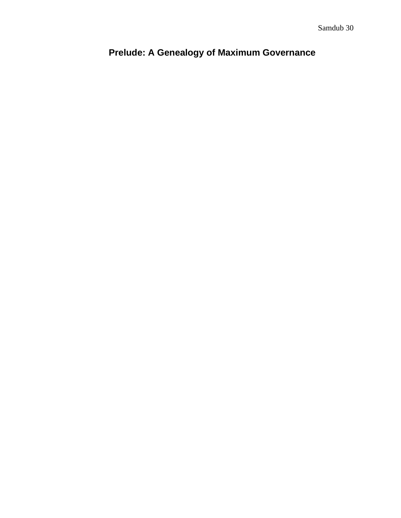# <span id="page-31-0"></span>**Prelude: A Genealogy of Maximum Governance**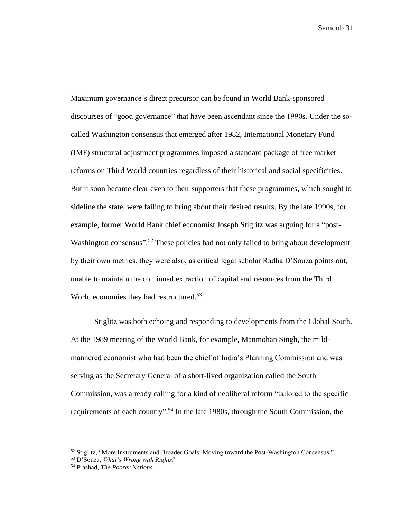Maximum governance's direct precursor can be found in World Bank-sponsored discourses of "good governance" that have been ascendant since the 1990s. Under the socalled Washington consensus that emerged after 1982, International Monetary Fund (IMF) structural adjustment programmes imposed a standard package of free market reforms on Third World countries regardless of their historical and social specificities. But it soon became clear even to their supporters that these programmes, which sought to sideline the state, were failing to bring about their desired results. By the late 1990s, for example, former World Bank chief economist Joseph Stiglitz was arguing for a "post-Washington consensus".<sup>52</sup> These policies had not only failed to bring about development by their own metrics, they were also, as critical legal scholar Radha D'Souza points out, unable to maintain the continued extraction of capital and resources from the Third World economies they had restructured.<sup>53</sup>

Stiglitz was both echoing and responding to developments from the Global South. At the 1989 meeting of the World Bank, for example, Manmohan Singh, the mildmannered economist who had been the chief of India's Planning Commission and was serving as the Secretary General of a short-lived organization called the South Commission, was already calling for a kind of neoliberal reform "tailored to the specific requirements of each country".<sup>54</sup> In the late 1980s, through the South Commission, the

 $52$  Stiglitz, "More Instruments and Broader Goals: Moving toward the Post-Washington Consensus."

<sup>53</sup> D'Souza, *What's Wrong with Rights?*

<sup>54</sup> Prashad, *The Poorer Nations*.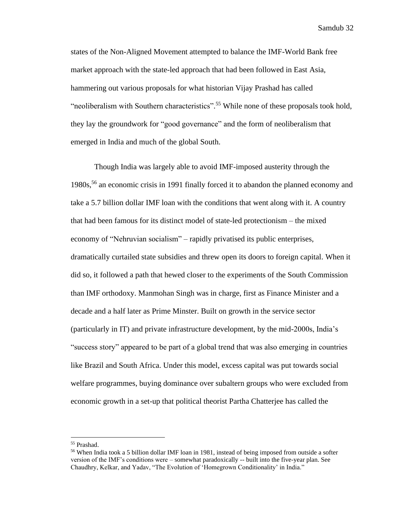states of the Non-Aligned Movement attempted to balance the IMF-World Bank free market approach with the state-led approach that had been followed in East Asia, hammering out various proposals for what historian Vijay Prashad has called "neoliberalism with Southern characteristics".<sup>55</sup> While none of these proposals took hold, they lay the groundwork for "good governance" and the form of neoliberalism that emerged in India and much of the global South.

Though India was largely able to avoid IMF-imposed austerity through the 1980s, <sup>56</sup> an economic crisis in 1991 finally forced it to abandon the planned economy and take a 5.7 billion dollar IMF loan with the conditions that went along with it. A country that had been famous for its distinct model of state-led protectionism – the mixed economy of "Nehruvian socialism" – rapidly privatised its public enterprises, dramatically curtailed state subsidies and threw open its doors to foreign capital. When it did so, it followed a path that hewed closer to the experiments of the South Commission than IMF orthodoxy. Manmohan Singh was in charge, first as Finance Minister and a decade and a half later as Prime Minster. Built on growth in the service sector (particularly in IT) and private infrastructure development, by the mid-2000s, India's "success story" appeared to be part of a global trend that was also emerging in countries like Brazil and South Africa. Under this model, excess capital was put towards social welfare programmes, buying dominance over subaltern groups who were excluded from economic growth in a set-up that political theorist Partha Chatterjee has called the

<sup>55</sup> Prashad.

<sup>56</sup> When India took a 5 billion dollar IMF loan in 1981, instead of being imposed from outside a softer version of the IMF's conditions were – somewhat paradoxically -- built into the five-year plan. See Chaudhry, Kelkar, and Yadav, "The Evolution of 'Homegrown Conditionality' in India."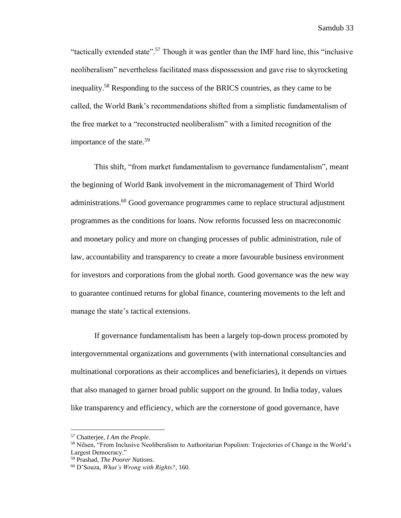"tactically extended state".<sup>57</sup> Though it was gentler than the IMF hard line, this "inclusive neoliberalism" nevertheless facilitated mass dispossession and gave rise to skyrocketing inequality.<sup>58</sup> Responding to the success of the BRICS countries, as they came to be called, the World Bank's recommendations shifted from a simplistic fundamentalism of the free market to a "reconstructed neoliberalism" with a limited recognition of the importance of the state.<sup>59</sup>

This shift, "from market fundamentalism to governance fundamentalism", meant the beginning of World Bank involvement in the micromanagement of Third World administrations.<sup>60</sup> Good governance programmes came to replace structural adjustment programmes as the conditions for loans. Now reforms focussed less on macreconomic and monetary policy and more on changing processes of public administration, rule of law, accountability and transparency to create a more favourable business environment for investors and corporations from the global north. Good governance was the new way to guarantee continued returns for global finance, countering movements to the left and manage the state's tactical extensions.

If governance fundamentalism has been a largely top-down process promoted by intergovernmental organizations and governments (with international consultancies and multinational corporations as their accomplices and beneficiaries), it depends on virtues that also managed to garner broad public support on the ground. In India today, values like transparency and efficiency, which are the cornerstone of good governance, have

<sup>57</sup> Chatterjee, *I Am the People*.

<sup>&</sup>lt;sup>58</sup> Nilsen, "From Inclusive Neoliberalism to Authoritarian Populism: Trajectories of Change in the World's Largest Democracy."

<sup>59</sup> Prashad, *The Poorer Nations*.

<sup>60</sup> D'Souza, *What's Wrong with Rights?*, 160.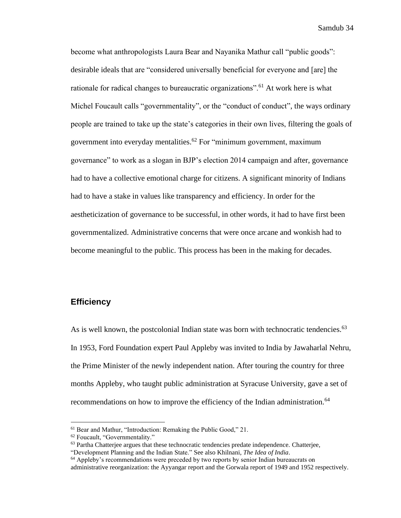become what anthropologists Laura Bear and Nayanika Mathur call "public goods": desirable ideals that are "considered universally beneficial for everyone and [are] the rationale for radical changes to bureaucratic organizations".<sup>61</sup> At work here is what Michel Foucault calls "governmentality", or the "conduct of conduct", the ways ordinary people are trained to take up the state's categories in their own lives, filtering the goals of government into everyday mentalities. <sup>62</sup> For "minimum government, maximum governance" to work as a slogan in BJP's election 2014 campaign and after, governance had to have a collective emotional charge for citizens. A significant minority of Indians had to have a stake in values like transparency and efficiency. In order for the aestheticization of governance to be successful, in other words, it had to have first been governmentalized. Administrative concerns that were once arcane and wonkish had to become meaningful to the public. This process has been in the making for decades.

#### <span id="page-35-0"></span>**Efficiency**

As is well known, the postcolonial Indian state was born with technocratic tendencies.<sup>63</sup> In 1953, Ford Foundation expert Paul Appleby was invited to India by Jawaharlal Nehru, the Prime Minister of the newly independent nation. After touring the country for three months Appleby, who taught public administration at Syracuse University, gave a set of recommendations on how to improve the efficiency of the Indian administration.<sup>64</sup>

<sup>61</sup> Bear and Mathur, "Introduction: Remaking the Public Good," 21.

<sup>62</sup> Foucault, "Governmentality."

 $<sup>63</sup>$  Partha Chatterjee argues that these technocratic tendencies predate independence. Chatterjee,</sup>

<sup>&</sup>quot;Development Planning and the Indian State." See also Khilnani, *The Idea of India*.

<sup>&</sup>lt;sup>64</sup> Appleby's recommendations were preceded by two reports by senior Indian bureaucrats on administrative reorganization: the Ayyangar report and the Gorwala report of 1949 and 1952 respectively.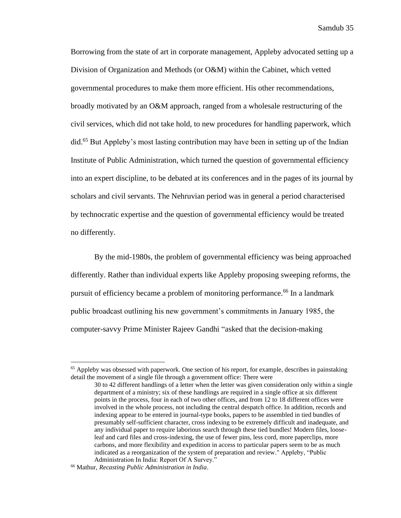Borrowing from the state of art in corporate management, Appleby advocated setting up a Division of Organization and Methods (or O&M) within the Cabinet, which vetted governmental procedures to make them more efficient. His other recommendations, broadly motivated by an O&M approach, ranged from a wholesale restructuring of the civil services, which did not take hold, to new procedures for handling paperwork, which did.<sup>65</sup> But Appleby's most lasting contribution may have been in setting up of the Indian Institute of Public Administration, which turned the question of governmental efficiency into an expert discipline, to be debated at its conferences and in the pages of its journal by scholars and civil servants. The Nehruvian period was in general a period characterised by technocratic expertise and the question of governmental efficiency would be treated no differently.

By the mid-1980s, the problem of governmental efficiency was being approached differently. Rather than individual experts like Appleby proposing sweeping reforms, the pursuit of efficiency became a problem of monitoring performance.<sup>66</sup> In a landmark public broadcast outlining his new government's commitments in January 1985, the computer-savvy Prime Minister Rajeev Gandhi "asked that the decision-making

 $<sup>65</sup>$  Appleby was obsessed with paperwork. One section of his report, for example, describes in painstaking</sup> detail the movement of a single file through a government office: There were

<sup>30</sup> to 42 different handlings of a letter when the letter was given consideration only within a single department of a ministry; six of these handlings are required in a single office at six different points in the process, four in each of two other offices, and from 12 to 18 different offices were involved in the whole process, not including the central despatch office. In addition, records and indexing appear to be entered in journal-type books, papers to be assembled in tied bundles of presumably self-sufficient character, cross indexing to be extremely difficult and inadequate, and any individual paper to require laborious search through these tied bundles! Modern files, looseleaf and card files and cross-indexing, the use of fewer pins, less cord, more paperclips, more carbons, and more flexibility and expedition in access to particular papers seem to be as much indicated as a reorganization of the system of preparation and review." Appleby, "Public Administration In India: Report Of A Survey."

<sup>66</sup> Mathur, *Recasting Public Administration in India*.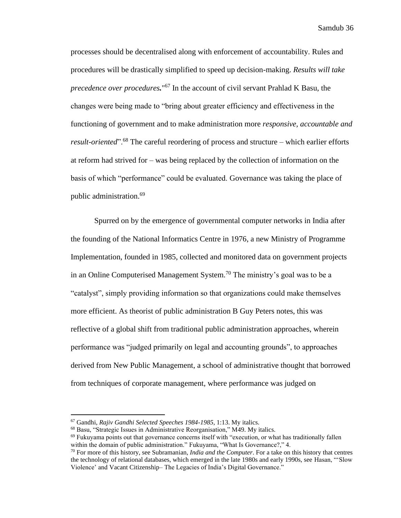processes should be decentralised along with enforcement of accountability. Rules and procedures will be drastically simplified to speed up decision-making. *Results will take precedence over procedures.*" <sup>67</sup> In the account of civil servant Prahlad K Basu, the changes were being made to "bring about greater efficiency and effectiveness in the functioning of government and to make administration more *responsive, accountable and result-oriented*".<sup>68</sup> The careful reordering of process and structure – which earlier efforts at reform had strived for – was being replaced by the collection of information on the basis of which "performance" could be evaluated. Governance was taking the place of public administration.<sup>69</sup>

Spurred on by the emergence of governmental computer networks in India after the founding of the National Informatics Centre in 1976, a new Ministry of Programme Implementation, founded in 1985, collected and monitored data on government projects in an Online Computerised Management System.<sup>70</sup> The ministry's goal was to be a "catalyst", simply providing information so that organizations could make themselves more efficient. As theorist of public administration B Guy Peters notes, this was reflective of a global shift from traditional public administration approaches, wherein performance was "judged primarily on legal and accounting grounds", to approaches derived from New Public Management, a school of administrative thought that borrowed from techniques of corporate management, where performance was judged on

<sup>67</sup> Gandhi, *Rajiv Gandhi Selected Speeches 1984-1985*, 1:13. My italics.

<sup>68</sup> Basu, "Strategic Issues in Administrative Reorganisation," M49. My italics.

 $69$  Fukuyama points out that governance concerns itself with "execution, or what has traditionally fallen within the domain of public administration." Fukuyama, "What Is Governance?," 4.

<sup>70</sup> For more of this history, see Subramanian, *India and the Computer*. For a take on this history that centres the technology of relational databases, which emerged in the late 1980s and early 1990s, see Hasan, "'Slow Violence' and Vacant Citizenship– The Legacies of India's Digital Governance."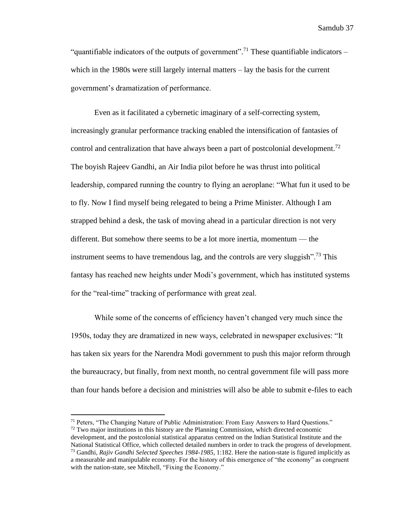"quantifiable indicators of the outputs of government".<sup>71</sup> These quantifiable indicators – which in the 1980s were still largely internal matters – lay the basis for the current government's dramatization of performance.

Even as it facilitated a cybernetic imaginary of a self-correcting system, increasingly granular performance tracking enabled the intensification of fantasies of control and centralization that have always been a part of postcolonial development.<sup>72</sup> The boyish Rajeev Gandhi, an Air India pilot before he was thrust into political leadership, compared running the country to flying an aeroplane: "What fun it used to be to fly. Now I find myself being relegated to being a Prime Minister. Although I am strapped behind a desk, the task of moving ahead in a particular direction is not very different. But somehow there seems to be a lot more inertia, momentum — the instrument seems to have tremendous lag, and the controls are very sluggish".<sup>73</sup> This fantasy has reached new heights under Modi's government, which has instituted systems for the "real-time" tracking of performance with great zeal.

While some of the concerns of efficiency haven't changed very much since the 1950s, today they are dramatized in new ways, celebrated in newspaper exclusives: "It has taken six years for the Narendra Modi government to push this major reform through the bureaucracy, but finally, from next month, no central government file will pass more than four hands before a decision and ministries will also be able to submit e-files to each

 $71$  Peters, "The Changing Nature of Public Administration: From Easy Answers to Hard Ouestions."  $72$  Two major institutions in this history are the Planning Commission, which directed economic development, and the postcolonial statistical apparatus centred on the Indian Statistical Institute and the National Statistical Office, which collected detailed numbers in order to track the progress of development. <sup>73</sup> Gandhi, *Rajiv Gandhi Selected Speeches 1984-1985*, 1:182. Here the nation-state is figured implicitly as

a measurable and manipulable economy. For the history of this emergence of "the economy" as congruent with the nation-state, see Mitchell, "Fixing the Economy."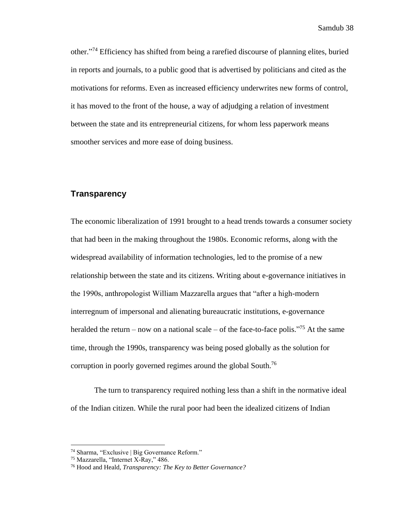other." <sup>74</sup> Efficiency has shifted from being a rarefied discourse of planning elites, buried in reports and journals, to a public good that is advertised by politicians and cited as the motivations for reforms. Even as increased efficiency underwrites new forms of control, it has moved to the front of the house, a way of adjudging a relation of investment between the state and its entrepreneurial citizens, for whom less paperwork means smoother services and more ease of doing business.

## **Transparency**

The economic liberalization of 1991 brought to a head trends towards a consumer society that had been in the making throughout the 1980s. Economic reforms, along with the widespread availability of information technologies, led to the promise of a new relationship between the state and its citizens. Writing about e-governance initiatives in the 1990s, anthropologist William Mazzarella argues that "after a high-modern interregnum of impersonal and alienating bureaucratic institutions, e-governance heralded the return – now on a national scale – of the face-to-face polis."<sup>75</sup> At the same time, through the 1990s, transparency was being posed globally as the solution for corruption in poorly governed regimes around the global South.<sup>76</sup>

The turn to transparency required nothing less than a shift in the normative ideal of the Indian citizen. While the rural poor had been the idealized citizens of Indian

<sup>74</sup> Sharma, "Exclusive | Big Governance Reform."

<sup>75</sup> Mazzarella, "Internet X-Ray," 486.

<sup>76</sup> Hood and Heald, *Transparency: The Key to Better Governance?*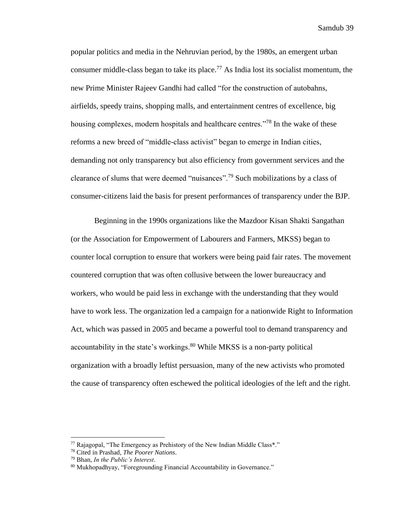popular politics and media in the Nehruvian period, by the 1980s, an emergent urban consumer middle-class began to take its place.<sup>77</sup> As India lost its socialist momentum, the new Prime Minister Rajeev Gandhi had called "for the construction of autobahns, airfields, speedy trains, shopping malls, and entertainment centres of excellence, big housing complexes, modern hospitals and healthcare centres."<sup>78</sup> In the wake of these reforms a new breed of "middle-class activist" began to emerge in Indian cities, demanding not only transparency but also efficiency from government services and the clearance of slums that were deemed "nuisances".<sup>79</sup> Such mobilizations by a class of consumer-citizens laid the basis for present performances of transparency under the BJP.

Beginning in the 1990s organizations like the Mazdoor Kisan Shakti Sangathan (or the Association for Empowerment of Labourers and Farmers, MKSS) began to counter local corruption to ensure that workers were being paid fair rates. The movement countered corruption that was often collusive between the lower bureaucracy and workers, who would be paid less in exchange with the understanding that they would have to work less. The organization led a campaign for a nationwide Right to Information Act, which was passed in 2005 and became a powerful tool to demand transparency and accountability in the state's workings. $80$  While MKSS is a non-party political organization with a broadly leftist persuasion, many of the new activists who promoted the cause of transparency often eschewed the political ideologies of the left and the right.

 $77$  Rajagopal, "The Emergency as Prehistory of the New Indian Middle Class\*."

<sup>78</sup> Cited in Prashad, *The Poorer Nations*.

<sup>79</sup> Bhan, *In the Public's Interest*.

<sup>80</sup> Mukhopadhyay, "Foregrounding Financial Accountability in Governance."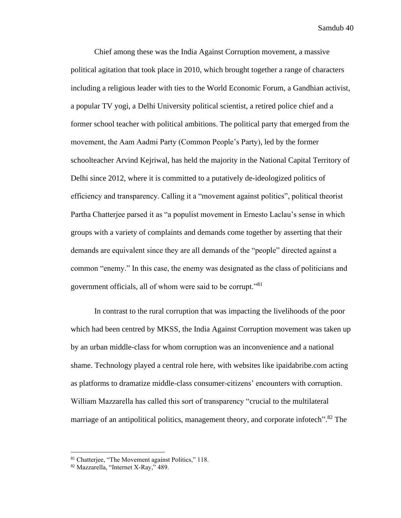Chief among these was the India Against Corruption movement, a massive political agitation that took place in 2010, which brought together a range of characters including a religious leader with ties to the World Economic Forum, a Gandhian activist, a popular TV yogi, a Delhi University political scientist, a retired police chief and a former school teacher with political ambitions. The political party that emerged from the movement, the Aam Aadmi Party (Common People's Party), led by the former schoolteacher Arvind Kejriwal, has held the majority in the National Capital Territory of Delhi since 2012, where it is committed to a putatively de-ideologized politics of efficiency and transparency. Calling it a "movement against politics", political theorist Partha Chatterjee parsed it as "a populist movement in Ernesto Laclau's sense in which groups with a variety of complaints and demands come together by asserting that their demands are equivalent since they are all demands of the "people" directed against a common "enemy." In this case, the enemy was designated as the class of politicians and government officials, all of whom were said to be corrupt."<sup>81</sup>

In contrast to the rural corruption that was impacting the livelihoods of the poor which had been centred by MKSS, the India Against Corruption movement was taken up by an urban middle-class for whom corruption was an inconvenience and a national shame. Technology played a central role here, with websites like ipaidabribe.com acting as platforms to dramatize middle-class consumer-citizens' encounters with corruption. William Mazzarella has called this sort of transparency "crucial to the multilateral marriage of an antipolitical politics, management theory, and corporate infotech".<sup>82</sup> The

<sup>81</sup> Chatterjee, "The Movement against Politics," 118.

<sup>82</sup> Mazzarella, "Internet X-Ray," 489.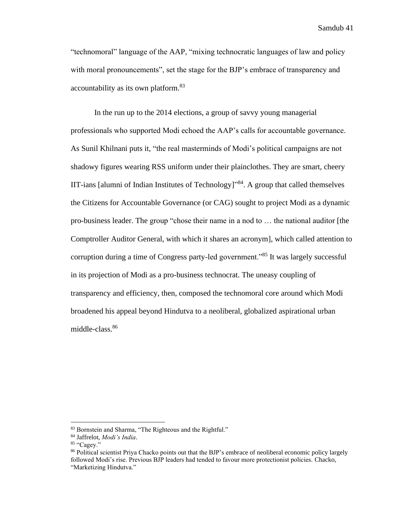"technomoral" language of the AAP, "mixing technocratic languages of law and policy with moral pronouncements", set the stage for the BJP's embrace of transparency and accountability as its own platform.<sup>83</sup>

In the run up to the 2014 elections, a group of savvy young managerial professionals who supported Modi echoed the AAP's calls for accountable governance. As Sunil Khilnani puts it, "the real masterminds of Modi's political campaigns are not shadowy figures wearing RSS uniform under their plainclothes. They are smart, cheery IIT-ians [alumni of Indian Institutes of Technology]<sup>384</sup>. A group that called themselves the Citizens for Accountable Governance (or CAG) sought to project Modi as a dynamic pro-business leader. The group "chose their name in a nod to … the national auditor [the Comptroller Auditor General, with which it shares an acronym], which called attention to corruption during a time of Congress party-led government."<sup>85</sup> It was largely successful in its projection of Modi as a pro-business technocrat. The uneasy coupling of transparency and efficiency, then, composed the technomoral core around which Modi broadened his appeal beyond Hindutva to a neoliberal, globalized aspirational urban middle-class.<sup>86</sup>

<sup>83</sup> Bornstein and Sharma, "The Righteous and the Rightful."

<sup>84</sup> Jaffrelot, *Modi's India*.

<sup>85 &</sup>quot;Cagey."

<sup>&</sup>lt;sup>86</sup> Political scientist Priya Chacko points out that the BJP's embrace of neoliberal economic policy largely followed Modi's rise. Previous BJP leaders had tended to favour more protectionist policies. Chacko, "Marketizing Hindutva."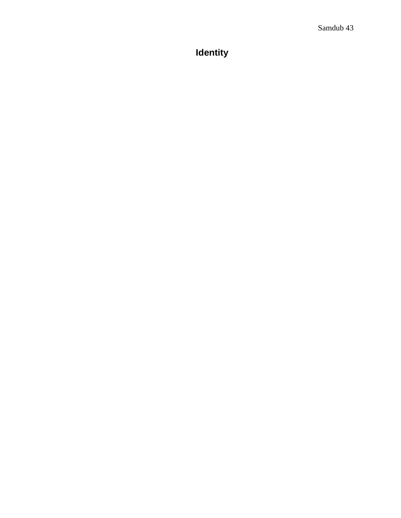# **Identity**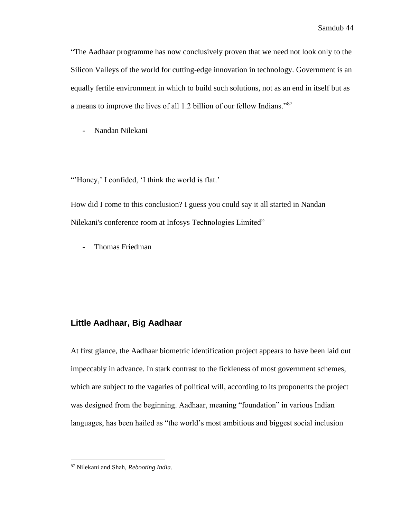"The Aadhaar programme has now conclusively proven that we need not look only to the Silicon Valleys of the world for cutting-edge innovation in technology. Government is an equally fertile environment in which to build such solutions, not as an end in itself but as a means to improve the lives of all 1.2 billion of our fellow Indians."<sup>87</sup>

- Nandan Nilekani

"'Honey,' I confided, 'I think the world is flat.'

How did I come to this conclusion? I guess you could say it all started in Nandan Nilekani's conference room at Infosys Technologies Limited"

- Thomas Friedman

### **Little Aadhaar, Big Aadhaar**

At first glance, the Aadhaar biometric identification project appears to have been laid out impeccably in advance. In stark contrast to the fickleness of most government schemes, which are subject to the vagaries of political will, according to its proponents the project was designed from the beginning. Aadhaar, meaning "foundation" in various Indian languages, has been hailed as "the world's most ambitious and biggest social inclusion

<sup>87</sup> Nilekani and Shah, *Rebooting India*.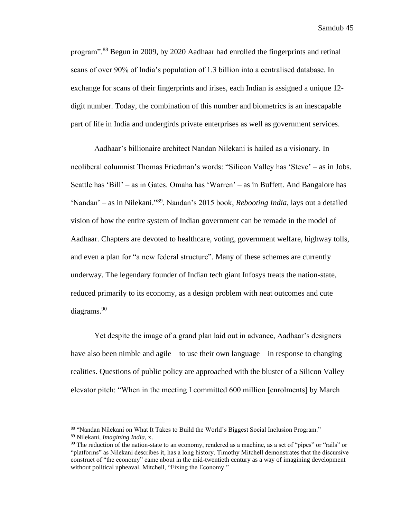program".<sup>88</sup> Begun in 2009, by 2020 Aadhaar had enrolled the fingerprints and retinal scans of over 90% of India's population of 1.3 billion into a centralised database. In exchange for scans of their fingerprints and irises, each Indian is assigned a unique 12 digit number. Today, the combination of this number and biometrics is an inescapable part of life in India and undergirds private enterprises as well as government services.

Aadhaar's billionaire architect Nandan Nilekani is hailed as a visionary. In neoliberal columnist Thomas Friedman's words: "Silicon Valley has 'Steve' – as in Jobs. Seattle has 'Bill' – as in Gates. Omaha has 'Warren' – as in Buffett. And Bangalore has 'Nandan' – as in Nilekani."<sup>89</sup>. Nandan's 2015 book, *Rebooting India*, lays out a detailed vision of how the entire system of Indian government can be remade in the model of Aadhaar. Chapters are devoted to healthcare, voting, government welfare, highway tolls, and even a plan for "a new federal structure". Many of these schemes are currently underway. The legendary founder of Indian tech giant Infosys treats the nation-state, reduced primarily to its economy, as a design problem with neat outcomes and cute diagrams.<sup>90</sup>

Yet despite the image of a grand plan laid out in advance, Aadhaar's designers have also been nimble and agile – to use their own language – in response to changing realities. Questions of public policy are approached with the bluster of a Silicon Valley elevator pitch: "When in the meeting I committed 600 million [enrolments] by March

<sup>88 &</sup>quot;Nandan Nilekani on What It Takes to Build the World's Biggest Social Inclusion Program." <sup>89</sup> Nilekani, *Imagining India*, x.

 $90$  The reduction of the nation-state to an economy, rendered as a machine, as a set of "pipes" or "rails" or "platforms" as Nilekani describes it, has a long history. Timothy Mitchell demonstrates that the discursive construct of "the economy" came about in the mid-twentieth century as a way of imagining development without political upheaval. Mitchell, "Fixing the Economy."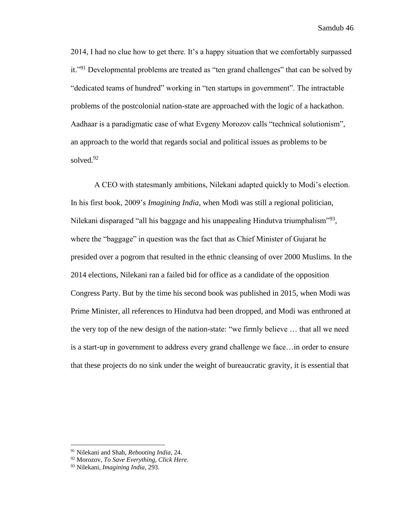2014, I had no clue how to get there. It's a happy situation that we comfortably surpassed it."<sup>91</sup> Developmental problems are treated as "ten grand challenges" that can be solved by "dedicated teams of hundred" working in "ten startups in government". The intractable problems of the postcolonial nation-state are approached with the logic of a hackathon. Aadhaar is a paradigmatic case of what Evgeny Morozov calls "technical solutionism", an approach to the world that regards social and political issues as problems to be solved. 92

A CEO with statesmanly ambitions, Nilekani adapted quickly to Modi's election. In his first book, 2009's *Imagining India*, when Modi was still a regional politician, Nilekani disparaged "all his baggage and his unappealing Hindutva triumphalism"<sup>93</sup>, where the "baggage" in question was the fact that as Chief Minister of Gujarat he presided over a pogrom that resulted in the ethnic cleansing of over 2000 Muslims. In the 2014 elections, Nilekani ran a failed bid for office as a candidate of the opposition Congress Party. But by the time his second book was published in 2015, when Modi was Prime Minister, all references to Hindutva had been dropped, and Modi was enthroned at the very top of the new design of the nation-state: "we firmly believe … that all we need is a start-up in government to address every grand challenge we face…in order to ensure that these projects do no sink under the weight of bureaucratic gravity, it is essential that

<sup>91</sup> Nilekani and Shah, *Rebooting India*, 24.

<sup>92</sup> Morozov, *To Save Everything, Click Here*.

<sup>93</sup> Nilekani, *Imagining India*, 293.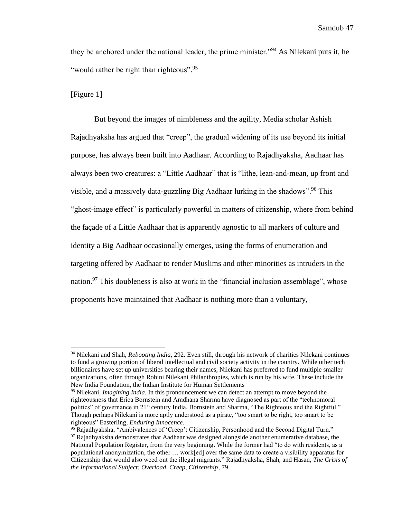they be anchored under the national leader, the prime minister."<sup>94</sup> As Nilekani puts it, he "would rather be right than righteous".<sup>95</sup>

[Figure 1]

But beyond the images of nimbleness and the agility, Media scholar Ashish Rajadhyaksha has argued that "creep", the gradual widening of its use beyond its initial purpose, has always been built into Aadhaar. According to Rajadhyaksha, Aadhaar has always been two creatures: a "Little Aadhaar" that is "lithe, lean-and-mean, up front and visible, and a massively data-guzzling Big Aadhaar lurking in the shadows".<sup>96</sup> This "ghost-image effect" is particularly powerful in matters of citizenship, where from behind the façade of a Little Aadhaar that is apparently agnostic to all markers of culture and identity a Big Aadhaar occasionally emerges, using the forms of enumeration and targeting offered by Aadhaar to render Muslims and other minorities as intruders in the nation.<sup>97</sup> This doubleness is also at work in the "financial inclusion assemblage", whose proponents have maintained that Aadhaar is nothing more than a voluntary,

<sup>94</sup> Nilekani and Shah, *Rebooting India*, 292. Even still, through his network of charities Nilekani continues to fund a growing portion of liberal intellectual and civil society activity in the country. While other tech billionaires have set up universities bearing their names, Nilekani has preferred to fund multiple smaller organizations, often through Rohini Nilekani Philanthropies, which is run by his wife. These include the New India Foundation, the Indian Institute for Human Settlements

<sup>95</sup> Nilekani, *Imagining India*. In this pronouncement we can detect an attempt to move beyond the righteousness that Erica Bornstein and Aradhana Sharma have diagnosed as part of the "technomoral politics" of governance in 21<sup>st</sup> century India. Bornstein and Sharma, "The Righteous and the Rightful." Though perhaps Nilekani is more aptly understood as a pirate, "too smart to be right, too smart to be righteous" Easterling, *Enduring Innocence*.

<sup>&</sup>lt;sup>96</sup> Rajadhyaksha, "Ambivalences of 'Creep': Citizenship, Personhood and the Second Digital Turn."  $97$  Rajadhyaksha demonstrates that Aadhaar was designed alongside another enumerative database, the National Population Register, from the very beginning. While the former had "to do with residents, as a populational anonymization, the other … work[ed] over the same data to create a visibility apparatus for Citizenship that would also weed out the illegal migrants." Rajadhyaksha, Shah, and Hasan, *The Crisis of the Informational Subject: Overload, Creep, Citizenship*, 79.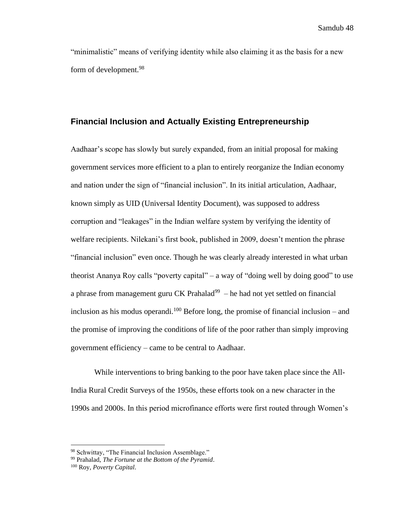"minimalistic" means of verifying identity while also claiming it as the basis for a new form of development.<sup>98</sup>

### **Financial Inclusion and Actually Existing Entrepreneurship**

Aadhaar's scope has slowly but surely expanded, from an initial proposal for making government services more efficient to a plan to entirely reorganize the Indian economy and nation under the sign of "financial inclusion". In its initial articulation, Aadhaar, known simply as UID (Universal Identity Document), was supposed to address corruption and "leakages" in the Indian welfare system by verifying the identity of welfare recipients. Nilekani's first book, published in 2009, doesn't mention the phrase "financial inclusion" even once. Though he was clearly already interested in what urban theorist Ananya Roy calls "poverty capital" – a way of "doing well by doing good" to use a phrase from management guru CK Prahalad $99 -$ he had not yet settled on financial inclusion as his modus operandi.<sup>100</sup> Before long, the promise of financial inclusion – and the promise of improving the conditions of life of the poor rather than simply improving government efficiency – came to be central to Aadhaar.

While interventions to bring banking to the poor have taken place since the All-India Rural Credit Surveys of the 1950s, these efforts took on a new character in the 1990s and 2000s. In this period microfinance efforts were first routed through Women's

<sup>98</sup> Schwittay, "The Financial Inclusion Assemblage."

<sup>99</sup> Prahalad, *The Fortune at the Bottom of the Pyramid*.

<sup>100</sup> Roy, *Poverty Capital*.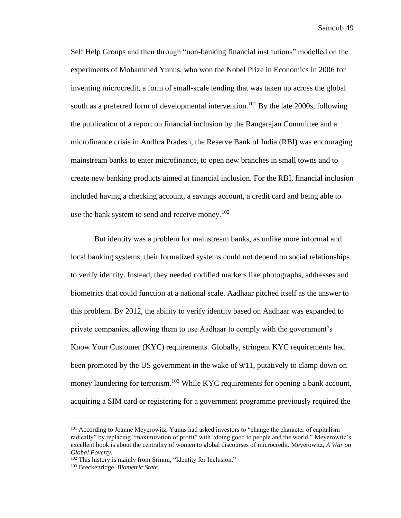Self Help Groups and then through "non-banking financial institutions" modelled on the experiments of Mohammed Yunus, who won the Nobel Prize in Economics in 2006 for inventing microcredit, a form of small-scale lending that was taken up across the global south as a preferred form of developmental intervention.<sup>101</sup> By the late 2000s, following the publication of a report on financial inclusion by the Rangarajan Committee and a microfinance crisis in Andhra Pradesh, the Reserve Bank of India (RBI) was encouraging mainstream banks to enter microfinance, to open new branches in small towns and to create new banking products aimed at financial inclusion. For the RBI, financial inclusion included having a checking account, a savings account, a credit card and being able to use the bank system to send and receive money.<sup>102</sup>

But identity was a problem for mainstream banks, as unlike more informal and local banking systems, their formalized systems could not depend on social relationships to verify identity. Instead, they needed codified markers like photographs, addresses and biometrics that could function at a national scale. Aadhaar pitched itself as the answer to this problem. By 2012, the ability to verify identity based on Aadhaar was expanded to private companies, allowing them to use Aadhaar to comply with the government's Know Your Customer (KYC) requirements. Globally, stringent KYC requirements had been promoted by the US government in the wake of 9/11, putatively to clamp down on money laundering for terrorism.<sup>103</sup> While KYC requirements for opening a bank account, acquiring a SIM card or registering for a government programme previously required the

<sup>&</sup>lt;sup>101</sup> According to Joanne Meyerowitz, Yunus had asked investors to "change the character of capitalism" radically" by replacing "maximization of profit" with "doing good to people and the world." Meyerowitz's excellent book is about the centrality of women to global discourses of microcredit. Meyerowitz, *A War on Global Poverty*.

<sup>102</sup> This history is mainly from Sriram, "Identity for Inclusion."

<sup>103</sup> Breckenridge, *Biometric State*.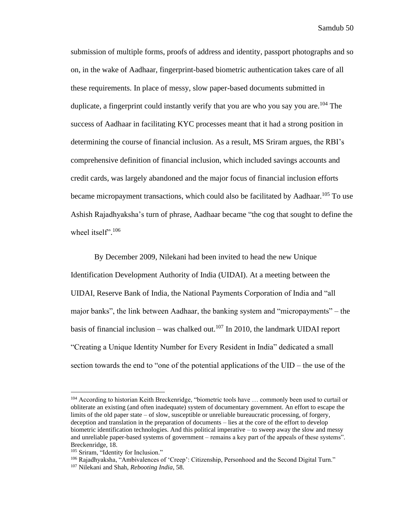submission of multiple forms, proofs of address and identity, passport photographs and so on, in the wake of Aadhaar, fingerprint-based biometric authentication takes care of all these requirements. In place of messy, slow paper-based documents submitted in duplicate, a fingerprint could instantly verify that you are who you say you are.<sup>104</sup> The success of Aadhaar in facilitating KYC processes meant that it had a strong position in determining the course of financial inclusion. As a result, MS Sriram argues, the RBI's comprehensive definition of financial inclusion, which included savings accounts and credit cards, was largely abandoned and the major focus of financial inclusion efforts became micropayment transactions, which could also be facilitated by Aadhaar.<sup>105</sup> To use Ashish Rajadhyaksha's turn of phrase, Aadhaar became "the cog that sought to define the wheel itself".<sup>106</sup>

By December 2009, Nilekani had been invited to head the new Unique Identification Development Authority of India (UIDAI). At a meeting between the UIDAI, Reserve Bank of India, the National Payments Corporation of India and "all major banks", the link between Aadhaar, the banking system and "micropayments" – the basis of financial inclusion – was chalked out.<sup>107</sup> In 2010, the landmark UIDAI report "Creating a Unique Identity Number for Every Resident in India" dedicated a small section towards the end to "one of the potential applications of the UID – the use of the

<sup>&</sup>lt;sup>104</sup> According to historian Keith Breckenridge, "biometric tools have ... commonly been used to curtail or obliterate an existing (and often inadequate) system of documentary government. An effort to escape the limits of the old paper state – of slow, susceptible or unreliable bureaucratic processing, of forgery, deception and translation in the preparation of documents – lies at the core of the effort to develop biometric identification technologies. And this political imperative – to sweep away the slow and messy and unreliable paper-based systems of government – remains a key part of the appeals of these systems". Breckenridge, 18.

<sup>105</sup> Sriram, "Identity for Inclusion."

<sup>&</sup>lt;sup>106</sup> Rajadhyaksha, "Ambivalences of 'Creep': Citizenship, Personhood and the Second Digital Turn."

<sup>107</sup> Nilekani and Shah, *Rebooting India*, 58.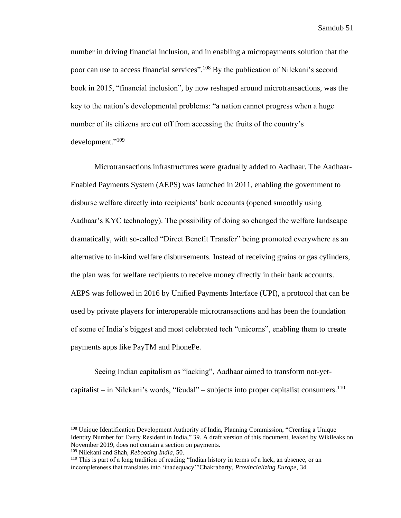number in driving financial inclusion, and in enabling a micropayments solution that the poor can use to access financial services".<sup>108</sup> By the publication of Nilekani's second book in 2015, "financial inclusion", by now reshaped around microtransactions, was the key to the nation's developmental problems: "a nation cannot progress when a huge number of its citizens are cut off from accessing the fruits of the country's development." 109

Microtransactions infrastructures were gradually added to Aadhaar. The Aadhaar-Enabled Payments System (AEPS) was launched in 2011, enabling the government to disburse welfare directly into recipients' bank accounts (opened smoothly using Aadhaar's KYC technology). The possibility of doing so changed the welfare landscape dramatically, with so-called "Direct Benefit Transfer" being promoted everywhere as an alternative to in-kind welfare disbursements. Instead of receiving grains or gas cylinders, the plan was for welfare recipients to receive money directly in their bank accounts. AEPS was followed in 2016 by Unified Payments Interface (UPI), a protocol that can be used by private players for interoperable microtransactions and has been the foundation of some of India's biggest and most celebrated tech "unicorns", enabling them to create payments apps like PayTM and PhonePe.

Seeing Indian capitalism as "lacking", Aadhaar aimed to transform not-yetcapitalist – in Nilekani's words, "feudal" – subjects into proper capitalist consumers.<sup>110</sup>

<sup>109</sup> Nilekani and Shah, *Rebooting India*, 50.

<sup>108</sup> Unique Identification Development Authority of India, Planning Commission, "Creating a Unique Identity Number for Every Resident in India," 39. A draft version of this document, leaked by Wikileaks on November 2019, does not contain a section on payments.

<sup>110</sup> This is part of a long tradition of reading "Indian history in terms of a lack, an absence, or an incompleteness that translates into 'inadequacy'"Chakrabarty, *Provincializing Europe*, 34.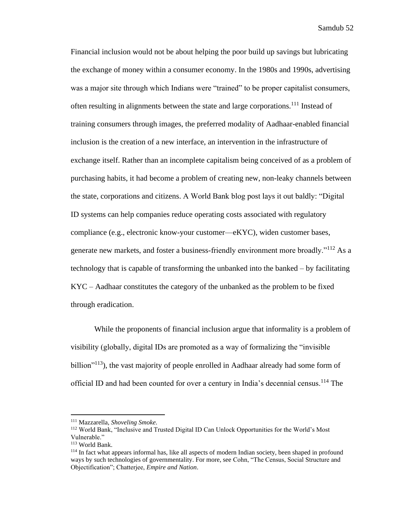Financial inclusion would not be about helping the poor build up savings but lubricating the exchange of money within a consumer economy. In the 1980s and 1990s, advertising was a major site through which Indians were "trained" to be proper capitalist consumers, often resulting in alignments between the state and large corporations.<sup>111</sup> Instead of training consumers through images, the preferred modality of Aadhaar-enabled financial inclusion is the creation of a new interface, an intervention in the infrastructure of exchange itself. Rather than an incomplete capitalism being conceived of as a problem of purchasing habits, it had become a problem of creating new, non-leaky channels between the state, corporations and citizens. A World Bank blog post lays it out baldly: "Digital ID systems can help companies reduce operating costs associated with regulatory compliance (e.g., electronic know-your customer—eKYC), widen customer bases, generate new markets, and foster a business-friendly environment more broadly."<sup>112</sup> As a technology that is capable of transforming the unbanked into the banked – by facilitating KYC – Aadhaar constitutes the category of the unbanked as the problem to be fixed through eradication.

While the proponents of financial inclusion argue that informality is a problem of visibility (globally, digital IDs are promoted as a way of formalizing the "invisible billion<sup>"113</sup>), the vast majority of people enrolled in Aadhaar already had some form of official ID and had been counted for over a century in India's decennial census.<sup>114</sup> The

<sup>111</sup> Mazzarella, *Shoveling Smoke*.

<sup>112</sup> World Bank, "Inclusive and Trusted Digital ID Can Unlock Opportunities for the World's Most Vulnerable."

<sup>113</sup> World Bank.

<sup>&</sup>lt;sup>114</sup> In fact what appears informal has, like all aspects of modern Indian society, been shaped in profound ways by such technologies of governmentality. For more, see Cohn, "The Census, Social Structure and Objectification"; Chatterjee, *Empire and Nation*.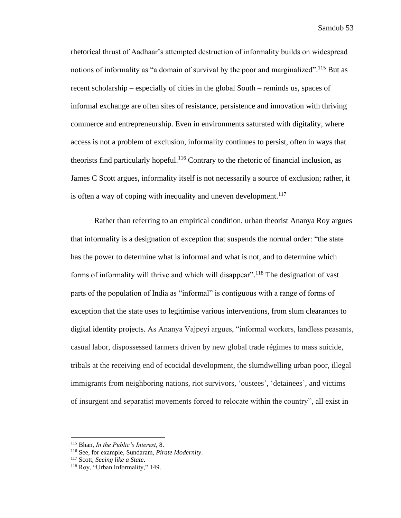rhetorical thrust of Aadhaar's attempted destruction of informality builds on widespread notions of informality as "a domain of survival by the poor and marginalized".<sup>115</sup> But as recent scholarship – especially of cities in the global South – reminds us, spaces of informal exchange are often sites of resistance, persistence and innovation with thriving commerce and entrepreneurship. Even in environments saturated with digitality, where access is not a problem of exclusion, informality continues to persist, often in ways that theorists find particularly hopeful.<sup>116</sup> Contrary to the rhetoric of financial inclusion, as James C Scott argues, informality itself is not necessarily a source of exclusion; rather, it is often a way of coping with inequality and uneven development.<sup>117</sup>

Rather than referring to an empirical condition, urban theorist Ananya Roy argues that informality is a designation of exception that suspends the normal order: "the state has the power to determine what is informal and what is not, and to determine which forms of informality will thrive and which will disappear".<sup>118</sup> The designation of vast parts of the population of India as "informal" is contiguous with a range of forms of exception that the state uses to legitimise various interventions, from slum clearances to digital identity projects. As Ananya Vajpeyi argues, "informal workers, landless peasants, casual labor, dispossessed farmers driven by new global trade régimes to mass suicide, tribals at the receiving end of ecocidal development, the slumdwelling urban poor, illegal immigrants from neighboring nations, riot survivors, 'oustees', 'detainees', and victims of insurgent and separatist movements forced to relocate within the country", all exist in

<sup>115</sup> Bhan, *In the Public's Interest*, 8.

<sup>116</sup> See, for example, Sundaram, *Pirate Modernity*.

<sup>117</sup> Scott, *Seeing like a State*.

<sup>118</sup> Roy, "Urban Informality," 149.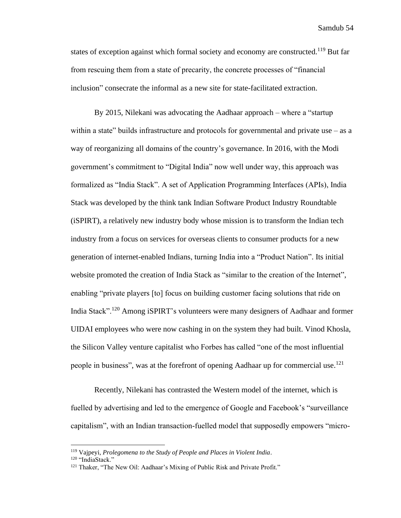states of exception against which formal society and economy are constructed.<sup>119</sup> But far from rescuing them from a state of precarity, the concrete processes of "financial inclusion" consecrate the informal as a new site for state-facilitated extraction.

By 2015, Nilekani was advocating the Aadhaar approach – where a "startup within a state" builds infrastructure and protocols for governmental and private use  $-$  as a way of reorganizing all domains of the country's governance. In 2016, with the Modi government's commitment to "Digital India" now well under way, this approach was formalized as "India Stack". A set of Application Programming Interfaces (APIs), India Stack was developed by the think tank Indian Software Product Industry Roundtable (iSPIRT), a relatively new industry body whose mission is to transform the Indian tech industry from a focus on services for overseas clients to consumer products for a new generation of internet-enabled Indians, turning India into a "Product Nation". Its initial website promoted the creation of India Stack as "similar to the creation of the Internet", enabling "private players [to] focus on building customer facing solutions that ride on India Stack".<sup>120</sup> Among iSPIRT's volunteers were many designers of Aadhaar and former UIDAI employees who were now cashing in on the system they had built. Vinod Khosla, the Silicon Valley venture capitalist who Forbes has called "one of the most influential people in business", was at the forefront of opening Aadhaar up for commercial use.<sup>121</sup>

Recently, Nilekani has contrasted the Western model of the internet, which is fuelled by advertising and led to the emergence of Google and Facebook's "surveillance capitalism", with an Indian transaction-fuelled model that supposedly empowers "micro-

<sup>119</sup> Vajpeyi, *Prolegomena to the Study of People and Places in Violent India*.

<sup>120 &</sup>quot;IndiaStack."

<sup>&</sup>lt;sup>121</sup> Thaker, "The New Oil: Aadhaar's Mixing of Public Risk and Private Profit."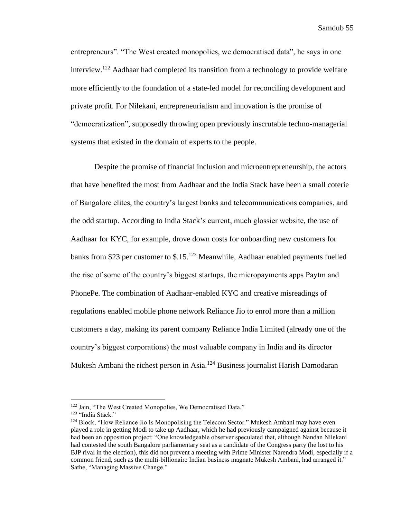entrepreneurs". "The West created monopolies, we democratised data", he says in one interview.<sup>122</sup> Aadhaar had completed its transition from a technology to provide welfare more efficiently to the foundation of a state-led model for reconciling development and private profit. For Nilekani, entrepreneurialism and innovation is the promise of "democratization", supposedly throwing open previously inscrutable techno-managerial systems that existed in the domain of experts to the people.

Despite the promise of financial inclusion and microentrepreneurship, the actors that have benefited the most from Aadhaar and the India Stack have been a small coterie of Bangalore elites, the country's largest banks and telecommunications companies, and the odd startup. According to India Stack's current, much glossier website, the use of Aadhaar for KYC, for example, drove down costs for onboarding new customers for banks from \$23 per customer to  $$.15<sup>.123</sup>$  Meanwhile, Aadhaar enabled payments fuelled the rise of some of the country's biggest startups, the micropayments apps Paytm and PhonePe. The combination of Aadhaar-enabled KYC and creative misreadings of regulations enabled mobile phone network Reliance Jio to enrol more than a million customers a day, making its parent company Reliance India Limited (already one of the country's biggest corporations) the most valuable company in India and its director Mukesh Ambani the richest person in Asia.<sup>124</sup> Business journalist Harish Damodaran

<sup>&</sup>lt;sup>122</sup> Jain, "The West Created Monopolies, We Democratised Data."

<sup>123</sup> "India Stack."

 $124$  Block, "How Reliance Jio Is Monopolising the Telecom Sector." Mukesh Ambani may have even played a role in getting Modi to take up Aadhaar, which he had previously campaigned against because it had been an opposition project: "One knowledgeable observer speculated that, although Nandan Nilekani had contested the south Bangalore parliamentary seat as a candidate of the Congress party (he lost to his BJP rival in the election), this did not prevent a meeting with Prime Minister Narendra Modi, especially if a common friend, such as the multi-billionaire Indian business magnate Mukesh Ambani, had arranged it." Sathe, "Managing Massive Change."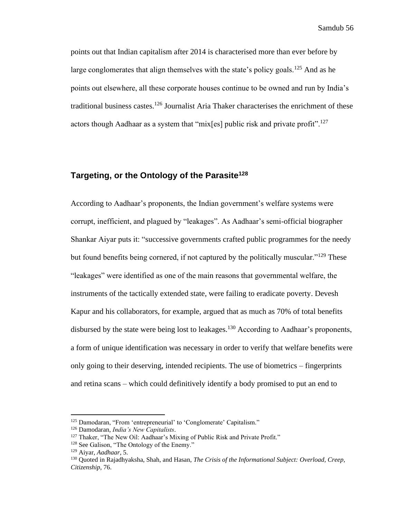points out that Indian capitalism after 2014 is characterised more than ever before by large conglomerates that align themselves with the state's policy goals.<sup>125</sup> And as he points out elsewhere, all these corporate houses continue to be owned and run by India's traditional business castes.<sup>126</sup> Journalist Aria Thaker characterises the enrichment of these actors though Aadhaar as a system that "mix[es] public risk and private profit".<sup>127</sup>

# **Targeting, or the Ontology of the Parasite<sup>128</sup>**

According to Aadhaar's proponents, the Indian government's welfare systems were corrupt, inefficient, and plagued by "leakages". As Aadhaar's semi-official biographer Shankar Aiyar puts it: "successive governments crafted public programmes for the needy but found benefits being cornered, if not captured by the politically muscular."<sup>129</sup> These "leakages" were identified as one of the main reasons that governmental welfare, the instruments of the tactically extended state, were failing to eradicate poverty. Devesh Kapur and his collaborators, for example, argued that as much as 70% of total benefits disbursed by the state were being lost to leakages.<sup>130</sup> According to Aadhaar's proponents, a form of unique identification was necessary in order to verify that welfare benefits were only going to their deserving, intended recipients. The use of biometrics – fingerprints and retina scans – which could definitively identify a body promised to put an end to

<sup>&</sup>lt;sup>125</sup> Damodaran, "From 'entrepreneurial' to 'Conglomerate' Capitalism."

<sup>126</sup> Damodaran, *India's New Capitalists*.

<sup>&</sup>lt;sup>127</sup> Thaker, "The New Oil: Aadhaar's Mixing of Public Risk and Private Profit."

<sup>&</sup>lt;sup>128</sup> See Galison, "The Ontology of the Enemy."

<sup>129</sup> Aiyar, *Aadhaar*, 5.

<sup>130</sup> Quoted in Rajadhyaksha, Shah, and Hasan, *The Crisis of the Informational Subject: Overload, Creep, Citizenship*, 76.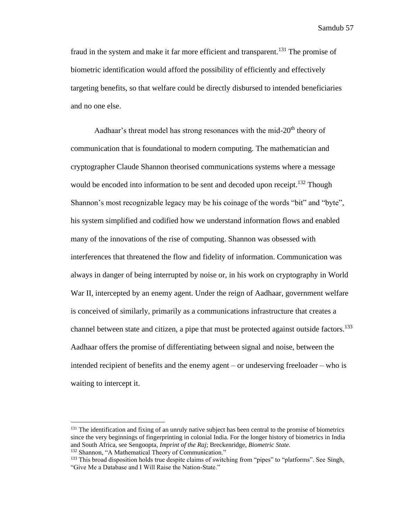fraud in the system and make it far more efficient and transparent.<sup>131</sup> The promise of biometric identification would afford the possibility of efficiently and effectively targeting benefits, so that welfare could be directly disbursed to intended beneficiaries and no one else.

Aadhaar's threat model has strong resonances with the mid-20<sup>th</sup> theory of communication that is foundational to modern computing. The mathematician and cryptographer Claude Shannon theorised communications systems where a message would be encoded into information to be sent and decoded upon receipt.<sup>132</sup> Though Shannon's most recognizable legacy may be his coinage of the words "bit" and "byte", his system simplified and codified how we understand information flows and enabled many of the innovations of the rise of computing. Shannon was obsessed with interferences that threatened the flow and fidelity of information. Communication was always in danger of being interrupted by noise or, in his work on cryptography in World War II, intercepted by an enemy agent. Under the reign of Aadhaar, government welfare is conceived of similarly, primarily as a communications infrastructure that creates a channel between state and citizen, a pipe that must be protected against outside factors.<sup>133</sup> Aadhaar offers the promise of differentiating between signal and noise, between the intended recipient of benefits and the enemy agent – or undeserving freeloader – who is waiting to intercept it.

<sup>&</sup>lt;sup>131</sup> The identification and fixing of an unruly native subject has been central to the promise of biometrics since the very beginnings of fingerprinting in colonial India. For the longer history of biometrics in India and South Africa, see Sengoopta, *Imprint of the Raj*; Breckenridge, *Biometric State*.

<sup>132</sup> Shannon, "A Mathematical Theory of Communication."

<sup>&</sup>lt;sup>133</sup> This broad disposition holds true despite claims of switching from "pipes" to "platforms". See Singh, "Give Me a Database and I Will Raise the Nation-State."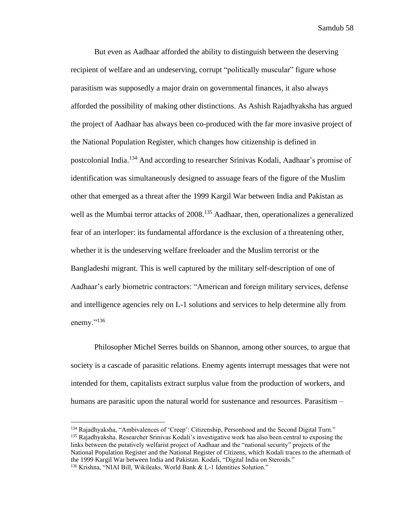But even as Aadhaar afforded the ability to distinguish between the deserving recipient of welfare and an undeserving, corrupt "politically muscular" figure whose parasitism was supposedly a major drain on governmental finances, it also always afforded the possibility of making other distinctions. As Ashish Rajadhyaksha has argued the project of Aadhaar has always been co-produced with the far more invasive project of the National Population Register, which changes how citizenship is defined in postcolonial India. <sup>134</sup> And according to researcher Srinivas Kodali, Aadhaar's promise of identification was simultaneously designed to assuage fears of the figure of the Muslim other that emerged as a threat after the 1999 Kargil War between India and Pakistan as well as the Mumbai terror attacks of 2008.<sup>135</sup> Aadhaar, then, operationalizes a generalized fear of an interloper: its fundamental affordance is the exclusion of a threatening other, whether it is the undeserving welfare freeloader and the Muslim terrorist or the Bangladeshi migrant. This is well captured by the military self-description of one of Aadhaar's early biometric contractors: "American and foreign military services, defense and intelligence agencies rely on L-1 solutions and services to help determine ally from enemy."<sup>136</sup>

Philosopher Michel Serres builds on Shannon, among other sources, to argue that society is a cascade of parasitic relations. Enemy agents interrupt messages that were not intended for them, capitalists extract surplus value from the production of workers, and humans are parasitic upon the natural world for sustenance and resources. Parasitism –

<sup>134</sup> Rajadhyaksha, "Ambivalences of 'Creep': Citizenship, Personhood and the Second Digital Turn." <sup>135</sup> Rajadhyaksha. Researcher Srinivas Kodali's investigative work has also been central to exposing the links between the putatively welfarist project of Aadhaar and the "national security" projects of the National Population Register and the National Register of Citizens, which Kodali traces to the aftermath of the 1999 Kargil War between India and Pakistan. Kodali, "Digital India on Steroids." <sup>136</sup> Krishna, "NIAI Bill, Wikileaks, World Bank & L-1 Identities Solution."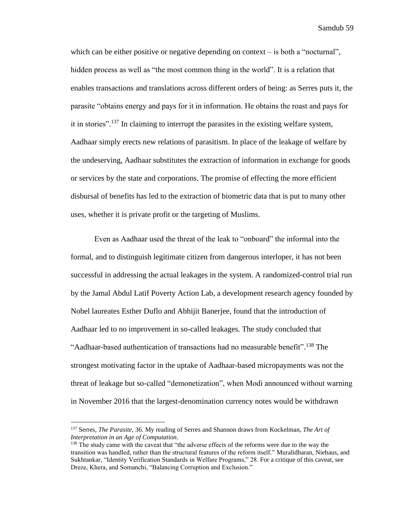which can be either positive or negative depending on context – is both a "nocturnal", hidden process as well as "the most common thing in the world". It is a relation that enables transactions and translations across different orders of being: as Serres puts it, the parasite "obtains energy and pays for it in information. He obtains the roast and pays for it in stories".<sup>137</sup> In claiming to interrupt the parasites in the existing welfare system, Aadhaar simply erects new relations of parasitism. In place of the leakage of welfare by the undeserving, Aadhaar substitutes the extraction of information in exchange for goods or services by the state and corporations. The promise of effecting the more efficient disbursal of benefits has led to the extraction of biometric data that is put to many other uses, whether it is private profit or the targeting of Muslims.

Even as Aadhaar used the threat of the leak to "onboard" the informal into the formal, and to distinguish legitimate citizen from dangerous interloper, it has not been successful in addressing the actual leakages in the system. A randomized-control trial run by the Jamal Abdul Latif Poverty Action Lab, a development research agency founded by Nobel laureates Esther Duflo and Abhijit Banerjee, found that the introduction of Aadhaar led to no improvement in so-called leakages. The study concluded that "Aadhaar-based authentication of transactions had no measurable benefit".<sup>138</sup> The strongest motivating factor in the uptake of Aadhaar-based micropayments was not the threat of leakage but so-called "demonetization", when Modi announced without warning in November 2016 that the largest-denomination currency notes would be withdrawn

<sup>137</sup> Serres, *The Parasite*, 36. My reading of Serres and Shannon draws from Kockelman, *The Art of Interpretation in an Age of Computation*.

<sup>&</sup>lt;sup>138</sup> The study came with the caveat that "the adverse effects of the reforms were due to the way the transition was handled, rather than the structural features of the reform itself." Muralidharan, Niehaus, and Sukhtankar, "Identity Verification Standards in Welfare Programs," 28. For a critique of this caveat, see Dreze, Khera, and Somanchi, "Balancing Corruption and Exclusion."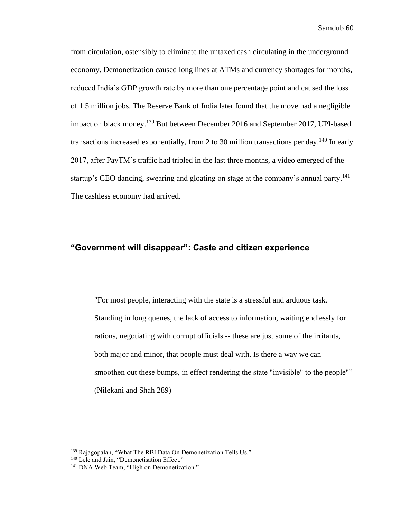from circulation, ostensibly to eliminate the untaxed cash circulating in the underground economy. Demonetization caused long lines at ATMs and currency shortages for months, reduced India's GDP growth rate by more than one percentage point and caused the loss of 1.5 million jobs. The Reserve Bank of India later found that the move had a negligible impact on black money.<sup>139</sup> But between December 2016 and September 2017, UPI-based transactions increased exponentially, from 2 to 30 million transactions per day.<sup>140</sup> In early 2017, after PayTM's traffic had tripled in the last three months, a video emerged of the startup's CEO dancing, swearing and gloating on stage at the company's annual party.<sup>141</sup> The cashless economy had arrived.

### **"Government will disappear": Caste and citizen experience**

"For most people, interacting with the state is a stressful and arduous task. Standing in long queues, the lack of access to information, waiting endlessly for rations, negotiating with corrupt officials -- these are just some of the irritants, both major and minor, that people must deal with. Is there a way we can smoothen out these bumps, in effect rendering the state "invisible" to the people"" (Nilekani and Shah 289)

<sup>139</sup> Rajagopalan, "What The RBI Data On Demonetization Tells Us."

<sup>&</sup>lt;sup>140</sup> Lele and Jain, "Demonetisation Effect."

<sup>&</sup>lt;sup>141</sup> DNA Web Team, "High on Demonetization."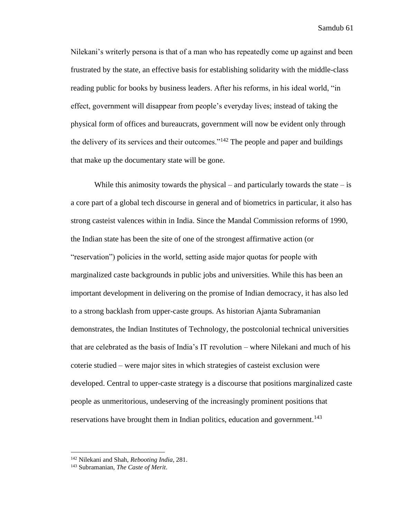Nilekani's writerly persona is that of a man who has repeatedly come up against and been frustrated by the state, an effective basis for establishing solidarity with the middle-class reading public for books by business leaders. After his reforms, in his ideal world, "in effect, government will disappear from people's everyday lives; instead of taking the physical form of offices and bureaucrats, government will now be evident only through the delivery of its services and their outcomes." $142$  The people and paper and buildings that make up the documentary state will be gone.

While this animosity towards the physical – and particularly towards the state – is a core part of a global tech discourse in general and of biometrics in particular, it also has strong casteist valences within in India. Since the Mandal Commission reforms of 1990, the Indian state has been the site of one of the strongest affirmative action (or "reservation") policies in the world, setting aside major quotas for people with marginalized caste backgrounds in public jobs and universities. While this has been an important development in delivering on the promise of Indian democracy, it has also led to a strong backlash from upper-caste groups. As historian Ajanta Subramanian demonstrates, the Indian Institutes of Technology, the postcolonial technical universities that are celebrated as the basis of India's IT revolution – where Nilekani and much of his coterie studied – were major sites in which strategies of casteist exclusion were developed. Central to upper-caste strategy is a discourse that positions marginalized caste people as unmeritorious, undeserving of the increasingly prominent positions that reservations have brought them in Indian politics, education and government.<sup>143</sup>

<sup>142</sup> Nilekani and Shah, *Rebooting India*, 281.

<sup>143</sup> Subramanian, *The Caste of Merit*.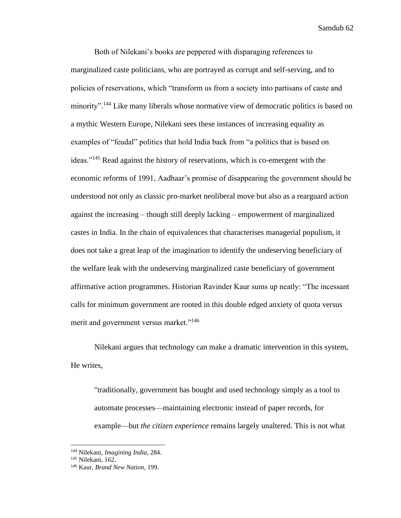Both of Nilekani's books are peppered with disparaging references to marginalized caste politicians, who are portrayed as corrupt and self-serving, and to policies of reservations, which "transform us from a society into partisans of caste and minority".<sup>144</sup> Like many liberals whose normative view of democratic politics is based on a mythic Western Europe, Nilekani sees these instances of increasing equality as examples of "feudal" politics that hold India back from "a politics that is based on ideas."<sup>145</sup> Read against the history of reservations, which is co-emergent with the economic reforms of 1991, Aadhaar's promise of disappearing the government should be understood not only as classic pro-market neoliberal move but also as a rearguard action against the increasing – though still deeply lacking – empowerment of marginalized castes in India. In the chain of equivalences that characterises managerial populism, it does not take a great leap of the imagination to identify the undeserving beneficiary of the welfare leak with the undeserving marginalized caste beneficiary of government affirmative action programmes. Historian Ravinder Kaur sums up neatly: "The incessant calls for minimum government are rooted in this double edged anxiety of quota versus merit and government versus market."<sup>146</sup>

Nilekani argues that technology can make a dramatic intervention in this system, He writes,

"traditionally, government has bought and used technology simply as a tool to automate processes—maintaining electronic instead of paper records, for example—but *the citizen experience* remains largely unaltered. This is not what

<sup>144</sup> Nilekani, *Imagining India*, 284.

<sup>145</sup> Nilekani, 162.

<sup>146</sup> Kaur, *Brand New Nation*, 199.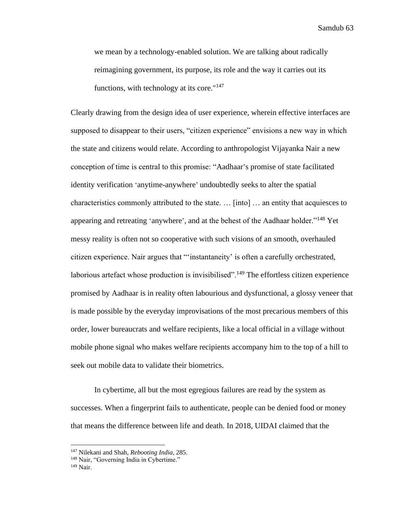we mean by a technology-enabled solution. We are talking about radically reimagining government, its purpose, its role and the way it carries out its functions, with technology at its core." $147$ 

Clearly drawing from the design idea of user experience, wherein effective interfaces are supposed to disappear to their users, "citizen experience" envisions a new way in which the state and citizens would relate. According to anthropologist Vijayanka Nair a new conception of time is central to this promise: "Aadhaar's promise of state facilitated identity verification 'anytime-anywhere' undoubtedly seeks to alter the spatial characteristics commonly attributed to the state. … [into] … an entity that acquiesces to appearing and retreating 'anywhere', and at the behest of the Aadhaar holder."<sup>148</sup> Yet messy reality is often not so cooperative with such visions of an smooth, overhauled citizen experience. Nair argues that "'instantaneity' is often a carefully orchestrated, laborious artefact whose production is invisibilised".<sup>149</sup> The effortless citizen experience promised by Aadhaar is in reality often labourious and dysfunctional, a glossy veneer that is made possible by the everyday improvisations of the most precarious members of this order, lower bureaucrats and welfare recipients, like a local official in a village without mobile phone signal who makes welfare recipients accompany him to the top of a hill to seek out mobile data to validate their biometrics.

In cybertime, all but the most egregious failures are read by the system as successes. When a fingerprint fails to authenticate, people can be denied food or money that means the difference between life and death. In 2018, UIDAI claimed that the

<sup>147</sup> Nilekani and Shah, *Rebooting India*, 285.

<sup>&</sup>lt;sup>148</sup> Nair, "Governing India in Cybertime."

<sup>149</sup> Nair.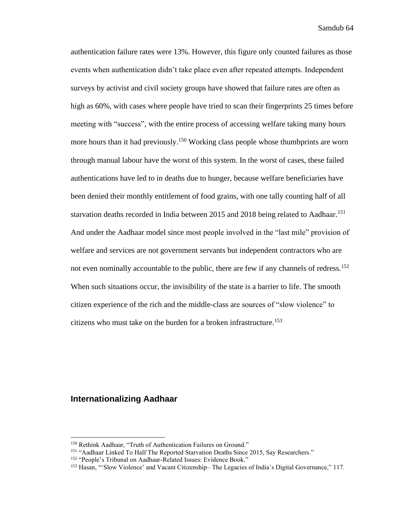authentication failure rates were 13%. However, this figure only counted failures as those events when authentication didn't take place even after repeated attempts. Independent surveys by activist and civil society groups have showed that failure rates are often as high as 60%, with cases where people have tried to scan their fingerprints 25 times before meeting with "success", with the entire process of accessing welfare taking many hours more hours than it had previously.<sup>150</sup> Working class people whose thumbprints are worn through manual labour have the worst of this system. In the worst of cases, these failed authentications have led to in deaths due to hunger, because welfare beneficiaries have been denied their monthly entitlement of food grains, with one tally counting half of all starvation deaths recorded in India between 2015 and 2018 being related to Aadhaar.<sup>151</sup> And under the Aadhaar model since most people involved in the "last mile" provision of welfare and services are not government servants but independent contractors who are not even nominally accountable to the public, there are few if any channels of redress.<sup>152</sup> When such situations occur, the invisibility of the state is a barrier to life. The smooth citizen experience of the rich and the middle-class are sources of "slow violence" to citizens who must take on the burden for a broken infrastructure.<sup>153</sup>

### **Internationalizing Aadhaar**

<sup>150</sup> Rethink Aadhaar, "Truth of Authentication Failures on Ground."

<sup>&</sup>lt;sup>151</sup> "Aadhaar Linked To Half The Reported Starvation Deaths Since 2015, Say Researchers."

<sup>152</sup> "People's Tribunal on Aadhaar-Related Issues: Evidence Book."

<sup>153</sup> Hasan, "'Slow Violence' and Vacant Citizenship– The Legacies of India's Digital Governance," 117.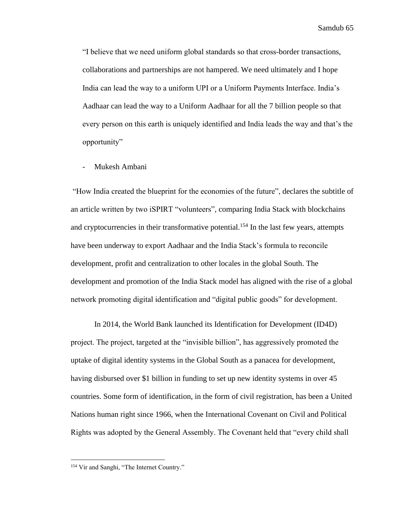"I believe that we need uniform global standards so that cross-border transactions, collaborations and partnerships are not hampered. We need ultimately and I hope India can lead the way to a uniform UPI or a Uniform Payments Interface. India's Aadhaar can lead the way to a Uniform Aadhaar for all the 7 billion people so that every person on this earth is uniquely identified and India leads the way and that's the opportunity"

Mukesh Ambani

"How India created the blueprint for the economies of the future", declares the subtitle of an article written by two iSPIRT "volunteers", comparing India Stack with blockchains and cryptocurrencies in their transformative potential.<sup>154</sup> In the last few years, attempts have been underway to export Aadhaar and the India Stack's formula to reconcile development, profit and centralization to other locales in the global South. The development and promotion of the India Stack model has aligned with the rise of a global network promoting digital identification and "digital public goods" for development.

In 2014, the World Bank launched its Identification for Development (ID4D) project. The project, targeted at the "invisible billion", has aggressively promoted the uptake of digital identity systems in the Global South as a panacea for development, having disbursed over \$1 billion in funding to set up new identity systems in over 45 countries. Some form of identification, in the form of civil registration, has been a United Nations human right since 1966, when the International Covenant on Civil and Political Rights was adopted by the General Assembly. The Covenant held that "every child shall

<sup>&</sup>lt;sup>154</sup> Vir and Sanghi, "The Internet Country."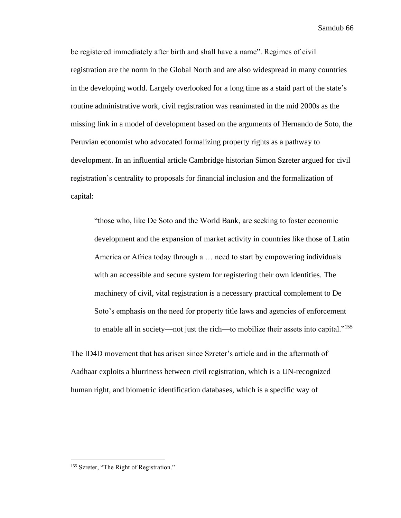be registered immediately after birth and shall have a name". Regimes of civil registration are the norm in the Global North and are also widespread in many countries in the developing world. Largely overlooked for a long time as a staid part of the state's routine administrative work, civil registration was reanimated in the mid 2000s as the missing link in a model of development based on the arguments of Hernando de Soto, the Peruvian economist who advocated formalizing property rights as a pathway to development. In an influential article Cambridge historian Simon Szreter argued for civil registration's centrality to proposals for financial inclusion and the formalization of capital:

"those who, like De Soto and the World Bank, are seeking to foster economic development and the expansion of market activity in countries like those of Latin America or Africa today through a … need to start by empowering individuals with an accessible and secure system for registering their own identities. The machinery of civil, vital registration is a necessary practical complement to De Soto's emphasis on the need for property title laws and agencies of enforcement to enable all in society—not just the rich—to mobilize their assets into capital."<sup>155</sup>

The ID4D movement that has arisen since Szreter's article and in the aftermath of Aadhaar exploits a blurriness between civil registration, which is a UN-recognized human right, and biometric identification databases, which is a specific way of

<sup>&</sup>lt;sup>155</sup> Szreter, "The Right of Registration."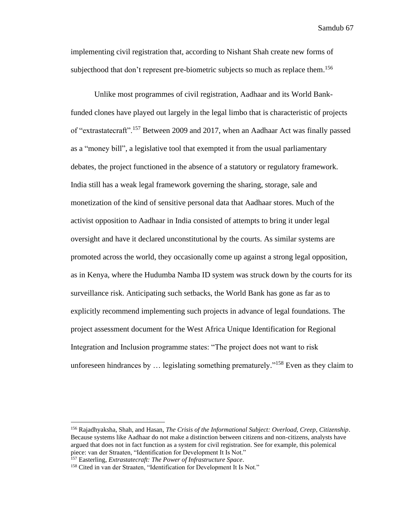implementing civil registration that, according to Nishant Shah create new forms of subjecthood that don't represent pre-biometric subjects so much as replace them.<sup>156</sup>

Unlike most programmes of civil registration, Aadhaar and its World Bankfunded clones have played out largely in the legal limbo that is characteristic of projects of "extrastatecraft".<sup>157</sup> Between 2009 and 2017, when an Aadhaar Act was finally passed as a "money bill", a legislative tool that exempted it from the usual parliamentary debates, the project functioned in the absence of a statutory or regulatory framework. India still has a weak legal framework governing the sharing, storage, sale and monetization of the kind of sensitive personal data that Aadhaar stores. Much of the activist opposition to Aadhaar in India consisted of attempts to bring it under legal oversight and have it declared unconstitutional by the courts. As similar systems are promoted across the world, they occasionally come up against a strong legal opposition, as in Kenya, where the Hudumba Namba ID system was struck down by the courts for its surveillance risk. Anticipating such setbacks, the World Bank has gone as far as to explicitly recommend implementing such projects in advance of legal foundations. The project assessment document for the West Africa Unique Identification for Regional Integration and Inclusion programme states: "The project does not want to risk unforeseen hindrances by  $\ldots$  legislating something prematurely."<sup>158</sup> Even as they claim to

<sup>156</sup> Rajadhyaksha, Shah, and Hasan, *The Crisis of the Informational Subject: Overload, Creep, Citizenship*. Because systems like Aadhaar do not make a distinction between citizens and non-citizens, analysts have argued that does not in fact function as a system for civil registration. See for example, this polemical piece: van der Straaten, "Identification for Development It Is Not."

<sup>157</sup> Easterling, *Extrastatecraft: The Power of Infrastructure Space*.

<sup>&</sup>lt;sup>158</sup> Cited in van der Straaten, "Identification for Development It Is Not."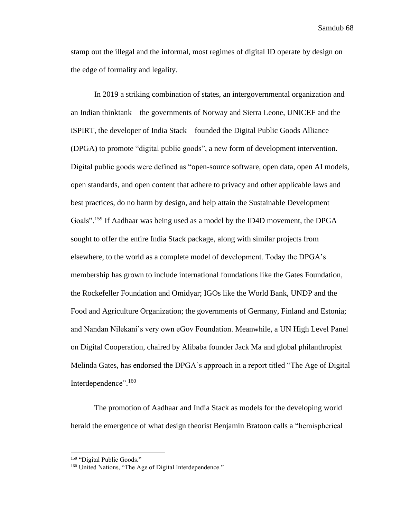stamp out the illegal and the informal, most regimes of digital ID operate by design on the edge of formality and legality.

In 2019 a striking combination of states, an intergovernmental organization and an Indian thinktank – the governments of Norway and Sierra Leone, UNICEF and the iSPIRT, the developer of India Stack – founded the Digital Public Goods Alliance (DPGA) to promote "digital public goods", a new form of development intervention. Digital public goods were defined as "open-source software, open data, open AI models, open standards, and open content that adhere to privacy and other applicable laws and best practices, do no harm by design, and help attain the Sustainable Development Goals".<sup>159</sup> If Aadhaar was being used as a model by the ID4D movement, the DPGA sought to offer the entire India Stack package, along with similar projects from elsewhere, to the world as a complete model of development. Today the DPGA's membership has grown to include international foundations like the Gates Foundation, the Rockefeller Foundation and Omidyar; IGOs like the World Bank, UNDP and the Food and Agriculture Organization; the governments of Germany, Finland and Estonia; and Nandan Nilekani's very own eGov Foundation. Meanwhile, a UN High Level Panel on Digital Cooperation, chaired by Alibaba founder Jack Ma and global philanthropist Melinda Gates, has endorsed the DPGA's approach in a report titled "The Age of Digital Interdependence".<sup>160</sup>

The promotion of Aadhaar and India Stack as models for the developing world herald the emergence of what design theorist Benjamin Bratoon calls a "hemispherical

<sup>159</sup> "Digital Public Goods."

<sup>&</sup>lt;sup>160</sup> United Nations, "The Age of Digital Interdependence."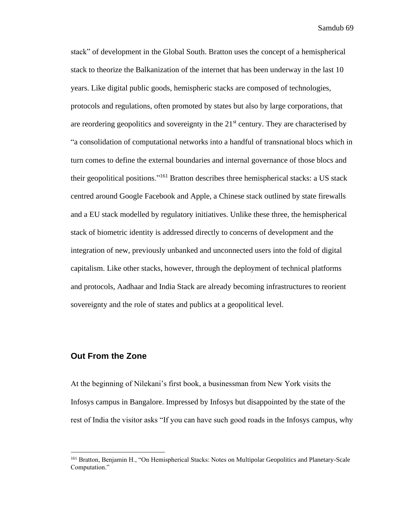stack" of development in the Global South. Bratton uses the concept of a hemispherical stack to theorize the Balkanization of the internet that has been underway in the last 10 years. Like digital public goods, hemispheric stacks are composed of technologies, protocols and regulations, often promoted by states but also by large corporations, that are reordering geopolitics and sovereignty in the  $21<sup>st</sup>$  century. They are characterised by "a consolidation of computational networks into a handful of transnational blocs which in turn comes to define the external boundaries and internal governance of those blocs and their geopolitical positions."<sup>161</sup> Bratton describes three hemispherical stacks: a US stack centred around Google Facebook and Apple, a Chinese stack outlined by state firewalls and a EU stack modelled by regulatory initiatives. Unlike these three, the hemispherical stack of biometric identity is addressed directly to concerns of development and the integration of new, previously unbanked and unconnected users into the fold of digital capitalism. Like other stacks, however, through the deployment of technical platforms and protocols, Aadhaar and India Stack are already becoming infrastructures to reorient sovereignty and the role of states and publics at a geopolitical level.

## **Out From the Zone**

At the beginning of Nilekani's first book, a businessman from New York visits the Infosys campus in Bangalore. Impressed by Infosys but disappointed by the state of the rest of India the visitor asks "If you can have such good roads in the Infosys campus, why

<sup>&</sup>lt;sup>161</sup> Bratton, Benjamin H., "On Hemispherical Stacks: Notes on Multipolar Geopolitics and Planetary-Scale Computation."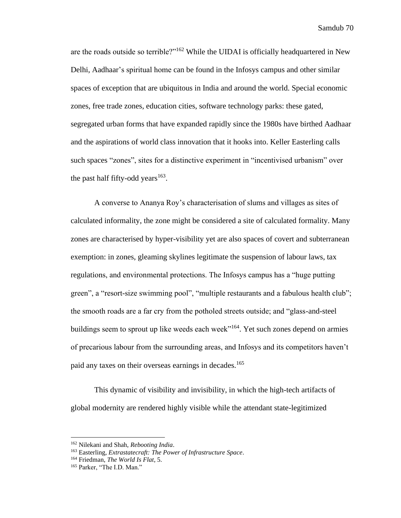are the roads outside so terrible?"<sup>162</sup> While the UIDAI is officially headquartered in New Delhi, Aadhaar's spiritual home can be found in the Infosys campus and other similar spaces of exception that are ubiquitous in India and around the world. Special economic zones, free trade zones, education cities, software technology parks: these gated, segregated urban forms that have expanded rapidly since the 1980s have birthed Aadhaar and the aspirations of world class innovation that it hooks into. Keller Easterling calls such spaces "zones", sites for a distinctive experiment in "incentivised urbanism" over the past half fifty-odd years $^{163}$ .

A converse to Ananya Roy's characterisation of slums and villages as sites of calculated informality, the zone might be considered a site of calculated formality. Many zones are characterised by hyper-visibility yet are also spaces of covert and subterranean exemption: in zones, gleaming skylines legitimate the suspension of labour laws, tax regulations, and environmental protections. The Infosys campus has a "huge putting green", a "resort-size swimming pool", "multiple restaurants and a fabulous health club"; the smooth roads are a far cry from the potholed streets outside; and "glass-and-steel buildings seem to sprout up like weeds each week"<sup>164</sup>. Yet such zones depend on armies of precarious labour from the surrounding areas, and Infosys and its competitors haven't paid any taxes on their overseas earnings in decades.<sup>165</sup>

This dynamic of visibility and invisibility, in which the high-tech artifacts of global modernity are rendered highly visible while the attendant state-legitimized

<sup>162</sup> Nilekani and Shah, *Rebooting India*.

<sup>163</sup> Easterling, *Extrastatecraft: The Power of Infrastructure Space*.

<sup>164</sup> Friedman, *The World Is Flat*, 5.

<sup>165</sup> Parker, "The I.D. Man."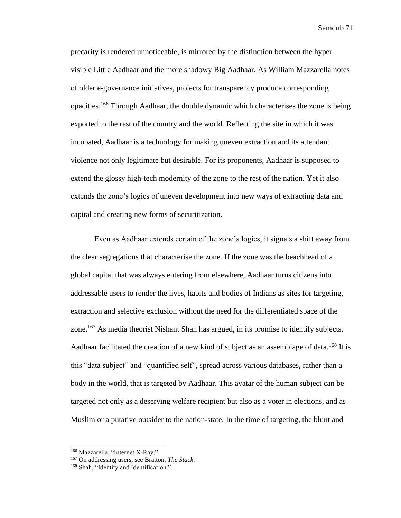precarity is rendered unnoticeable, is mirrored by the distinction between the hyper visible Little Aadhaar and the more shadowy Big Aadhaar. As William Mazzarella notes of older e-governance initiatives, projects for transparency produce corresponding opacities.<sup>166</sup> Through Aadhaar, the double dynamic which characterises the zone is being exported to the rest of the country and the world. Reflecting the site in which it was incubated, Aadhaar is a technology for making uneven extraction and its attendant violence not only legitimate but desirable. For its proponents, Aadhaar is supposed to extend the glossy high-tech modernity of the zone to the rest of the nation. Yet it also extends the zone's logics of uneven development into new ways of extracting data and capital and creating new forms of securitization.

Even as Aadhaar extends certain of the zone's logics, it signals a shift away from the clear segregations that characterise the zone. If the zone was the beachhead of a global capital that was always entering from elsewhere, Aadhaar turns citizens into addressable users to render the lives, habits and bodies of Indians as sites for targeting, extraction and selective exclusion without the need for the differentiated space of the zone.<sup>167</sup> As media theorist Nishant Shah has argued, in its promise to identify subjects, Aadhaar facilitated the creation of a new kind of subject as an assemblage of data.<sup>168</sup> It is this "data subject" and "quantified self", spread across various databases, rather than a body in the world, that is targeted by Aadhaar. This avatar of the human subject can be targeted not only as a deserving welfare recipient but also as a voter in elections, and as Muslim or a putative outsider to the nation-state. In the time of targeting, the blunt and

<sup>166</sup> Mazzarella, "Internet X-Ray."

<sup>167</sup> On addressing users, see Bratton, *The Stack*.

<sup>&</sup>lt;sup>168</sup> Shah, "Identity and Identification."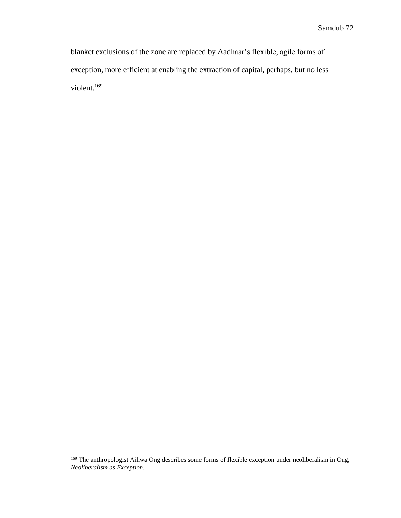blanket exclusions of the zone are replaced by Aadhaar's flexible, agile forms of exception, more efficient at enabling the extraction of capital, perhaps, but no less violent. 169

<sup>&</sup>lt;sup>169</sup> The anthropologist Aihwa Ong describes some forms of flexible exception under neoliberalism in Ong, *Neoliberalism as Exception*.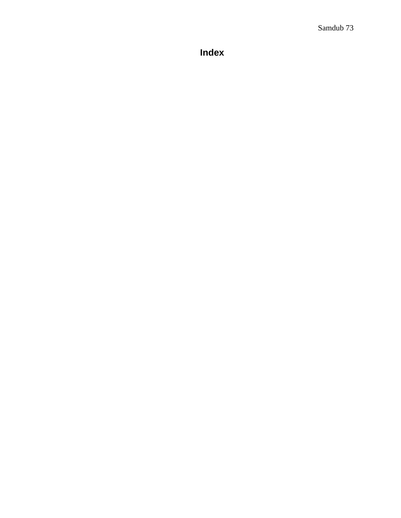**Index**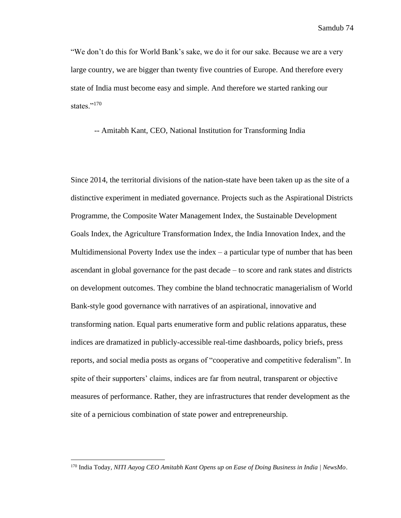"We don't do this for World Bank's sake, we do it for our sake. Because we are a very large country, we are bigger than twenty five countries of Europe. And therefore every state of India must become easy and simple. And therefore we started ranking our states."<sup>170</sup>

-- Amitabh Kant, CEO, National Institution for Transforming India

Since 2014, the territorial divisions of the nation-state have been taken up as the site of a distinctive experiment in mediated governance. Projects such as the Aspirational Districts Programme, the Composite Water Management Index, the Sustainable Development Goals Index, the Agriculture Transformation Index, the India Innovation Index, and the Multidimensional Poverty Index use the index  $-$  a particular type of number that has been ascendant in global governance for the past decade – to score and rank states and districts on development outcomes. They combine the bland technocratic managerialism of World Bank-style good governance with narratives of an aspirational, innovative and transforming nation. Equal parts enumerative form and public relations apparatus, these indices are dramatized in publicly-accessible real-time dashboards, policy briefs, press reports, and social media posts as organs of "cooperative and competitive federalism". In spite of their supporters' claims, indices are far from neutral, transparent or objective measures of performance. Rather, they are infrastructures that render development as the site of a pernicious combination of state power and entrepreneurship.

<sup>170</sup> India Today, *NITI Aayog CEO Amitabh Kant Opens up on Ease of Doing Business in India | NewsMo*.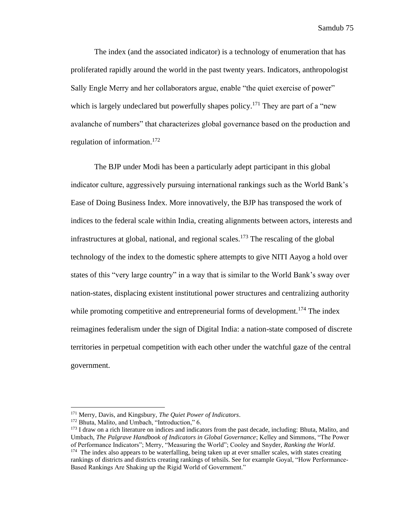The index (and the associated indicator) is a technology of enumeration that has proliferated rapidly around the world in the past twenty years. Indicators, anthropologist Sally Engle Merry and her collaborators argue, enable "the quiet exercise of power" which is largely undeclared but powerfully shapes policy.<sup>171</sup> They are part of a "new avalanche of numbers" that characterizes global governance based on the production and regulation of information.<sup>172</sup>

The BJP under Modi has been a particularly adept participant in this global indicator culture, aggressively pursuing international rankings such as the World Bank's Ease of Doing Business Index. More innovatively, the BJP has transposed the work of indices to the federal scale within India, creating alignments between actors, interests and infrastructures at global, national, and regional scales.<sup>173</sup> The rescaling of the global technology of the index to the domestic sphere attempts to give NITI Aayog a hold over states of this "very large country" in a way that is similar to the World Bank's sway over nation-states, displacing existent institutional power structures and centralizing authority while promoting competitive and entrepreneurial forms of development.<sup>174</sup> The index reimagines federalism under the sign of Digital India: a nation-state composed of discrete territories in perpetual competition with each other under the watchful gaze of the central government.

<sup>171</sup> Merry, Davis, and Kingsbury, *The Quiet Power of Indicators*.

<sup>&</sup>lt;sup>172</sup> Bhuta, Malito, and Umbach, "Introduction," 6.

<sup>&</sup>lt;sup>173</sup> I draw on a rich literature on indices and indicators from the past decade, including: Bhuta, Malito, and Umbach, *The Palgrave Handbook of Indicators in Global Governance*; Kelley and Simmons, "The Power of Performance Indicators"; Merry, "Measuring the World"; Cooley and Snyder, *Ranking the World*.

<sup>&</sup>lt;sup>174</sup> The index also appears to be waterfalling, being taken up at ever smaller scales, with states creating rankings of districts and districts creating rankings of tehsils. See for example Goyal, "How Performance-Based Rankings Are Shaking up the Rigid World of Government."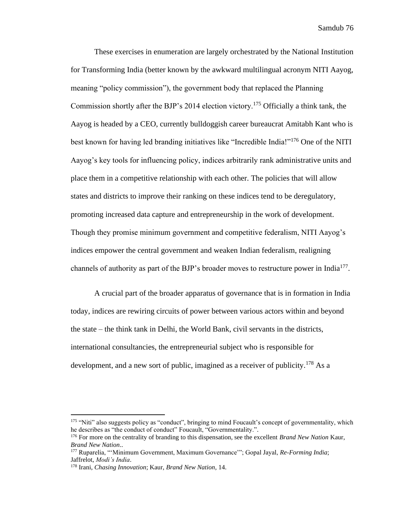These exercises in enumeration are largely orchestrated by the National Institution for Transforming India (better known by the awkward multilingual acronym NITI Aayog, meaning "policy commission"), the government body that replaced the Planning Commission shortly after the BJP's 2014 election victory.<sup>175</sup> Officially a think tank, the Aayog is headed by a CEO, currently bulldoggish career bureaucrat Amitabh Kant who is best known for having led branding initiatives like "Incredible India!"<sup>176</sup> One of the NITI Aayog's key tools for influencing policy, indices arbitrarily rank administrative units and place them in a competitive relationship with each other. The policies that will allow states and districts to improve their ranking on these indices tend to be deregulatory, promoting increased data capture and entrepreneurship in the work of development. Though they promise minimum government and competitive federalism, NITI Aayog's indices empower the central government and weaken Indian federalism, realigning channels of authority as part of the BJP's broader moves to restructure power in India<sup>177</sup>.

A crucial part of the broader apparatus of governance that is in formation in India today, indices are rewiring circuits of power between various actors within and beyond the state – the think tank in Delhi, the World Bank, civil servants in the districts, international consultancies, the entrepreneurial subject who is responsible for development, and a new sort of public, imagined as a receiver of publicity.<sup>178</sup> As a

<sup>&</sup>lt;sup>175</sup> "Niti" also suggests policy as "conduct", bringing to mind Foucault's concept of governmentality, which he describes as "the conduct of conduct" Foucault, "Governmentality.".

<sup>176</sup> For more on the centrality of branding to this dispensation, see the excellent *Brand New Nation* Kaur, *Brand New Nation*..

<sup>177</sup> Ruparelia, "'Minimum Government, Maximum Governance'"; Gopal Jayal, *Re-Forming India*; Jaffrelot, *Modi's India*.

<sup>178</sup> Irani, *Chasing Innovation*; Kaur, *Brand New Nation*, 14.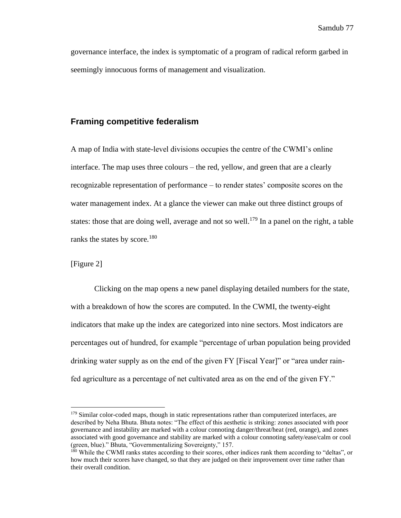governance interface, the index is symptomatic of a program of radical reform garbed in seemingly innocuous forms of management and visualization.

### **Framing competitive federalism**

A map of India with state-level divisions occupies the centre of the CWMI's online interface. The map uses three colours – the red, yellow, and green that are a clearly recognizable representation of performance – to render states' composite scores on the water management index. At a glance the viewer can make out three distinct groups of states: those that are doing well, average and not so well.<sup>179</sup> In a panel on the right, a table ranks the states by score.<sup>180</sup>

[Figure 2]

Clicking on the map opens a new panel displaying detailed numbers for the state, with a breakdown of how the scores are computed. In the CWMI, the twenty-eight indicators that make up the index are categorized into nine sectors. Most indicators are percentages out of hundred, for example "percentage of urban population being provided drinking water supply as on the end of the given FY [Fiscal Year]" or "area under rainfed agriculture as a percentage of net cultivated area as on the end of the given FY."

<sup>&</sup>lt;sup>179</sup> Similar color-coded maps, though in static representations rather than computerized interfaces, are described by Neha Bhuta. Bhuta notes: "The effect of this aesthetic is striking: zones associated with poor governance and instability are marked with a colour connoting danger/threat/heat (red, orange), and zones associated with good governance and stability are marked with a colour connoting safety/ease/calm or cool (green, blue)." Bhuta, "Governmentalizing Sovereignty," 157.

<sup>&</sup>lt;sup>180</sup> While the CWMI ranks states according to their scores, other indices rank them according to "deltas", or how much their scores have changed, so that they are judged on their improvement over time rather than their overall condition.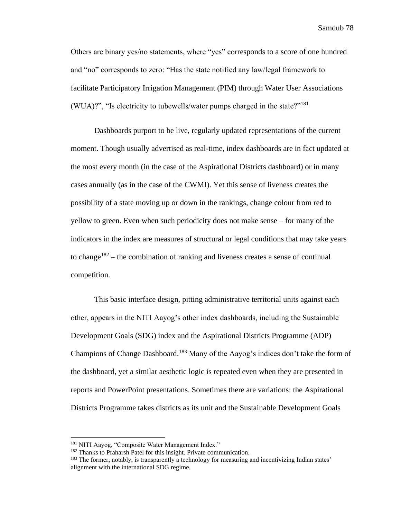Others are binary yes/no statements, where "yes" corresponds to a score of one hundred and "no" corresponds to zero: "Has the state notified any law/legal framework to facilitate Participatory Irrigation Management (PIM) through Water User Associations (WUA)?", "Is electricity to tubewells/water pumps charged in the state?"<sup>181</sup>

Dashboards purport to be live, regularly updated representations of the current moment. Though usually advertised as real-time, index dashboards are in fact updated at the most every month (in the case of the Aspirational Districts dashboard) or in many cases annually (as in the case of the CWMI). Yet this sense of liveness creates the possibility of a state moving up or down in the rankings, change colour from red to yellow to green. Even when such periodicity does not make sense – for many of the indicators in the index are measures of structural or legal conditions that may take years to change<sup>182</sup> – the combination of ranking and liveness creates a sense of continual competition.

This basic interface design, pitting administrative territorial units against each other, appears in the NITI Aayog's other index dashboards, including the Sustainable Development Goals (SDG) index and the Aspirational Districts Programme (ADP) Champions of Change Dashboard.<sup>183</sup> Many of the Aayog's indices don't take the form of the dashboard, yet a similar aesthetic logic is repeated even when they are presented in reports and PowerPoint presentations. Sometimes there are variations: the Aspirational Districts Programme takes districts as its unit and the Sustainable Development Goals

<sup>&</sup>lt;sup>181</sup> NITI Aayog, "Composite Water Management Index."

<sup>182</sup> Thanks to Praharsh Patel for this insight. Private communication.

<sup>&</sup>lt;sup>183</sup> The former, notably, is transparently a technology for measuring and incentivizing Indian states' alignment with the international SDG regime.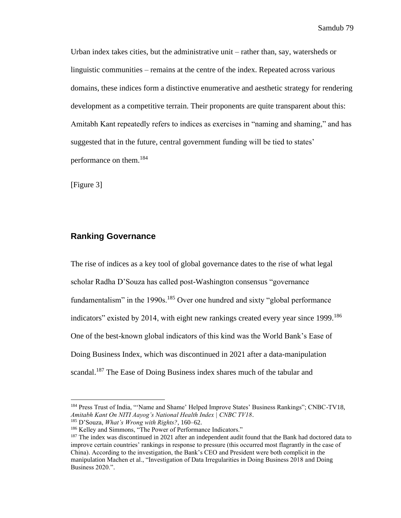Urban index takes cities, but the administrative unit – rather than, say, watersheds or linguistic communities – remains at the centre of the index. Repeated across various domains, these indices form a distinctive enumerative and aesthetic strategy for rendering development as a competitive terrain. Their proponents are quite transparent about this: Amitabh Kant repeatedly refers to indices as exercises in "naming and shaming," and has suggested that in the future, central government funding will be tied to states' performance on them. 184

[Figure 3]

#### **Ranking Governance**

The rise of indices as a key tool of global governance dates to the rise of what legal scholar Radha D'Souza has called post-Washington consensus "governance fundamentalism" in the 1990s.<sup>185</sup> Over one hundred and sixty "global performance indicators" existed by 2014, with eight new rankings created every year since 1999.<sup>186</sup> One of the best-known global indicators of this kind was the World Bank's Ease of Doing Business Index, which was discontinued in 2021 after a data-manipulation scandal.<sup>187</sup> The Ease of Doing Business index shares much of the tabular and

<sup>&</sup>lt;sup>184</sup> Press Trust of India, "'Name and Shame' Helped Improve States' Business Rankings"; CNBC-TV18, *Amitabh Kant On NITI Aayog's National Health Index | CNBC TV18*.

<sup>185</sup> D'Souza, *What's Wrong with Rights?*, 160–62.

<sup>186</sup> Kelley and Simmons, "The Power of Performance Indicators."

<sup>&</sup>lt;sup>187</sup> The index was discontinued in 2021 after an independent audit found that the Bank had doctored data to improve certain countries' rankings in response to pressure (this occurred most flagrantly in the case of China). According to the investigation, the Bank's CEO and President were both complicit in the manipulation Machen et al., "Investigation of Data Irregularities in Doing Business 2018 and Doing Business 2020.".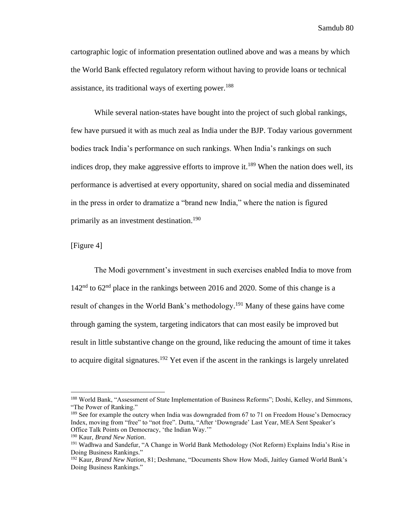cartographic logic of information presentation outlined above and was a means by which the World Bank effected regulatory reform without having to provide loans or technical assistance, its traditional ways of exerting power.<sup>188</sup>

While several nation-states have bought into the project of such global rankings, few have pursued it with as much zeal as India under the BJP. Today various government bodies track India's performance on such rankings. When India's rankings on such indices drop, they make aggressive efforts to improve it.<sup>189</sup> When the nation does well, its performance is advertised at every opportunity, shared on social media and disseminated in the press in order to dramatize a "brand new India," where the nation is figured primarily as an investment destination. 190

[Figure 4]

The Modi government's investment in such exercises enabled India to move from  $142<sup>nd</sup>$  to 62<sup>nd</sup> place in the rankings between 2016 and 2020. Some of this change is a result of changes in the World Bank's methodology.<sup>191</sup> Many of these gains have come through gaming the system, targeting indicators that can most easily be improved but result in little substantive change on the ground, like reducing the amount of time it takes to acquire digital signatures.<sup>192</sup> Yet even if the ascent in the rankings is largely unrelated

<sup>&</sup>lt;sup>188</sup> World Bank, "Assessment of State Implementation of Business Reforms"; Doshi, Kelley, and Simmons, "The Power of Ranking."

<sup>&</sup>lt;sup>189</sup> See for example the outcry when India was downgraded from 67 to 71 on Freedom House's Democracy Index, moving from "free" to "not free". Dutta, "After 'Downgrade' Last Year, MEA Sent Speaker's Office Talk Points on Democracy, 'the Indian Way.'"

<sup>190</sup> Kaur, *Brand New Nation*.

<sup>&</sup>lt;sup>191</sup> Wadhwa and Sandefur, "A Change in World Bank Methodology (Not Reform) Explains India's Rise in Doing Business Rankings."

<sup>192</sup> Kaur, *Brand New Nation*, 81; Deshmane, "Documents Show How Modi, Jaitley Gamed World Bank's Doing Business Rankings."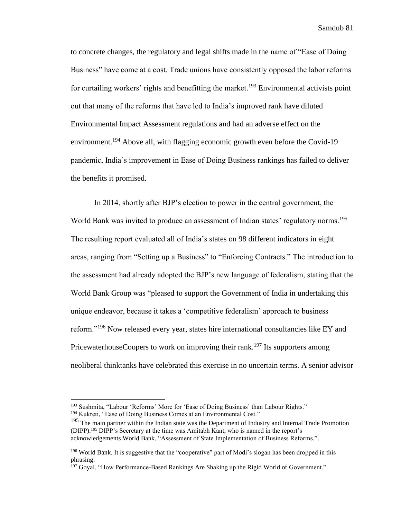to concrete changes, the regulatory and legal shifts made in the name of "Ease of Doing Business" have come at a cost. Trade unions have consistently opposed the labor reforms for curtailing workers' rights and benefitting the market.<sup>193</sup> Environmental activists point out that many of the reforms that have led to India's improved rank have diluted Environmental Impact Assessment regulations and had an adverse effect on the environment.<sup>194</sup> Above all, with flagging economic growth even before the Covid-19 pandemic, India's improvement in Ease of Doing Business rankings has failed to deliver the benefits it promised.

In 2014, shortly after BJP's election to power in the central government, the World Bank was invited to produce an assessment of Indian states' regulatory norms.<sup>195</sup> The resulting report evaluated all of India's states on 98 different indicators in eight areas, ranging from "Setting up a Business" to "Enforcing Contracts." The introduction to the assessment had already adopted the BJP's new language of federalism, stating that the World Bank Group was "pleased to support the Government of India in undertaking this unique endeavor, because it takes a 'competitive federalism' approach to business reform."<sup>196</sup> Now released every year, states hire international consultancies like EY and PricewaterhouseCoopers to work on improving their rank.<sup>197</sup> Its supporters among neoliberal thinktanks have celebrated this exercise in no uncertain terms. A senior advisor

<sup>&</sup>lt;sup>193</sup> Sushmita, "Labour 'Reforms' More for 'Ease of Doing Business' than Labour Rights."

<sup>194</sup> Kukreti, "Ease of Doing Business Comes at an Environmental Cost."

<sup>&</sup>lt;sup>195</sup> The main partner within the Indian state was the Department of Industry and Internal Trade Promotion (DIPP).<sup>195</sup> DIPP's Secretary at the time was Amitabh Kant, who is named in the report's acknowledgements World Bank, "Assessment of State Implementation of Business Reforms.".

<sup>&</sup>lt;sup>196</sup> World Bank. It is suggestive that the "cooperative" part of Modi's slogan has been dropped in this phrasing.

<sup>&</sup>lt;sup>197</sup> Goyal, "How Performance-Based Rankings Are Shaking up the Rigid World of Government."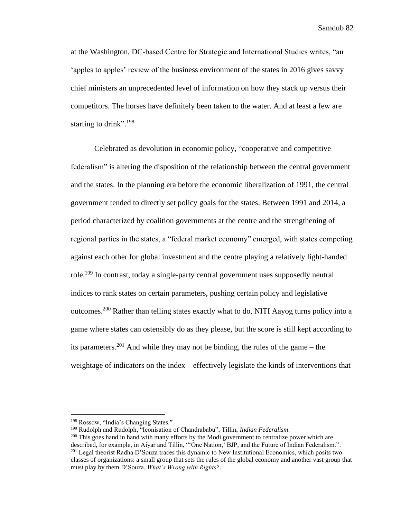at the Washington, DC-based Centre for Strategic and International Studies writes, "an 'apples to apples' review of the business environment of the states in 2016 gives savvy chief ministers an unprecedented level of information on how they stack up versus their competitors. The horses have definitely been taken to the water. And at least a few are starting to drink".<sup>198</sup>

Celebrated as devolution in economic policy, "cooperative and competitive federalism" is altering the disposition of the relationship between the central government and the states. In the planning era before the economic liberalization of 1991, the central government tended to directly set policy goals for the states. Between 1991 and 2014, a period characterized by coalition governments at the centre and the strengthening of regional parties in the states, a "federal market economy" emerged, with states competing against each other for global investment and the centre playing a relatively light-handed role.<sup>199</sup> In contrast, today a single-party central government uses supposedly neutral indices to rank states on certain parameters, pushing certain policy and legislative outcomes.<sup>200</sup> Rather than telling states exactly what to do, NITI Aayog turns policy into a game where states can ostensibly do as they please, but the score is still kept according to its parameters.<sup>201</sup> And while they may not be binding, the rules of the game – the weightage of indicators on the index – effectively legislate the kinds of interventions that

<sup>198</sup> Rossow, "India's Changing States."

<sup>199</sup> Rudolph and Rudolph, "Iconisation of Chandrababu"; Tillin, *Indian Federalism*.

 $200$  This goes hand in hand with many efforts by the Modi government to centralize power which are described, for example, in Aiyar and Tillin, "'One Nation,' BJP, and the Future of Indian Federalism.". <sup>201</sup> Legal theorist Radha D'Souza traces this dynamic to New Institutional Economics, which posits two classes of organizations: a small group that sets the rules of the global economy and another vast group that must play by them D'Souza, *What's Wrong with Rights?*.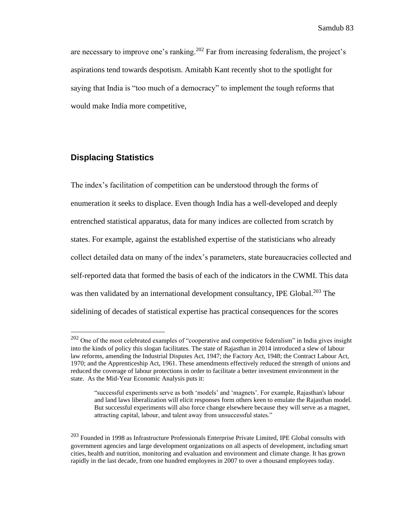are necessary to improve one's ranking.<sup>202</sup> Far from increasing federalism, the project's aspirations tend towards despotism. Amitabh Kant recently shot to the spotlight for saying that India is "too much of a democracy" to implement the tough reforms that would make India more competitive,

# **Displacing Statistics**

The index's facilitation of competition can be understood through the forms of enumeration it seeks to displace. Even though India has a well-developed and deeply entrenched statistical apparatus, data for many indices are collected from scratch by states. For example, against the established expertise of the statisticians who already collect detailed data on many of the index's parameters, state bureaucracies collected and self-reported data that formed the basis of each of the indicators in the CWMI. This data was then validated by an international development consultancy, IPE Global.<sup>203</sup> The sidelining of decades of statistical expertise has practical consequences for the scores

 $202$  One of the most celebrated examples of "cooperative and competitive federalism" in India gives insight into the kinds of policy this slogan facilitates. The state of Rajasthan in 2014 introduced a slew of labour law reforms, amending the Industrial Disputes Act, 1947; the Factory Act, 1948; the Contract Labour Act, 1970; and the Apprenticeship Act, 1961. These amendments effectively reduced the strength of unions and reduced the coverage of labour protections in order to facilitate a better investment environment in the state. As the Mid-Year Economic Analysis puts it:

<sup>&</sup>quot;successful experiments serve as both 'models' and 'magnets'. For example, Rajasthan's labour and land laws liberalization will elicit responses form others keen to emulate the Rajasthan model. But successful experiments will also force change elsewhere because they will serve as a magnet, attracting capital, labour, and talent away from unsuccessful states."

<sup>203</sup> Founded in 1998 as Infrastructure Professionals Enterprise Private Limited, IPE Global consults with government agencies and large development organizations on all aspects of development, including smart cities, health and nutrition, monitoring and evaluation and environment and climate change. It has grown rapidly in the last decade, from one hundred employees in 2007 to over a thousand employees today.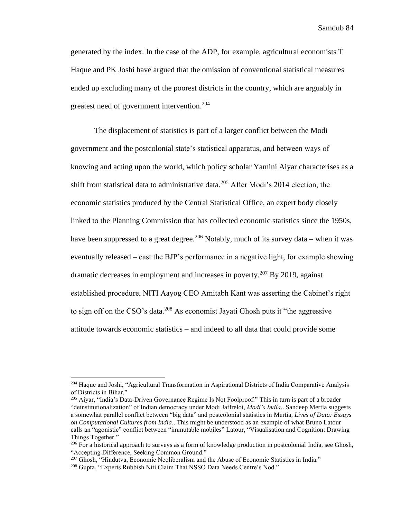generated by the index. In the case of the ADP, for example, agricultural economists T Haque and PK Joshi have argued that the omission of conventional statistical measures ended up excluding many of the poorest districts in the country, which are arguably in greatest need of government intervention.<sup>204</sup>

The displacement of statistics is part of a larger conflict between the Modi government and the postcolonial state's statistical apparatus, and between ways of knowing and acting upon the world, which policy scholar Yamini Aiyar characterises as a shift from statistical data to administrative data. <sup>205</sup> After Modi's 2014 election, the economic statistics produced by the Central Statistical Office, an expert body closely linked to the Planning Commission that has collected economic statistics since the 1950s, have been suppressed to a great degree.<sup>206</sup> Notably, much of its survey data – when it was eventually released – cast the BJP's performance in a negative light, for example showing dramatic decreases in employment and increases in poverty. <sup>207</sup> By 2019, against established procedure, NITI Aayog CEO Amitabh Kant was asserting the Cabinet's right to sign off on the CSO's data.<sup>208</sup> As economist Jayati Ghosh puts it "the aggressive attitude towards economic statistics – and indeed to all data that could provide some

<sup>204</sup> Haque and Joshi, "Agricultural Transformation in Aspirational Districts of India Comparative Analysis of Districts in Bihar."

<sup>&</sup>lt;sup>205</sup> Aiyar, "India's Data-Driven Governance Regime Is Not Foolproof." This in turn is part of a broader "deinstitutionalization" of Indian democracy under Modi Jaffrelot, *Modi's India*.. Sandeep Mertia suggests a somewhat parallel conflict between "big data" and postcolonial statistics in Mertia, *Lives of Data: Essays on Computational Cultures from India*.. This might be understood as an example of what Bruno Latour calls an "agonistic" conflict between "immutable mobiles" Latour, "Visualisation and Cognition: Drawing Things Together."

<sup>&</sup>lt;sup>206</sup> For a historical approach to surveys as a form of knowledge production in postcolonial India, see Ghosh, "Accepting Difference, Seeking Common Ground."

<sup>&</sup>lt;sup>207</sup> Ghosh, "Hindutva, Economic Neoliberalism and the Abuse of Economic Statistics in India."

<sup>208</sup> Gupta, "Experts Rubbish Niti Claim That NSSO Data Needs Centre's Nod."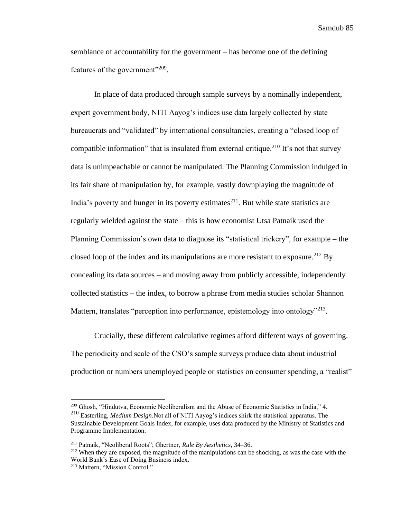semblance of accountability for the government – has become one of the defining features of the government"<sup>209</sup>.

In place of data produced through sample surveys by a nominally independent, expert government body, NITI Aayog's indices use data largely collected by state bureaucrats and "validated" by international consultancies, creating a "closed loop of compatible information" that is insulated from external critique.<sup>210</sup> It's not that survey data is unimpeachable or cannot be manipulated. The Planning Commission indulged in its fair share of manipulation by, for example, vastly downplaying the magnitude of India's poverty and hunger in its poverty estimates<sup>211</sup>. But while state statistics are regularly wielded against the state – this is how economist Utsa Patnaik used the Planning Commission's own data to diagnose its "statistical trickery", for example – the closed loop of the index and its manipulations are more resistant to exposure.<sup>212</sup> By concealing its data sources – and moving away from publicly accessible, independently collected statistics – the index, to borrow a phrase from media studies scholar Shannon Mattern, translates "perception into performance, epistemology into ontology"<sup>213</sup>.

Crucially, these different calculative regimes afford different ways of governing. The periodicity and scale of the CSO's sample surveys produce data about industrial production or numbers unemployed people or statistics on consumer spending, a "realist"

<sup>209</sup> Ghosh, "Hindutva, Economic Neoliberalism and the Abuse of Economic Statistics in India," 4.

<sup>210</sup> Easterling, *Medium Design*.Not all of NITI Aayog's indices shirk the statistical apparatus. The Sustainable Development Goals Index, for example, uses data produced by the Ministry of Statistics and Programme Implementation.

<sup>211</sup> Patnaik, "Neoliberal Roots"; Ghertner, *Rule By Aesthetics*, 34–36.

<sup>212</sup> When they are exposed, the magnitude of the manipulations can be shocking, as was the case with the World Bank's Ease of Doing Business index.

<sup>213</sup> Mattern, "Mission Control."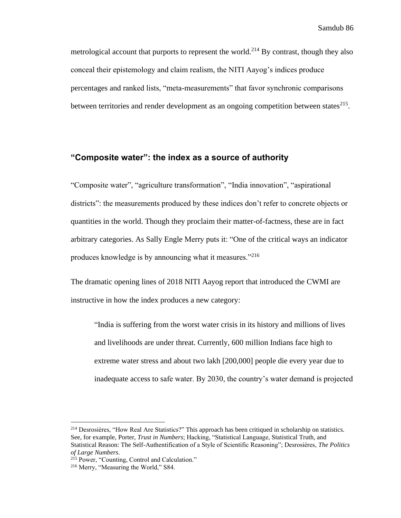metrological account that purports to represent the world.<sup>214</sup> By contrast, though they also conceal their epistemology and claim realism, the NITI Aayog's indices produce percentages and ranked lists, "meta-measurements" that favor synchronic comparisons between territories and render development as an ongoing competition between states $^{215}$ .

# **"Composite water": the index as a source of authority**

"Composite water", "agriculture transformation", "India innovation", "aspirational districts": the measurements produced by these indices don't refer to concrete objects or quantities in the world. Though they proclaim their matter-of-factness, these are in fact arbitrary categories. As Sally Engle Merry puts it: "One of the critical ways an indicator produces knowledge is by announcing what it measures."<sup>216</sup>

The dramatic opening lines of 2018 NITI Aayog report that introduced the CWMI are instructive in how the index produces a new category:

"India is suffering from the worst water crisis in its history and millions of lives and livelihoods are under threat. Currently, 600 million Indians face high to extreme water stress and about two lakh [200,000] people die every year due to inadequate access to safe water. By 2030, the country's water demand is projected

<sup>214</sup> Desrosières, "How Real Are Statistics?" This approach has been critiqued in scholarship on statistics. See, for example, Porter, *Trust in Numbers*; Hacking, "Statistical Language, Statistical Truth, and Statistical Reason: The Self-Authentification of a Style of Scientific Reasoning"; Desrosières, *The Politics of Large Numbers*.

<sup>215</sup> Power, "Counting, Control and Calculation."

<sup>216</sup> Merry, "Measuring the World," S84.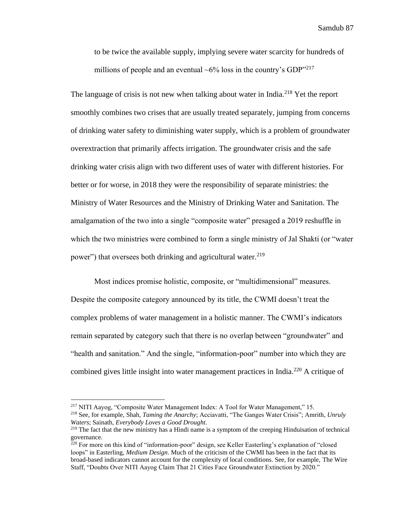to be twice the available supply, implying severe water scarcity for hundreds of millions of people and an eventual  $\sim 6\%$  loss in the country's GDP<sup>3217</sup>

The language of crisis is not new when talking about water in India.<sup>218</sup> Yet the report smoothly combines two crises that are usually treated separately, jumping from concerns of drinking water safety to diminishing water supply, which is a problem of groundwater overextraction that primarily affects irrigation. The groundwater crisis and the safe drinking water crisis align with two different uses of water with different histories. For better or for worse, in 2018 they were the responsibility of separate ministries: the Ministry of Water Resources and the Ministry of Drinking Water and Sanitation. The amalgamation of the two into a single "composite water" presaged a 2019 reshuffle in which the two ministries were combined to form a single ministry of Jal Shakti (or "water power") that oversees both drinking and agricultural water.<sup>219</sup>

Most indices promise holistic, composite, or "multidimensional" measures. Despite the composite category announced by its title, the CWMI doesn't treat the complex problems of water management in a holistic manner. The CWMI's indicators remain separated by category such that there is no overlap between "groundwater" and "health and sanitation." And the single, "information-poor" number into which they are combined gives little insight into water management practices in India.<sup>220</sup> A critique of

<sup>217</sup> NITI Aayog, "Composite Water Management Index: A Tool for Water Management," 15.

<sup>218</sup> See, for example, Shah, *Taming the Anarchy*; Acciavatti, "The Ganges Water Crisis"; Amrith, *Unruly Waters*; Sainath, *Everybody Loves a Good Drought*.

<sup>&</sup>lt;sup>219</sup> The fact that the new ministry has a Hindi name is a symptom of the creeping Hinduisation of technical governance.

 $^{220}$  For more on this kind of "information-poor" design, see Keller Easterling's explanation of "closed" loops" in Easterling, *Medium Design*. Much of the criticism of the CWMI has been in the fact that its broad-based indicators cannot account for the complexity of local conditions. See, for example, The Wire Staff, "Doubts Over NITI Aayog Claim That 21 Cities Face Groundwater Extinction by 2020."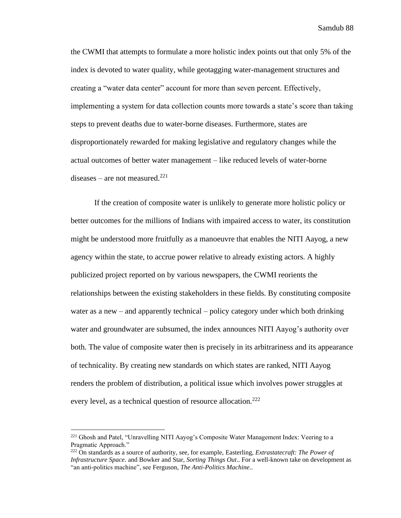the CWMI that attempts to formulate a more holistic index points out that only 5% of the index is devoted to water quality, while geotagging water-management structures and creating a "water data center" account for more than seven percent. Effectively, implementing a system for data collection counts more towards a state's score than taking steps to prevent deaths due to water-borne diseases. Furthermore, states are disproportionately rewarded for making legislative and regulatory changes while the actual outcomes of better water management – like reduced levels of water-borne diseases – are not measured. $221$ 

If the creation of composite water is unlikely to generate more holistic policy or better outcomes for the millions of Indians with impaired access to water, its constitution might be understood more fruitfully as a manoeuvre that enables the NITI Aayog, a new agency within the state, to accrue power relative to already existing actors. A highly publicized project reported on by various newspapers, the CWMI reorients the relationships between the existing stakeholders in these fields. By constituting composite water as a new – and apparently technical – policy category under which both drinking water and groundwater are subsumed, the index announces NITI Aayog's authority over both. The value of composite water then is precisely in its arbitrariness and its appearance of technicality. By creating new standards on which states are ranked, NITI Aayog renders the problem of distribution, a political issue which involves power struggles at every level, as a technical question of resource allocation.<sup>222</sup>

<sup>&</sup>lt;sup>221</sup> Ghosh and Patel, "Unravelling NITI Aayog's Composite Water Management Index: Veering to a Pragmatic Approach."

<sup>222</sup> On standards as a source of authority, see, for example, Easterling, *Extrastatecraft: The Power of Infrastructure Space*. and Bowker and Star, *Sorting Things Out*.. For a well-known take on development as "an anti-politics machine", see Ferguson, *The Anti-Politics Machine*..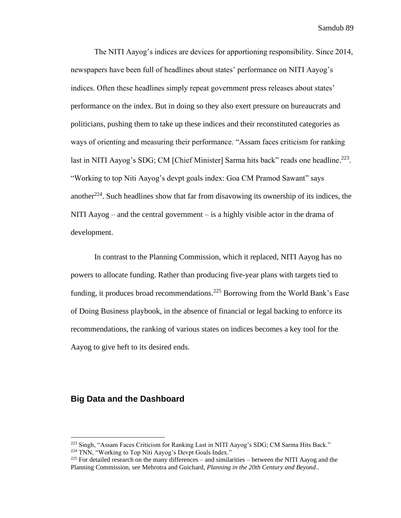The NITI Aayog's indices are devices for apportioning responsibility. Since 2014, newspapers have been full of headlines about states' performance on NITI Aayog's indices. Often these headlines simply repeat government press releases about states' performance on the index. But in doing so they also exert pressure on bureaucrats and politicians, pushing them to take up these indices and their reconstituted categories as ways of orienting and measuring their performance. "Assam faces criticism for ranking last in NITI Aayog's SDG; CM [Chief Minister] Sarma hits back" reads one headline.<sup>223</sup>. "Working to top Niti Aayog's devpt goals index: Goa CM Pramod Sawant" says another<sup>224</sup>. Such headlines show that far from disavowing its ownership of its indices, the NITI Aayog – and the central government – is a highly visible actor in the drama of development.

In contrast to the Planning Commission, which it replaced, NITI Aayog has no powers to allocate funding. Rather than producing five-year plans with targets tied to funding, it produces broad recommendations.<sup>225</sup> Borrowing from the World Bank's Ease of Doing Business playbook, in the absence of financial or legal backing to enforce its recommendations, the ranking of various states on indices becomes a key tool for the Aayog to give heft to its desired ends.

### **Big Data and the Dashboard**

<sup>&</sup>lt;sup>223</sup> Singh, "Assam Faces Criticism for Ranking Last in NITI Aayog's SDG; CM Sarma Hits Back."

<sup>224</sup> TNN, "Working to Top Niti Aayog's Devpt Goals Index."

 $^{225}$  For detailed research on the many differences – and similarities – between the NITI Aayog and the Planning Commission, see Mehrotra and Guichard, *Planning in the 20th Century and Beyond*..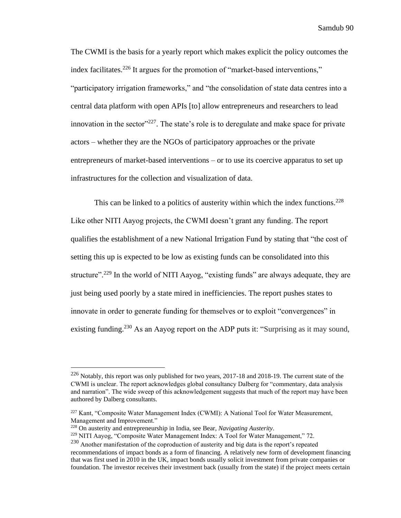The CWMI is the basis for a yearly report which makes explicit the policy outcomes the index facilitates.<sup>226</sup> It argues for the promotion of "market-based interventions," "participatory irrigation frameworks," and "the consolidation of state data centres into a central data platform with open APIs [to] allow entrepreneurs and researchers to lead innovation in the sector"<sup>227</sup>. The state's role is to deregulate and make space for private actors – whether they are the NGOs of participatory approaches or the private entrepreneurs of market-based interventions – or to use its coercive apparatus to set up infrastructures for the collection and visualization of data.

This can be linked to a politics of austerity within which the index functions.<sup>228</sup> Like other NITI Aayog projects, the CWMI doesn't grant any funding. The report qualifies the establishment of a new National Irrigation Fund by stating that "the cost of setting this up is expected to be low as existing funds can be consolidated into this structure".<sup>229</sup> In the world of NITI Aayog, "existing funds" are always adequate, they are just being used poorly by a state mired in inefficiencies. The report pushes states to innovate in order to generate funding for themselves or to exploit "convergences" in existing funding.<sup>230</sup> As an Aayog report on the ADP puts it: "Surprising as it may sound,

 $226$  Notably, this report was only published for two years, 2017-18 and 2018-19. The current state of the CWMI is unclear. The report acknowledges global consultancy Dalberg for "commentary, data analysis and narration". The wide sweep of this acknowledgement suggests that much of the report may have been authored by Dalberg consultants.

<sup>&</sup>lt;sup>227</sup> Kant, "Composite Water Management Index (CWMI): A National Tool for Water Measurement, Management and Improvement."

<sup>228</sup> On austerity and entrepreneurship in India, see Bear, *Navigating Austerity*.

<sup>229</sup> NITI Aayog, "Composite Water Management Index: A Tool for Water Management," 72.

<sup>&</sup>lt;sup>230</sup> Another manifestation of the coproduction of austerity and big data is the report's repeated recommendations of impact bonds as a form of financing. A relatively new form of development financing that was first used in 2010 in the UK, impact bonds usually solicit investment from private companies or foundation. The investor receives their investment back (usually from the state) if the project meets certain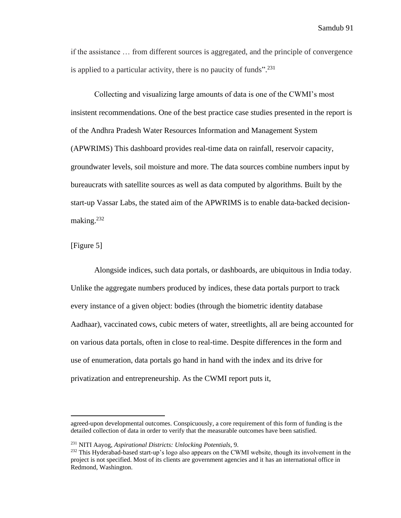if the assistance … from different sources is aggregated, and the principle of convergence is applied to a particular activity, there is no paucity of funds".<sup>231</sup>

Collecting and visualizing large amounts of data is one of the CWMI's most insistent recommendations. One of the best practice case studies presented in the report is of the Andhra Pradesh Water Resources Information and Management System (APWRIMS) This dashboard provides real-time data on rainfall, reservoir capacity, groundwater levels, soil moisture and more. The data sources combine numbers input by bureaucrats with satellite sources as well as data computed by algorithms. Built by the start-up Vassar Labs, the stated aim of the APWRIMS is to enable data-backed decisionmaking.<sup>232</sup>

#### [Figure 5]

Alongside indices, such data portals, or dashboards, are ubiquitous in India today. Unlike the aggregate numbers produced by indices, these data portals purport to track every instance of a given object: bodies (through the biometric identity database Aadhaar), vaccinated cows, cubic meters of water, streetlights, all are being accounted for on various data portals, often in close to real-time. Despite differences in the form and use of enumeration, data portals go hand in hand with the index and its drive for privatization and entrepreneurship. As the CWMI report puts it,

agreed-upon developmental outcomes. Conspicuously, a core requirement of this form of funding is the detailed collection of data in order to verify that the measurable outcomes have been satisfied.

<sup>231</sup> NITI Aayog, *Aspirational Districts: Unlocking Potentials*, 9.

<sup>&</sup>lt;sup>232</sup> This Hyderabad-based start-up's logo also appears on the CWMI website, though its involvement in the project is not specified. Most of its clients are government agencies and it has an international office in Redmond, Washington.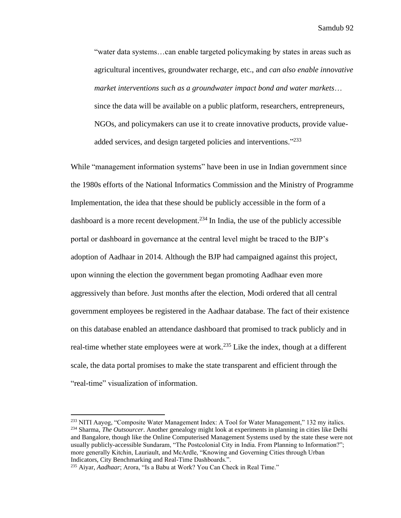"water data systems…can enable targeted policymaking by states in areas such as agricultural incentives, groundwater recharge, etc., and *can also enable innovative market interventions such as a groundwater impact bond and water markets*… since the data will be available on a public platform, researchers, entrepreneurs, NGOs, and policymakers can use it to create innovative products, provide valueadded services, and design targeted policies and interventions."233

While "management information systems" have been in use in Indian government since the 1980s efforts of the National Informatics Commission and the Ministry of Programme Implementation, the idea that these should be publicly accessible in the form of a dashboard is a more recent development.<sup>234</sup> In India, the use of the publicly accessible portal or dashboard in governance at the central level might be traced to the BJP's adoption of Aadhaar in 2014. Although the BJP had campaigned against this project, upon winning the election the government began promoting Aadhaar even more aggressively than before. Just months after the election, Modi ordered that all central government employees be registered in the Aadhaar database. The fact of their existence on this database enabled an attendance dashboard that promised to track publicly and in real-time whether state employees were at work.<sup>235</sup> Like the index, though at a different scale, the data portal promises to make the state transparent and efficient through the "real-time" visualization of information.

<sup>&</sup>lt;sup>233</sup> NITI Aayog, "Composite Water Management Index: A Tool for Water Management," 132 my italics. <sup>234</sup> Sharma, *The Outsourcer*. Another genealogy might look at experiments in planning in cities like Delhi and Bangalore, though like the Online Computerised Management Systems used by the state these were not usually publicly-accessible Sundaram, "The Postcolonial City in India. From Planning to Information?"; more generally Kitchin, Lauriault, and McArdle, "Knowing and Governing Cities through Urban Indicators, City Benchmarking and Real-Time Dashboards.".

<sup>235</sup> Aiyar, *Aadhaar*; Arora, "Is a Babu at Work? You Can Check in Real Time."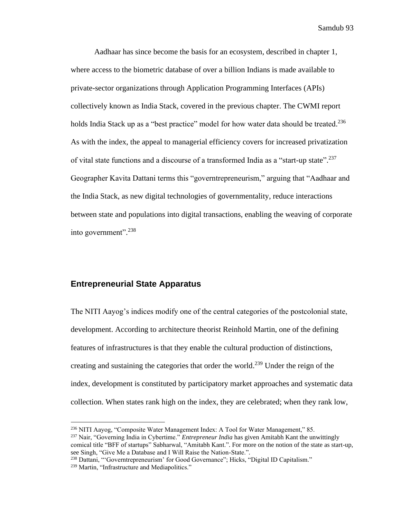Aadhaar has since become the basis for an ecosystem, described in chapter 1, where access to the biometric database of over a billion Indians is made available to private-sector organizations through Application Programming Interfaces (APIs) collectively known as India Stack, covered in the previous chapter. The CWMI report holds India Stack up as a "best practice" model for how water data should be treated.<sup>236</sup> As with the index, the appeal to managerial efficiency covers for increased privatization of vital state functions and a discourse of a transformed India as a "start-up state".<sup>237</sup> Geographer Kavita Dattani terms this "governtrepreneurism," arguing that "Aadhaar and the India Stack, as new digital technologies of governmentality, reduce interactions between state and populations into digital transactions, enabling the weaving of corporate into government".<sup>238</sup>

#### **Entrepreneurial State Apparatus**

The NITI Aayog's indices modify one of the central categories of the postcolonial state, development. According to architecture theorist Reinhold Martin, one of the defining features of infrastructures is that they enable the cultural production of distinctions, creating and sustaining the categories that order the world.<sup>239</sup> Under the reign of the index, development is constituted by participatory market approaches and systematic data collection. When states rank high on the index, they are celebrated; when they rank low,

<sup>236</sup> NITI Aayog, "Composite Water Management Index: A Tool for Water Management," 85.

<sup>237</sup> Nair, "Governing India in Cybertime." *Entrepreneur India* has given Amitabh Kant the unwittingly comical title "BFF of startups" Sabharwal, "Amitabh Kant.". For more on the notion of the state as start-up, see Singh, "Give Me a Database and I Will Raise the Nation-State.".

<sup>&</sup>lt;sup>238</sup> Dattani, "'Governtrepreneurism' for Good Governance"; Hicks, "Digital ID Capitalism."

<sup>239</sup> Martin, "Infrastructure and Mediapolitics."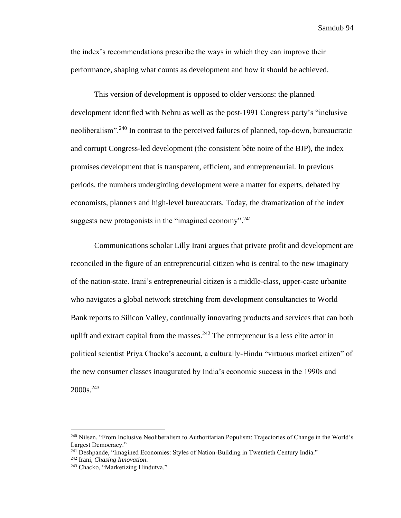the index's recommendations prescribe the ways in which they can improve their performance, shaping what counts as development and how it should be achieved.

This version of development is opposed to older versions: the planned development identified with Nehru as well as the post-1991 Congress party's "inclusive neoliberalism".<sup>240</sup> In contrast to the perceived failures of planned, top-down, bureaucratic and corrupt Congress-led development (the consistent bête noire of the BJP), the index promises development that is transparent, efficient, and entrepreneurial. In previous periods, the numbers undergirding development were a matter for experts, debated by economists, planners and high-level bureaucrats. Today, the dramatization of the index suggests new protagonists in the "imagined economy".<sup>241</sup>

Communications scholar Lilly Irani argues that private profit and development are reconciled in the figure of an entrepreneurial citizen who is central to the new imaginary of the nation-state. Irani's entrepreneurial citizen is a middle-class, upper-caste urbanite who navigates a global network stretching from development consultancies to World Bank reports to Silicon Valley, continually innovating products and services that can both uplift and extract capital from the masses.  $242$  The entrepreneur is a less elite actor in political scientist Priya Chacko's account, a culturally-Hindu "virtuous market citizen" of the new consumer classes inaugurated by India's economic success in the 1990s and 2000s. 243

<sup>240</sup> Nilsen, "From Inclusive Neoliberalism to Authoritarian Populism: Trajectories of Change in the World's Largest Democracy."

<sup>&</sup>lt;sup>241</sup> Deshpande, "Imagined Economies: Styles of Nation-Building in Twentieth Century India."

<sup>242</sup> Irani, *Chasing Innovation*.

<sup>243</sup> Chacko, "Marketizing Hindutva."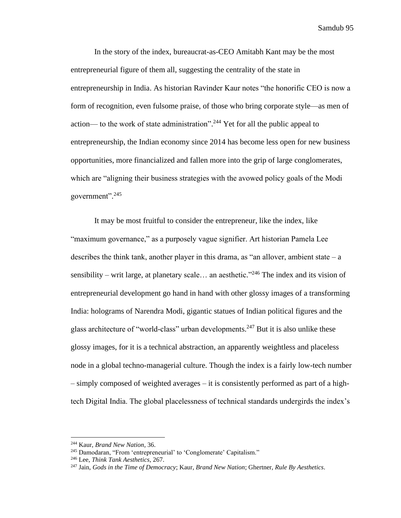In the story of the index, bureaucrat-as-CEO Amitabh Kant may be the most entrepreneurial figure of them all, suggesting the centrality of the state in entrepreneurship in India. As historian Ravinder Kaur notes "the honorific CEO is now a form of recognition, even fulsome praise, of those who bring corporate style—as men of action— to the work of state administration".<sup>244</sup> Yet for all the public appeal to entrepreneurship, the Indian economy since 2014 has become less open for new business opportunities, more financialized and fallen more into the grip of large conglomerates, which are "aligning their business strategies with the avowed policy goals of the Modi government".<sup>245</sup>

It may be most fruitful to consider the entrepreneur, like the index, like "maximum governance," as a purposely vague signifier. Art historian Pamela Lee describes the think tank, another player in this drama, as "an allover, ambient state  $-a$ sensibility – writ large, at planetary scale... an aesthetic."<sup>246</sup> The index and its vision of entrepreneurial development go hand in hand with other glossy images of a transforming India: holograms of Narendra Modi, gigantic statues of Indian political figures and the glass architecture of "world-class" urban developments.<sup>247</sup> But it is also unlike these glossy images, for it is a technical abstraction, an apparently weightless and placeless node in a global techno-managerial culture. Though the index is a fairly low-tech number – simply composed of weighted averages – it is consistently performed as part of a hightech Digital India. The global placelessness of technical standards undergirds the index's

<sup>244</sup> Kaur, *Brand New Nation*, 36.

<sup>&</sup>lt;sup>245</sup> Damodaran, "From 'entrepreneurial' to 'Conglomerate' Capitalism."

<sup>246</sup> Lee, *Think Tank Aesthetics*, 267.

<sup>247</sup> Jain, *Gods in the Time of Democracy*; Kaur, *Brand New Nation*; Ghertner, *Rule By Aesthetics*.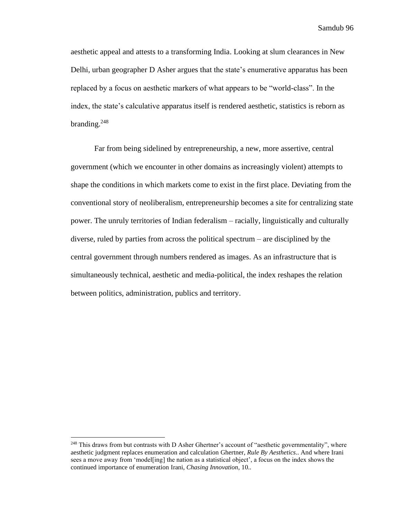aesthetic appeal and attests to a transforming India. Looking at slum clearances in New Delhi, urban geographer D Asher argues that the state's enumerative apparatus has been replaced by a focus on aesthetic markers of what appears to be "world-class". In the index, the state's calculative apparatus itself is rendered aesthetic, statistics is reborn as branding. $248$ 

Far from being sidelined by entrepreneurship, a new, more assertive, central government (which we encounter in other domains as increasingly violent) attempts to shape the conditions in which markets come to exist in the first place. Deviating from the conventional story of neoliberalism, entrepreneurship becomes a site for centralizing state power. The unruly territories of Indian federalism – racially, linguistically and culturally diverse, ruled by parties from across the political spectrum – are disciplined by the central government through numbers rendered as images. As an infrastructure that is simultaneously technical, aesthetic and media-political, the index reshapes the relation between politics, administration, publics and territory.

<sup>&</sup>lt;sup>248</sup> This draws from but contrasts with D Asher Ghertner's account of "aesthetic governmentality", where aesthetic judgment replaces enumeration and calculation Ghertner, *Rule By Aesthetics*.. And where Irani sees a move away from 'model[ing] the nation as a statistical object', a focus on the index shows the continued importance of enumeration Irani, *Chasing Innovation*, 10..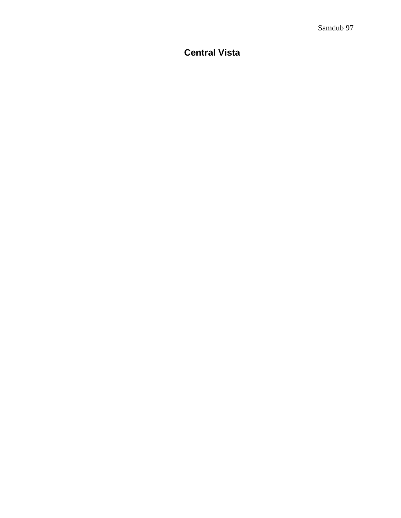# **Central Vista**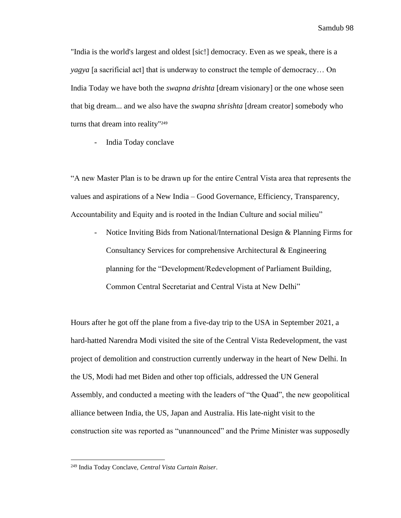"India is the world's largest and oldest [sic!] democracy. Even as we speak, there is a *yagya* [a sacrificial act] that is underway to construct the temple of democracy… On India Today we have both the *swapna drishta* [dream visionary] or the one whose seen that big dream... and we also have the *swapna shrishta* [dream creator] somebody who turns that dream into reality"<sup>249</sup>

- India Today conclave

"A new Master Plan is to be drawn up for the entire Central Vista area that represents the values and aspirations of a New India – Good Governance, Efficiency, Transparency, Accountability and Equity and is rooted in the Indian Culture and social milieu"

- Notice Inviting Bids from National/International Design & Planning Firms for Consultancy Services for comprehensive Architectural & Engineering planning for the "Development/Redevelopment of Parliament Building, Common Central Secretariat and Central Vista at New Delhi"

Hours after he got off the plane from a five-day trip to the USA in September 2021, a hard-hatted Narendra Modi visited the site of the Central Vista Redevelopment, the vast project of demolition and construction currently underway in the heart of New Delhi. In the US, Modi had met Biden and other top officials, addressed the UN General Assembly, and conducted a meeting with the leaders of "the Quad", the new geopolitical alliance between India, the US, Japan and Australia. His late-night visit to the construction site was reported as "unannounced" and the Prime Minister was supposedly

<sup>249</sup> India Today Conclave, *Central Vista Curtain Raiser*.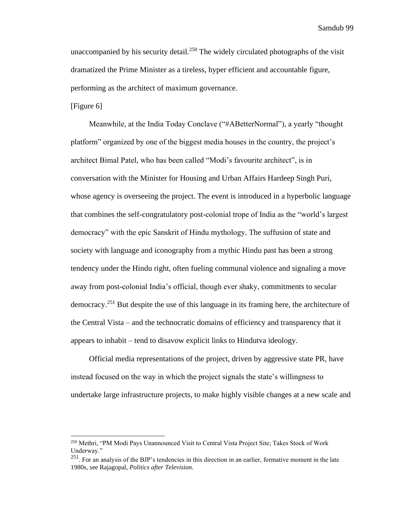unaccompanied by his security detail.<sup>250</sup> The widely circulated photographs of the visit dramatized the Prime Minister as a tireless, hyper efficient and accountable figure, performing as the architect of maximum governance.

#### [Figure 6]

Meanwhile, at the India Today Conclave ("#ABetterNormal"), a yearly "thought platform" organized by one of the biggest media houses in the country, the project's architect Bimal Patel, who has been called "Modi's favourite architect", is in conversation with the Minister for Housing and Urban Affairs Hardeep Singh Puri, whose agency is overseeing the project. The event is introduced in a hyperbolic language that combines the self-congratulatory post-colonial trope of India as the "world's largest democracy" with the epic Sanskrit of Hindu mythology. The suffusion of state and society with language and iconography from a mythic Hindu past has been a strong tendency under the Hindu right, often fueling communal violence and signaling a move away from post-colonial India's official, though ever shaky, commitments to secular democracy.<sup>251</sup> But despite the use of this language in its framing here, the architecture of the Central Vista – and the technocratic domains of efficiency and transparency that it appears to inhabit – tend to disavow explicit links to Hindutva ideology.

Official media representations of the project, driven by aggressive state PR, have instead focused on the way in which the project signals the state's willingness to undertake large infrastructure projects, to make highly visible changes at a new scale and

<sup>250</sup> Methri, "PM Modi Pays Unannounced Visit to Central Vista Project Site; Takes Stock of Work Underway."

 $251$ . For an analysis of the BJP's tendencies in this direction in an earlier, formative moment in the late 1980s, see Rajagopal, *Politics after Television*.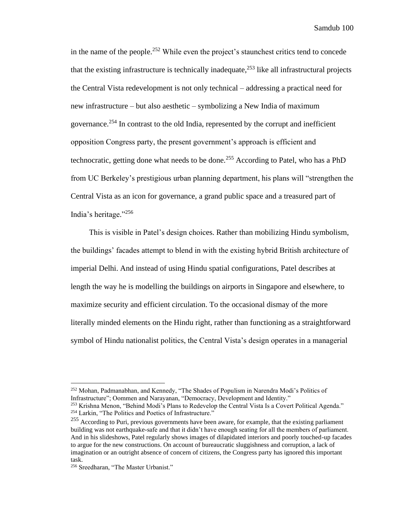in the name of the people.<sup>252</sup> While even the project's staunchest critics tend to concede that the existing infrastructure is technically inadequate, <sup>253</sup> like all infrastructural projects the Central Vista redevelopment is not only technical – addressing a practical need for new infrastructure – but also aesthetic – symbolizing a New India of maximum governance.<sup>254</sup> In contrast to the old India, represented by the corrupt and inefficient opposition Congress party, the present government's approach is efficient and technocratic, getting done what needs to be done.<sup>255</sup> According to Patel, who has a PhD from UC Berkeley's prestigious urban planning department, his plans will "strengthen the Central Vista as an icon for governance, a grand public space and a treasured part of India's heritage." 256

This is visible in Patel's design choices. Rather than mobilizing Hindu symbolism, the buildings' facades attempt to blend in with the existing hybrid British architecture of imperial Delhi. And instead of using Hindu spatial configurations, Patel describes at length the way he is modelling the buildings on airports in Singapore and elsewhere, to maximize security and efficient circulation. To the occasional dismay of the more literally minded elements on the Hindu right, rather than functioning as a straightforward symbol of Hindu nationalist politics, the Central Vista's design operates in a managerial

<sup>252</sup> Mohan, Padmanabhan, and Kennedy, "The Shades of Populism in Narendra Modi's Politics of Infrastructure"; Oommen and Narayanan, "Democracy, Development and Identity."

<sup>253</sup> Krishna Menon, "Behind Modi's Plans to Redevelop the Central Vista Is a Covert Political Agenda." <sup>254</sup> Larkin, "The Politics and Poetics of Infrastructure."

<sup>&</sup>lt;sup>255</sup> According to Puri, previous governments have been aware, for example, that the existing parliament building was not earthquake-safe and that it didn't have enough seating for all the members of parliament. And in his slideshows, Patel regularly shows images of dilapidated interiors and poorly touched-up facades to argue for the new constructions. On account of bureaucratic sluggishness and corruption, a lack of imagination or an outright absence of concern of citizens, the Congress party has ignored this important task.

<sup>256</sup> Sreedharan, "The Master Urbanist."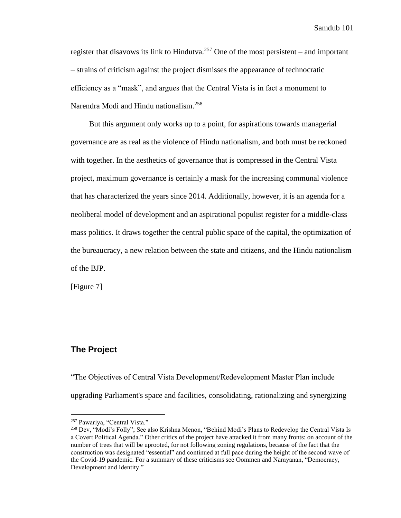register that disavows its link to Hindutva.<sup>257</sup> One of the most persistent – and important – strains of criticism against the project dismisses the appearance of technocratic efficiency as a "mask", and argues that the Central Vista is in fact a monument to Narendra Modi and Hindu nationalism.<sup>258</sup>

But this argument only works up to a point, for aspirations towards managerial governance are as real as the violence of Hindu nationalism, and both must be reckoned with together. In the aesthetics of governance that is compressed in the Central Vista project, maximum governance is certainly a mask for the increasing communal violence that has characterized the years since 2014. Additionally, however, it is an agenda for a neoliberal model of development and an aspirational populist register for a middle-class mass politics. It draws together the central public space of the capital, the optimization of the bureaucracy, a new relation between the state and citizens, and the Hindu nationalism of the BJP.

[Figure 7]

## **The Project**

"The Objectives of Central Vista Development/Redevelopment Master Plan include upgrading Parliament's space and facilities, consolidating, rationalizing and synergizing

<sup>257</sup> Pawariya, "Central Vista."

<sup>258</sup> Dev, "Modi's Folly"; See also Krishna Menon, "Behind Modi's Plans to Redevelop the Central Vista Is a Covert Political Agenda." Other critics of the project have attacked it from many fronts: on account of the number of trees that will be uprooted, for not following zoning regulations, because of the fact that the construction was designated "essential" and continued at full pace during the height of the second wave of the Covid-19 pandemic. For a summary of these criticisms see Oommen and Narayanan, "Democracy, Development and Identity."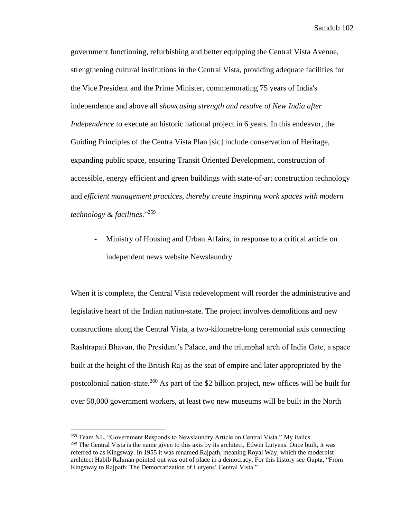government functioning, refurbishing and better equipping the Central Vista Avenue, strengthening cultural institutions in the Central Vista, providing adequate facilities for the Vice President and the Prime Minister, commemorating 75 years of India's independence and above all *showcasing strength and resolve of New India after Independence* to execute an historic national project in 6 years. In this endeavor, the Guiding Principles of the Centra Vista Plan [sic] include conservation of Heritage, expanding public space, ensuring Transit Oriented Development, construction of accessible, energy efficient and green buildings with state-of-art construction technology and *efficient management practices, thereby create inspiring work spaces with modern technology & facilities*." 259

Ministry of Housing and Urban Affairs, in response to a critical article on independent news website Newslaundry

When it is complete, the Central Vista redevelopment will reorder the administrative and legislative heart of the Indian nation-state. The project involves demolitions and new constructions along the Central Vista, a two-kilometre-long ceremonial axis connecting Rashtrapati Bhavan, the President's Palace, and the triumphal arch of India Gate, a space built at the height of the British Raj as the seat of empire and later appropriated by the postcolonial nation-state.<sup>260</sup> As part of the \$2 billion project, new offices will be built for over 50,000 government workers, at least two new museums will be built in the North

<sup>&</sup>lt;sup>259</sup> Team NL, "Government Responds to Newslaundry Article on Central Vista." My italics.  $260$  The Central Vista is the name given to this axis by its architect, Edwin Lutyens. Once built, it was referred to as Kingsway. In 1955 it was renamed Rajpath, meaning Royal Way, which the modernist architect Habib Rahman pointed out was out of place in a democracy. For this history see Gupta, "From Kingsway to Rajpath: The Democratization of Lutyens' Central Vista."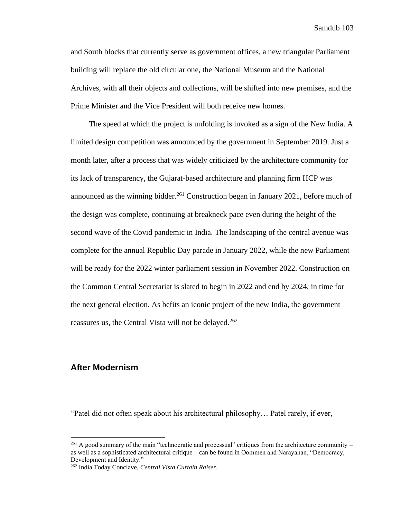and South blocks that currently serve as government offices, a new triangular Parliament building will replace the old circular one, the National Museum and the National Archives, with all their objects and collections, will be shifted into new premises, and the Prime Minister and the Vice President will both receive new homes.

The speed at which the project is unfolding is invoked as a sign of the New India. A limited design competition was announced by the government in September 2019. Just a month later, after a process that was widely criticized by the architecture community for its lack of transparency, the Gujarat-based architecture and planning firm HCP was announced as the winning bidder.<sup>261</sup> Construction began in January 2021, before much of the design was complete, continuing at breakneck pace even during the height of the second wave of the Covid pandemic in India. The landscaping of the central avenue was complete for the annual Republic Day parade in January 2022, while the new Parliament will be ready for the 2022 winter parliament session in November 2022. Construction on the Common Central Secretariat is slated to begin in 2022 and end by 2024, in time for the next general election. As befits an iconic project of the new India, the government reassures us, the Central Vista will not be delayed.<sup>262</sup>

## **After Modernism**

"Patel did not often speak about his architectural philosophy… Patel rarely, if ever,

 $^{261}$  A good summary of the main "technocratic and processual" critiques from the architecture community – as well as a sophisticated architectural critique – can be found in Oommen and Narayanan, "Democracy, Development and Identity."

<sup>262</sup> India Today Conclave, *Central Vista Curtain Raiser*.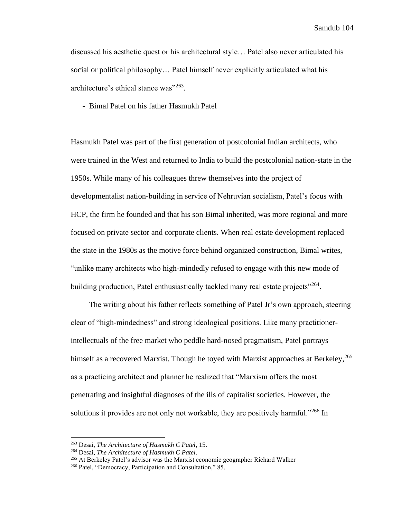discussed his aesthetic quest or his architectural style… Patel also never articulated his social or political philosophy… Patel himself never explicitly articulated what his architecture's ethical stance was"<sup>263</sup>.

- Bimal Patel on his father Hasmukh Patel

Hasmukh Patel was part of the first generation of postcolonial Indian architects, who were trained in the West and returned to India to build the postcolonial nation-state in the 1950s. While many of his colleagues threw themselves into the project of developmentalist nation-building in service of Nehruvian socialism, Patel's focus with HCP, the firm he founded and that his son Bimal inherited, was more regional and more focused on private sector and corporate clients. When real estate development replaced the state in the 1980s as the motive force behind organized construction, Bimal writes, "unlike many architects who high-mindedly refused to engage with this new mode of building production, Patel enthusiastically tackled many real estate projects"<sup>264</sup>.

The writing about his father reflects something of Patel Jr's own approach, steering clear of "high-mindedness" and strong ideological positions. Like many practitionerintellectuals of the free market who peddle hard-nosed pragmatism, Patel portrays himself as a recovered Marxist. Though he toyed with Marxist approaches at Berkeley,<sup>265</sup> as a practicing architect and planner he realized that "Marxism offers the most penetrating and insightful diagnoses of the ills of capitalist societies. However, the solutions it provides are not only not workable, they are positively harmful."<sup>266</sup> In

<sup>263</sup> Desai, *The Architecture of Hasmukh C Patel*, 15.

<sup>264</sup> Desai, *The Architecture of Hasmukh C Patel*.

<sup>&</sup>lt;sup>265</sup> At Berkeley Patel's advisor was the Marxist economic geographer Richard Walker

<sup>266</sup> Patel, "Democracy, Participation and Consultation," 85.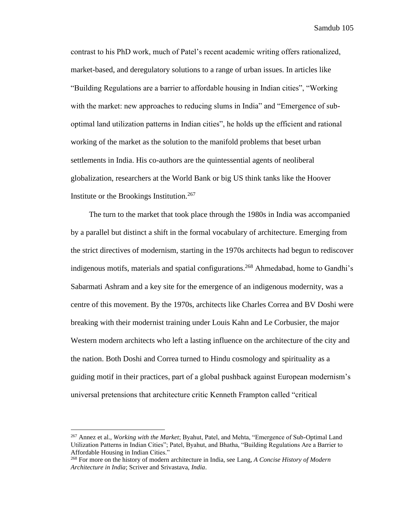contrast to his PhD work, much of Patel's recent academic writing offers rationalized, market-based, and deregulatory solutions to a range of urban issues. In articles like "Building Regulations are a barrier to affordable housing in Indian cities", "Working with the market: new approaches to reducing slums in India" and "Emergence of suboptimal land utilization patterns in Indian cities", he holds up the efficient and rational working of the market as the solution to the manifold problems that beset urban settlements in India. His co-authors are the quintessential agents of neoliberal globalization, researchers at the World Bank or big US think tanks like the Hoover Institute or the Brookings Institution.<sup>267</sup>

The turn to the market that took place through the 1980s in India was accompanied by a parallel but distinct a shift in the formal vocabulary of architecture. Emerging from the strict directives of modernism, starting in the 1970s architects had begun to rediscover indigenous motifs, materials and spatial configurations.<sup>268</sup> Ahmedabad, home to Gandhi's Sabarmati Ashram and a key site for the emergence of an indigenous modernity, was a centre of this movement. By the 1970s, architects like Charles Correa and BV Doshi were breaking with their modernist training under Louis Kahn and Le Corbusier, the major Western modern architects who left a lasting influence on the architecture of the city and the nation. Both Doshi and Correa turned to Hindu cosmology and spirituality as a guiding motif in their practices, part of a global pushback against European modernism's universal pretensions that architecture critic Kenneth Frampton called "critical

<sup>267</sup> Annez et al., *Working with the Market*; Byahut, Patel, and Mehta, "Emergence of Sub-Optimal Land Utilization Patterns in Indian Cities"; Patel, Byahut, and Bhatha, "Building Regulations Are a Barrier to Affordable Housing in Indian Cities."

<sup>268</sup> For more on the history of modern architecture in India, see Lang, *A Concise History of Modern Architecture in India*; Scriver and Srivastava, *India*.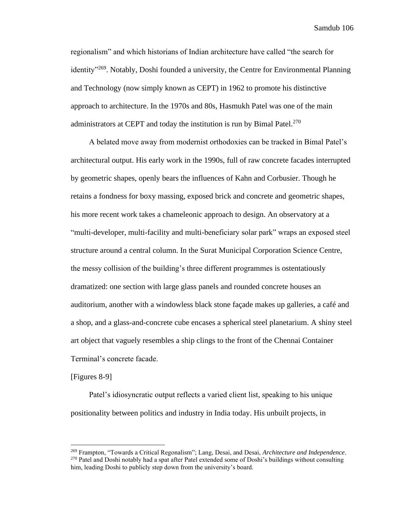regionalism" and which historians of Indian architecture have called "the search for identity<sup>"269</sup>. Notably, Doshi founded a university, the Centre for Environmental Planning and Technology (now simply known as CEPT) in 1962 to promote his distinctive approach to architecture. In the 1970s and 80s, Hasmukh Patel was one of the main administrators at CEPT and today the institution is run by Bimal Patel. $270$ 

A belated move away from modernist orthodoxies can be tracked in Bimal Patel's architectural output. His early work in the 1990s, full of raw concrete facades interrupted by geometric shapes, openly bears the influences of Kahn and Corbusier. Though he retains a fondness for boxy massing, exposed brick and concrete and geometric shapes, his more recent work takes a chameleonic approach to design. An observatory at a "multi-developer, multi-facility and multi-beneficiary solar park" wraps an exposed steel structure around a central column. In the Surat Municipal Corporation Science Centre, the messy collision of the building's three different programmes is ostentatiously dramatized: one section with large glass panels and rounded concrete houses an auditorium, another with a windowless black stone façade makes up galleries, a café and a shop, and a glass-and-concrete cube encases a spherical steel planetarium. A shiny steel art object that vaguely resembles a ship clings to the front of the Chennai Container Terminal's concrete facade.

[Figures 8-9]

Patel's idiosyncratic output reflects a varied client list, speaking to his unique positionality between politics and industry in India today. His unbuilt projects, in

<sup>269</sup> Frampton, "Towards a Critical Regonalism"; Lang, Desai, and Desai, *Architecture and Independence*. <sup>270</sup> Patel and Doshi notably had a spat after Patel extended some of Doshi's buildings without consulting him, leading Doshi to publicly step down from the university's board.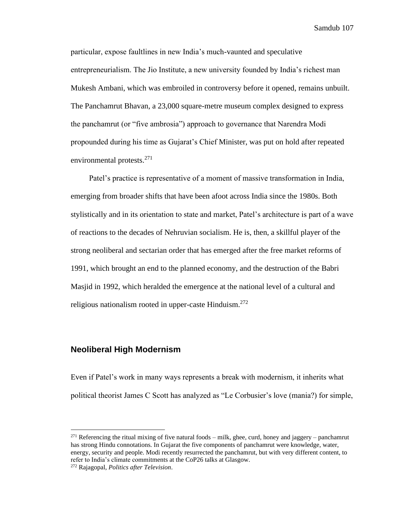particular, expose faultlines in new India's much-vaunted and speculative entrepreneurialism. The Jio Institute, a new university founded by India's richest man Mukesh Ambani, which was embroiled in controversy before it opened, remains unbuilt. The Panchamrut Bhavan, a 23,000 square-metre museum complex designed to express the panchamrut (or "five ambrosia") approach to governance that Narendra Modi propounded during his time as Gujarat's Chief Minister, was put on hold after repeated environmental protests.<sup>271</sup>

Patel's practice is representative of a moment of massive transformation in India, emerging from broader shifts that have been afoot across India since the 1980s. Both stylistically and in its orientation to state and market, Patel's architecture is part of a wave of reactions to the decades of Nehruvian socialism. He is, then, a skillful player of the strong neoliberal and sectarian order that has emerged after the free market reforms of 1991, which brought an end to the planned economy, and the destruction of the Babri Masjid in 1992, which heralded the emergence at the national level of a cultural and religious nationalism rooted in upper-caste Hinduism.<sup>272</sup>

## **Neoliberal High Modernism**

Even if Patel's work in many ways represents a break with modernism, it inherits what political theorist James C Scott has analyzed as "Le Corbusier's love (mania?) for simple,

 $^{271}$  Referencing the ritual mixing of five natural foods – milk, ghee, curd, honey and jaggery – panchamrut has strong Hindu connotations. In Gujarat the five components of panchamrut were knowledge, water, energy, security and people. Modi recently resurrected the panchamrut, but with very different content, to refer to India's climate commitments at the CoP26 talks at Glasgow.

<sup>272</sup> Rajagopal, *Politics after Television*.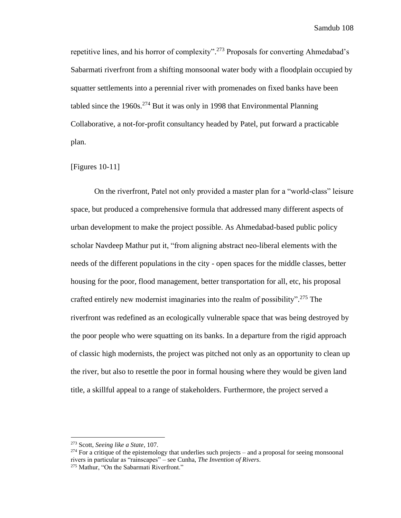repetitive lines, and his horror of complexity".<sup>273</sup> Proposals for converting Ahmedabad's Sabarmati riverfront from a shifting monsoonal water body with a floodplain occupied by squatter settlements into a perennial river with promenades on fixed banks have been tabled since the  $1960s$ <sup>274</sup> But it was only in 1998 that Environmental Planning Collaborative, a not-for-profit consultancy headed by Patel, put forward a practicable plan.

#### [Figures 10-11]

On the riverfront, Patel not only provided a master plan for a "world-class" leisure space, but produced a comprehensive formula that addressed many different aspects of urban development to make the project possible. As Ahmedabad-based public policy scholar Navdeep Mathur put it, "from aligning abstract neo-liberal elements with the needs of the different populations in the city - open spaces for the middle classes, better housing for the poor, flood management, better transportation for all, etc, his proposal crafted entirely new modernist imaginaries into the realm of possibility". <sup>275</sup> The riverfront was redefined as an ecologically vulnerable space that was being destroyed by the poor people who were squatting on its banks. In a departure from the rigid approach of classic high modernists, the project was pitched not only as an opportunity to clean up the river, but also to resettle the poor in formal housing where they would be given land title, a skillful appeal to a range of stakeholders. Furthermore, the project served a

<sup>273</sup> Scott, *Seeing like a State*, 107.

 $^{274}$  For a critique of the epistemology that underlies such projects – and a proposal for seeing monsoonal rivers in particular as "rainscapes" – see Cunha, *The Invention of Rivers*.

<sup>&</sup>lt;sup>275</sup> Mathur, "On the Sabarmati Riverfront."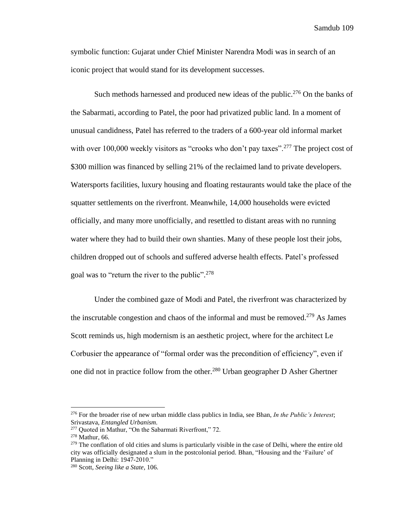symbolic function: Gujarat under Chief Minister Narendra Modi was in search of an iconic project that would stand for its development successes.

Such methods harnessed and produced new ideas of the public.<sup>276</sup> On the banks of the Sabarmati, according to Patel, the poor had privatized public land. In a moment of unusual candidness, Patel has referred to the traders of a 600-year old informal market with over 100,000 weekly visitors as "crooks who don't pay taxes".<sup>277</sup> The project cost of \$300 million was financed by selling 21% of the reclaimed land to private developers. Watersports facilities, luxury housing and floating restaurants would take the place of the squatter settlements on the riverfront. Meanwhile, 14,000 households were evicted officially, and many more unofficially, and resettled to distant areas with no running water where they had to build their own shanties. Many of these people lost their jobs, children dropped out of schools and suffered adverse health effects. Patel's professed goal was to "return the river to the public".<sup>278</sup>

Under the combined gaze of Modi and Patel, the riverfront was characterized by the inscrutable congestion and chaos of the informal and must be removed.<sup>279</sup> As James Scott reminds us, high modernism is an aesthetic project, where for the architect Le Corbusier the appearance of "formal order was the precondition of efficiency", even if one did not in practice follow from the other.<sup>280</sup> Urban geographer D Asher Ghertner

<sup>276</sup> For the broader rise of new urban middle class publics in India, see Bhan, *In the Public's Interest*; Srivastava, *Entangled Urbanism*.

<sup>277</sup> Quoted in Mathur, "On the Sabarmati Riverfront," 72.

<sup>278</sup> Mathur, 66.

 $^{279}$  The conflation of old cities and slums is particularly visible in the case of Delhi, where the entire old city was officially designated a slum in the postcolonial period. Bhan, "Housing and the 'Failure' of Planning in Delhi: 1947-2010."

<sup>280</sup> Scott, *Seeing like a State*, 106.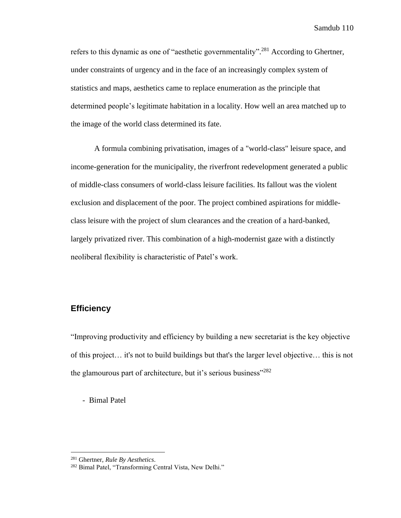refers to this dynamic as one of "aesthetic governmentality".<sup>281</sup> According to Ghertner, under constraints of urgency and in the face of an increasingly complex system of statistics and maps, aesthetics came to replace enumeration as the principle that determined people's legitimate habitation in a locality. How well an area matched up to the image of the world class determined its fate.

A formula combining privatisation, images of a "world-class" leisure space, and income-generation for the municipality, the riverfront redevelopment generated a public of middle-class consumers of world-class leisure facilities. Its fallout was the violent exclusion and displacement of the poor. The project combined aspirations for middleclass leisure with the project of slum clearances and the creation of a hard-banked, largely privatized river. This combination of a high-modernist gaze with a distinctly neoliberal flexibility is characteristic of Patel's work.

## **Efficiency**

"Improving productivity and efficiency by building a new secretariat is the key objective of this project… it's not to build buildings but that's the larger level objective… this is not the glamourous part of architecture, but it's serious business"<sup>282</sup>

- Bimal Patel

<sup>281</sup> Ghertner, *Rule By Aesthetics*.

<sup>282</sup> Bimal Patel, "Transforming Central Vista, New Delhi."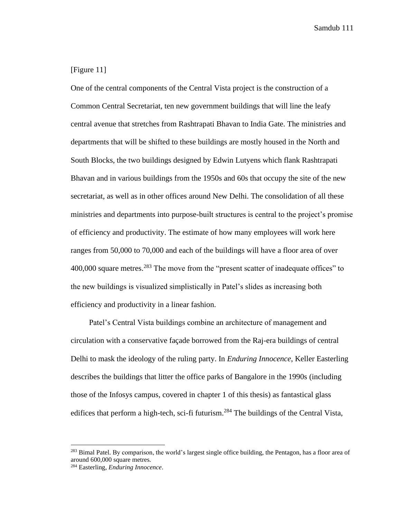## [Figure 11]

One of the central components of the Central Vista project is the construction of a Common Central Secretariat, ten new government buildings that will line the leafy central avenue that stretches from Rashtrapati Bhavan to India Gate. The ministries and departments that will be shifted to these buildings are mostly housed in the North and South Blocks, the two buildings designed by Edwin Lutyens which flank Rashtrapati Bhavan and in various buildings from the 1950s and 60s that occupy the site of the new secretariat, as well as in other offices around New Delhi. The consolidation of all these ministries and departments into purpose-built structures is central to the project's promise of efficiency and productivity. The estimate of how many employees will work here ranges from 50,000 to 70,000 and each of the buildings will have a floor area of over 400,000 square metres.<sup>283</sup> The move from the "present scatter of inadequate offices" to the new buildings is visualized simplistically in Patel's slides as increasing both efficiency and productivity in a linear fashion.

Patel's Central Vista buildings combine an architecture of management and circulation with a conservative façade borrowed from the Raj-era buildings of central Delhi to mask the ideology of the ruling party. In *Enduring Innocence*, Keller Easterling describes the buildings that litter the office parks of Bangalore in the 1990s (including those of the Infosys campus, covered in chapter 1 of this thesis) as fantastical glass edifices that perform a high-tech, sci-fi futurism.<sup>284</sup> The buildings of the Central Vista,

<sup>&</sup>lt;sup>283</sup> Bimal Patel. By comparison, the world's largest single office building, the Pentagon, has a floor area of around 600,000 square metres.

<sup>284</sup> Easterling, *Enduring Innocence*.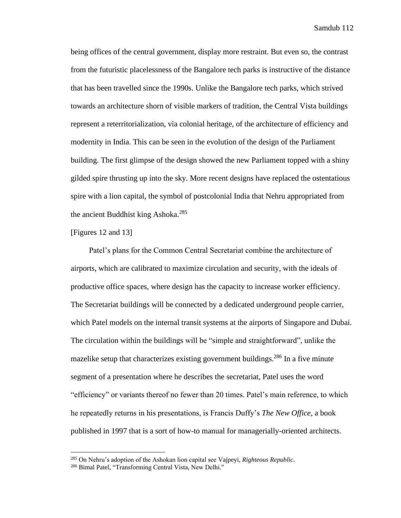being offices of the central government, display more restraint. But even so, the contrast from the futuristic placelessness of the Bangalore tech parks is instructive of the distance that has been travelled since the 1990s. Unlike the Bangalore tech parks, which strived towards an architecture shorn of visible markers of tradition, the Central Vista buildings represent a reterritorialization, via colonial heritage, of the architecture of efficiency and modernity in India. This can be seen in the evolution of the design of the Parliament building. The first glimpse of the design showed the new Parliament topped with a shiny gilded spire thrusting up into the sky. More recent designs have replaced the ostentatious spire with a lion capital, the symbol of postcolonial India that Nehru appropriated from the ancient Buddhist king Ashoka.<sup>285</sup>

#### [Figures 12 and 13]

Patel's plans for the Common Central Secretariat combine the architecture of airports, which are calibrated to maximize circulation and security, with the ideals of productive office spaces, where design has the capacity to increase worker efficiency. The Secretariat buildings will be connected by a dedicated underground people carrier, which Patel models on the internal transit systems at the airports of Singapore and Dubai. The circulation within the buildings will be "simple and straightforward", unlike the mazelike setup that characterizes existing government buildings.<sup>286</sup> In a five minute segment of a presentation where he describes the secretariat, Patel uses the word "efficiency" or variants thereof no fewer than 20 times. Patel's main reference, to which he repeatedly returns in his presentations, is Francis Duffy's *The New Office*, a book published in 1997 that is a sort of how-to manual for managerially-oriented architects.

<sup>285</sup> On Nehru's adoption of the Ashokan lion capital see Vajpeyi, *Righteous Republic*.

<sup>286</sup> Bimal Patel, "Transforming Central Vista, New Delhi."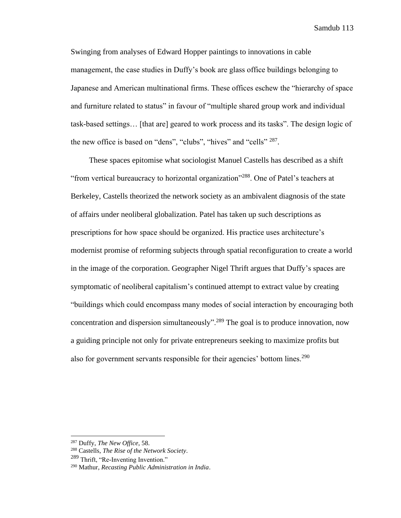Swinging from analyses of Edward Hopper paintings to innovations in cable management, the case studies in Duffy's book are glass office buildings belonging to Japanese and American multinational firms. These offices eschew the "hierarchy of space and furniture related to status" in favour of "multiple shared group work and individual task-based settings… [that are] geared to work process and its tasks". The design logic of the new office is based on "dens", "clubs", "hives" and "cells" <sup>287</sup>.

These spaces epitomise what sociologist Manuel Castells has described as a shift "from vertical bureaucracy to horizontal organization"<sup>288</sup>. One of Patel's teachers at Berkeley, Castells theorized the network society as an ambivalent diagnosis of the state of affairs under neoliberal globalization. Patel has taken up such descriptions as prescriptions for how space should be organized. His practice uses architecture's modernist promise of reforming subjects through spatial reconfiguration to create a world in the image of the corporation. Geographer Nigel Thrift argues that Duffy's spaces are symptomatic of neoliberal capitalism's continued attempt to extract value by creating "buildings which could encompass many modes of social interaction by encouraging both concentration and dispersion simultaneously".<sup>289</sup> The goal is to produce innovation, now a guiding principle not only for private entrepreneurs seeking to maximize profits but also for government servants responsible for their agencies' bottom lines.<sup>290</sup>

<sup>287</sup> Duffy, *The New Office*, 58.

<sup>288</sup> Castells, *The Rise of the Network Society*.

<sup>&</sup>lt;sup>289</sup> Thrift, "Re-Inventing Invention."

<sup>290</sup> Mathur, *Recasting Public Administration in India*.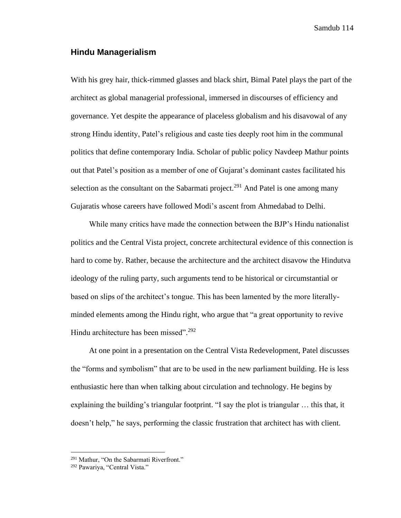## **Hindu Managerialism**

With his grey hair, thick-rimmed glasses and black shirt, Bimal Patel plays the part of the architect as global managerial professional, immersed in discourses of efficiency and governance. Yet despite the appearance of placeless globalism and his disavowal of any strong Hindu identity, Patel's religious and caste ties deeply root him in the communal politics that define contemporary India. Scholar of public policy Navdeep Mathur points out that Patel's position as a member of one of Gujarat's dominant castes facilitated his selection as the consultant on the Sabarmati project.<sup>291</sup> And Patel is one among many Gujaratis whose careers have followed Modi's ascent from Ahmedabad to Delhi.

While many critics have made the connection between the BJP's Hindu nationalist politics and the Central Vista project, concrete architectural evidence of this connection is hard to come by. Rather, because the architecture and the architect disavow the Hindutva ideology of the ruling party, such arguments tend to be historical or circumstantial or based on slips of the architect's tongue. This has been lamented by the more literallyminded elements among the Hindu right, who argue that "a great opportunity to revive Hindu architecture has been missed".<sup>292</sup>

At one point in a presentation on the Central Vista Redevelopment, Patel discusses the "forms and symbolism" that are to be used in the new parliament building. He is less enthusiastic here than when talking about circulation and technology. He begins by explaining the building's triangular footprint. "I say the plot is triangular … this that, it doesn't help," he says, performing the classic frustration that architect has with client.

<sup>&</sup>lt;sup>291</sup> Mathur, "On the Sabarmati Riverfront."

<sup>292</sup> Pawariya, "Central Vista."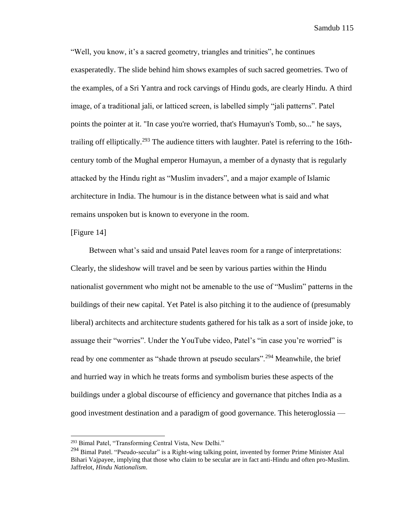"Well, you know, it's a sacred geometry, triangles and trinities", he continues exasperatedly. The slide behind him shows examples of such sacred geometries. Two of the examples, of a Sri Yantra and rock carvings of Hindu gods, are clearly Hindu. A third image, of a traditional jali, or latticed screen, is labelled simply "jali patterns". Patel points the pointer at it. "In case you're worried, that's Humayun's Tomb, so..." he says, trailing off elliptically.<sup>293</sup> The audience titters with laughter. Patel is referring to the 16thcentury tomb of the Mughal emperor Humayun, a member of a dynasty that is regularly attacked by the Hindu right as "Muslim invaders", and a major example of Islamic architecture in India. The humour is in the distance between what is said and what remains unspoken but is known to everyone in the room.

#### [Figure 14]

Between what's said and unsaid Patel leaves room for a range of interpretations: Clearly, the slideshow will travel and be seen by various parties within the Hindu nationalist government who might not be amenable to the use of "Muslim" patterns in the buildings of their new capital. Yet Patel is also pitching it to the audience of (presumably liberal) architects and architecture students gathered for his talk as a sort of inside joke, to assuage their "worries". Under the YouTube video, Patel's "in case you're worried" is read by one commenter as "shade thrown at pseudo seculars".<sup>294</sup> Meanwhile, the brief and hurried way in which he treats forms and symbolism buries these aspects of the buildings under a global discourse of efficiency and governance that pitches India as a good investment destination and a paradigm of good governance. This heteroglossia —

<sup>293</sup> Bimal Patel, "Transforming Central Vista, New Delhi."

 $^{294}$  Bimal Patel. "Pseudo-secular" is a Right-wing talking point, invented by former Prime Minister Atal Bihari Vajpayee, implying that those who claim to be secular are in fact anti-Hindu and often pro-Muslim. Jaffrelot, *Hindu Nationalism*.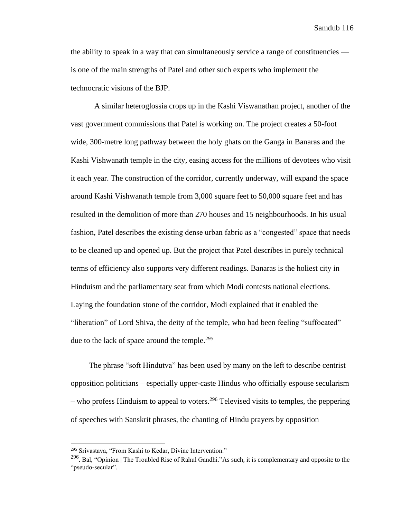the ability to speak in a way that can simultaneously service a range of constituencies is one of the main strengths of Patel and other such experts who implement the technocratic visions of the BJP.

A similar heteroglossia crops up in the Kashi Viswanathan project, another of the vast government commissions that Patel is working on. The project creates a 50-foot wide, 300-metre long pathway between the holy ghats on the Ganga in Banaras and the Kashi Vishwanath temple in the city, easing access for the millions of devotees who visit it each year. The construction of the corridor, currently underway, will expand the space around Kashi Vishwanath temple from 3,000 square feet to 50,000 square feet and has resulted in the demolition of more than 270 houses and 15 neighbourhoods. In his usual fashion, Patel describes the existing dense urban fabric as a "congested" space that needs to be cleaned up and opened up. But the project that Patel describes in purely technical terms of efficiency also supports very different readings. Banaras is the holiest city in Hinduism and the parliamentary seat from which Modi contests national elections. Laying the foundation stone of the corridor, Modi explained that it enabled the "liberation" of Lord Shiva, the deity of the temple, who had been feeling "suffocated" due to the lack of space around the temple.<sup>295</sup>

The phrase "soft Hindutva" has been used by many on the left to describe centrist opposition politicians – especially upper-caste Hindus who officially espouse secularism – who profess Hinduism to appeal to voters.<sup>296</sup> Televised visits to temples, the peppering of speeches with Sanskrit phrases, the chanting of Hindu prayers by opposition

<sup>295</sup> Srivastava, "From Kashi to Kedar, Divine Intervention."

<sup>&</sup>lt;sup>296</sup>. Bal, "Opinion | The Troubled Rise of Rahul Gandhi."As such, it is complementary and opposite to the "pseudo-secular".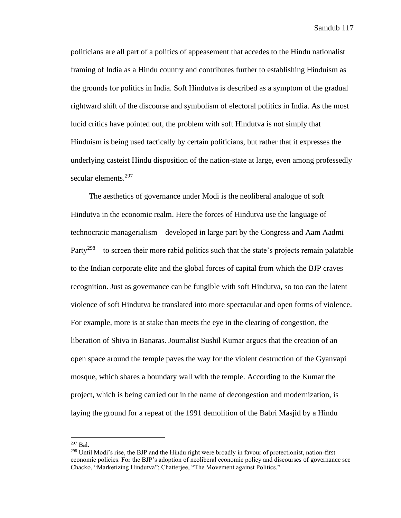politicians are all part of a politics of appeasement that accedes to the Hindu nationalist framing of India as a Hindu country and contributes further to establishing Hinduism as the grounds for politics in India. Soft Hindutva is described as a symptom of the gradual rightward shift of the discourse and symbolism of electoral politics in India. As the most lucid critics have pointed out, the problem with soft Hindutva is not simply that Hinduism is being used tactically by certain politicians, but rather that it expresses the underlying casteist Hindu disposition of the nation-state at large, even among professedly secular elements.<sup>297</sup>

The aesthetics of governance under Modi is the neoliberal analogue of soft Hindutva in the economic realm. Here the forces of Hindutva use the language of technocratic managerialism – developed in large part by the Congress and Aam Aadmi Party<sup>298</sup> – to screen their more rabid politics such that the state's projects remain palatable to the Indian corporate elite and the global forces of capital from which the BJP craves recognition. Just as governance can be fungible with soft Hindutva, so too can the latent violence of soft Hindutva be translated into more spectacular and open forms of violence. For example, more is at stake than meets the eye in the clearing of congestion, the liberation of Shiva in Banaras. Journalist Sushil Kumar argues that the creation of an open space around the temple paves the way for the violent destruction of the Gyanvapi mosque, which shares a boundary wall with the temple. According to the Kumar the project, which is being carried out in the name of decongestion and modernization, is laying the ground for a repeat of the 1991 demolition of the Babri Masjid by a Hindu

 $^{297}$  Bal.

<sup>&</sup>lt;sup>298</sup> Until Modi's rise, the BJP and the Hindu right were broadly in favour of protectionist, nation-first economic policies. For the BJP's adoption of neoliberal economic policy and discourses of governance see Chacko, "Marketizing Hindutva"; Chatterjee, "The Movement against Politics."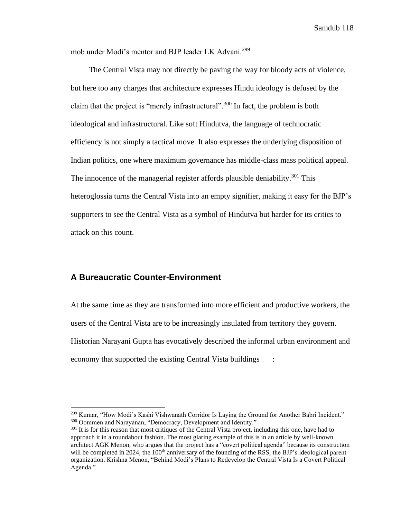mob under Modi's mentor and BJP leader LK Advani.<sup>299</sup>

The Central Vista may not directly be paving the way for bloody acts of violence, but here too any charges that architecture expresses Hindu ideology is defused by the claim that the project is "merely infrastructural".<sup>300</sup> In fact, the problem is both ideological and infrastructural. Like soft Hindutva, the language of technocratic efficiency is not simply a tactical move. It also expresses the underlying disposition of Indian politics, one where maximum governance has middle-class mass political appeal. The innocence of the managerial register affords plausible deniability.<sup>301</sup> This heteroglossia turns the Central Vista into an empty signifier, making it easy for the BJP's supporters to see the Central Vista as a symbol of Hindutva but harder for its critics to attack on this count.

## **A Bureaucratic Counter-Environment**

At the same time as they are transformed into more efficient and productive workers, the users of the Central Vista are to be increasingly insulated from territory they govern. Historian Narayani Gupta has evocatively described the informal urban environment and economy that supported the existing Central Vista buildings :

<sup>299</sup> Kumar, "How Modi's Kashi Vishwanath Corridor Is Laying the Ground for Another Babri Incident." <sup>300</sup> Oommen and Narayanan, "Democracy, Development and Identity."

<sup>&</sup>lt;sup>301</sup> It is for this reason that most critiques of the Central Vista project, including this one, have had to approach it in a roundabout fashion. The most glaring example of this is in an article by well-known architect AGK Menon, who argues that the project has a "covert political agenda" because its construction will be completed in 2024, the 100<sup>th</sup> anniversary of the founding of the RSS, the BJP's ideological parent organization. Krishna Menon, "Behind Modi's Plans to Redevelop the Central Vista Is a Covert Political Agenda."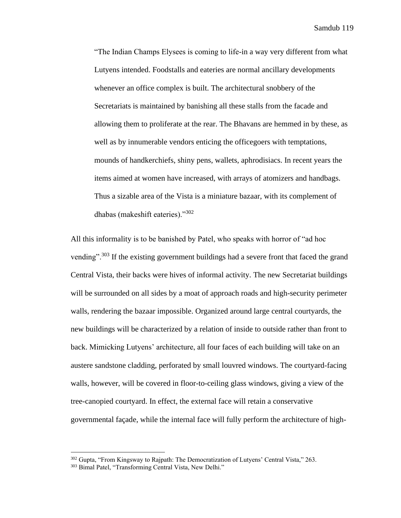"The Indian Champs Elysees is coming to life-in a way very different from what Lutyens intended. Foodstalls and eateries are normal ancillary developments whenever an office complex is built. The architectural snobbery of the Secretariats is maintained by banishing all these stalls from the facade and allowing them to proliferate at the rear. The Bhavans are hemmed in by these, as well as by innumerable vendors enticing the officegoers with temptations, mounds of handkerchiefs, shiny pens, wallets, aphrodisiacs. In recent years the items aimed at women have increased, with arrays of atomizers and handbags. Thus a sizable area of the Vista is a miniature bazaar, with its complement of dhabas (makeshift eateries)."<sup>302</sup>

All this informality is to be banished by Patel, who speaks with horror of "ad hoc vending"<sup>303</sup> If the existing government buildings had a severe front that faced the grand Central Vista, their backs were hives of informal activity. The new Secretariat buildings will be surrounded on all sides by a moat of approach roads and high-security perimeter walls, rendering the bazaar impossible. Organized around large central courtyards, the new buildings will be characterized by a relation of inside to outside rather than front to back. Mimicking Lutyens' architecture, all four faces of each building will take on an austere sandstone cladding, perforated by small louvred windows. The courtyard-facing walls, however, will be covered in floor-to-ceiling glass windows, giving a view of the tree-canopied courtyard. In effect, the external face will retain a conservative governmental façade, while the internal face will fully perform the architecture of high-

<sup>&</sup>lt;sup>302</sup> Gupta, "From Kingsway to Rajpath: The Democratization of Lutyens' Central Vista," 263.

<sup>303</sup> Bimal Patel, "Transforming Central Vista, New Delhi."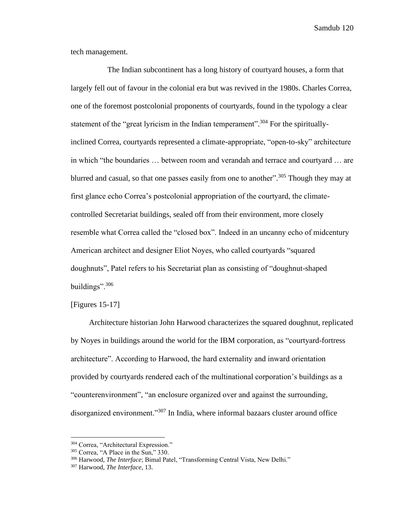tech management.

The Indian subcontinent has a long history of courtyard houses, a form that largely fell out of favour in the colonial era but was revived in the 1980s. Charles Correa, one of the foremost postcolonial proponents of courtyards, found in the typology a clear statement of the "great lyricism in the Indian temperament".<sup>304</sup> For the spirituallyinclined Correa, courtyards represented a climate-appropriate, "open-to-sky" architecture in which "the boundaries … between room and verandah and terrace and courtyard … are blurred and casual, so that one passes easily from one to another".<sup>305</sup> Though they may at first glance echo Correa's postcolonial appropriation of the courtyard, the climatecontrolled Secretariat buildings, sealed off from their environment, more closely resemble what Correa called the "closed box". Indeed in an uncanny echo of midcentury American architect and designer Eliot Noyes, who called courtyards "squared doughnuts", Patel refers to his Secretariat plan as consisting of "doughnut-shaped buildings".<sup>306</sup>

[Figures 15-17]

Architecture historian John Harwood characterizes the squared doughnut, replicated by Noyes in buildings around the world for the IBM corporation, as "courtyard-fortress architecture". According to Harwood, the hard externality and inward orientation provided by courtyards rendered each of the multinational corporation's buildings as a "counterenvironment", "an enclosure organized over and against the surrounding, disorganized environment."<sup>307</sup> In India, where informal bazaars cluster around office

<sup>304</sup> Correa, "Architectural Expression."

<sup>305</sup> Correa, "A Place in the Sun," 330.

<sup>306</sup> Harwood, *The Interface*; Bimal Patel, "Transforming Central Vista, New Delhi."

<sup>307</sup> Harwood, *The Interface*, 13.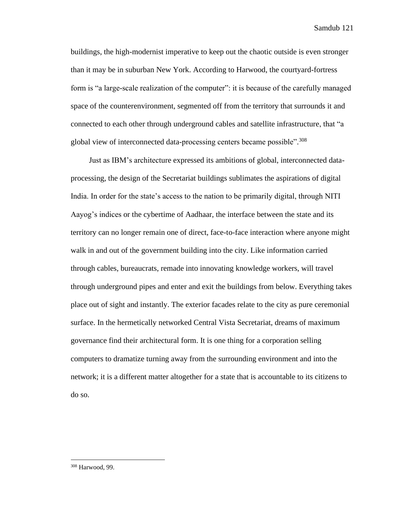buildings, the high-modernist imperative to keep out the chaotic outside is even stronger than it may be in suburban New York. According to Harwood, the courtyard-fortress form is "a large-scale realization of the computer": it is because of the carefully managed space of the counterenvironment, segmented off from the territory that surrounds it and connected to each other through underground cables and satellite infrastructure, that "a global view of interconnected data-processing centers became possible".<sup>308</sup>

Just as IBM's architecture expressed its ambitions of global, interconnected dataprocessing, the design of the Secretariat buildings sublimates the aspirations of digital India. In order for the state's access to the nation to be primarily digital, through NITI Aayog's indices or the cybertime of Aadhaar, the interface between the state and its territory can no longer remain one of direct, face-to-face interaction where anyone might walk in and out of the government building into the city. Like information carried through cables, bureaucrats, remade into innovating knowledge workers, will travel through underground pipes and enter and exit the buildings from below. Everything takes place out of sight and instantly. The exterior facades relate to the city as pure ceremonial surface. In the hermetically networked Central Vista Secretariat, dreams of maximum governance find their architectural form. It is one thing for a corporation selling computers to dramatize turning away from the surrounding environment and into the network; it is a different matter altogether for a state that is accountable to its citizens to do so.

<sup>308</sup> Harwood, 99.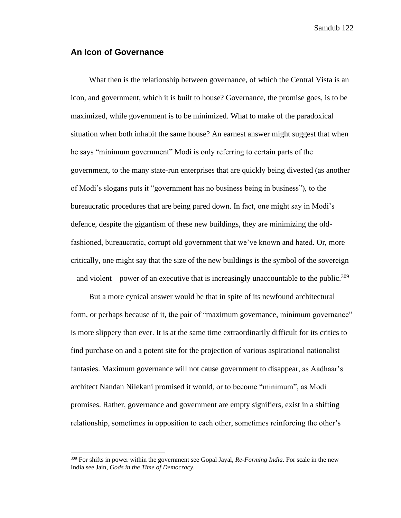## **An Icon of Governance**

What then is the relationship between governance, of which the Central Vista is an icon, and government, which it is built to house? Governance, the promise goes, is to be maximized, while government is to be minimized. What to make of the paradoxical situation when both inhabit the same house? An earnest answer might suggest that when he says "minimum government" Modi is only referring to certain parts of the government, to the many state-run enterprises that are quickly being divested (as another of Modi's slogans puts it "government has no business being in business"), to the bureaucratic procedures that are being pared down. In fact, one might say in Modi's defence, despite the gigantism of these new buildings, they are minimizing the oldfashioned, bureaucratic, corrupt old government that we've known and hated. Or, more critically, one might say that the size of the new buildings is the symbol of the sovereign – and violent – power of an executive that is increasingly unaccountable to the public.<sup>309</sup>

But a more cynical answer would be that in spite of its newfound architectural form, or perhaps because of it, the pair of "maximum governance, minimum governance" is more slippery than ever. It is at the same time extraordinarily difficult for its critics to find purchase on and a potent site for the projection of various aspirational nationalist fantasies. Maximum governance will not cause government to disappear, as Aadhaar's architect Nandan Nilekani promised it would, or to become "minimum", as Modi promises. Rather, governance and government are empty signifiers, exist in a shifting relationship, sometimes in opposition to each other, sometimes reinforcing the other's

<sup>309</sup> For shifts in power within the government see Gopal Jayal, *Re-Forming India*. For scale in the new India see Jain, *Gods in the Time of Democracy*.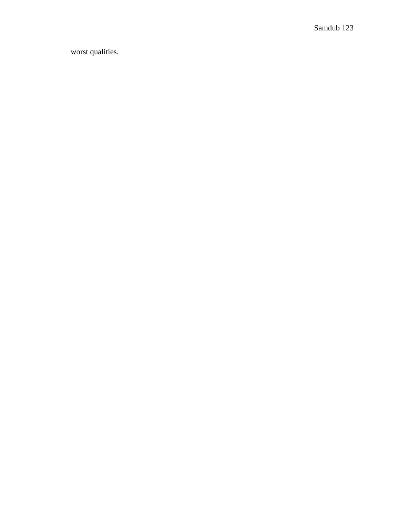worst qualities.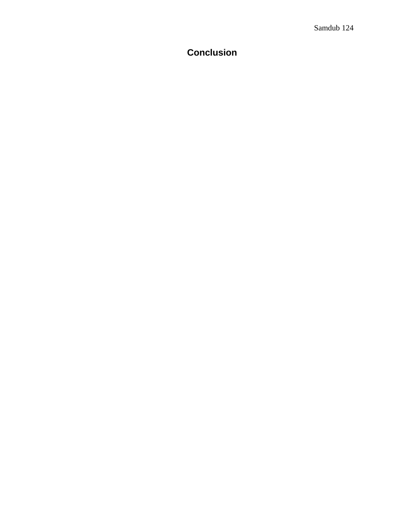# **Conclusion**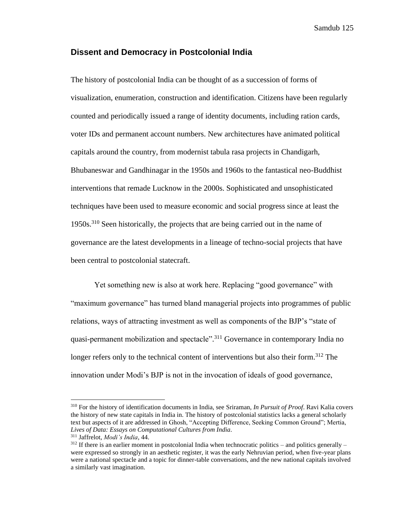#### **Dissent and Democracy in Postcolonial India**

The history of postcolonial India can be thought of as a succession of forms of visualization, enumeration, construction and identification. Citizens have been regularly counted and periodically issued a range of identity documents, including ration cards, voter IDs and permanent account numbers. New architectures have animated political capitals around the country, from modernist tabula rasa projects in Chandigarh, Bhubaneswar and Gandhinagar in the 1950s and 1960s to the fantastical neo-Buddhist interventions that remade Lucknow in the 2000s. Sophisticated and unsophisticated techniques have been used to measure economic and social progress since at least the 1950s.<sup>310</sup> Seen historically, the projects that are being carried out in the name of governance are the latest developments in a lineage of techno-social projects that have been central to postcolonial statecraft.

Yet something new is also at work here. Replacing "good governance" with "maximum governance" has turned bland managerial projects into programmes of public relations, ways of attracting investment as well as components of the BJP's "state of quasi-permanent mobilization and spectacle".<sup>311</sup> Governance in contemporary India no longer refers only to the technical content of interventions but also their form.<sup>312</sup> The innovation under Modi's BJP is not in the invocation of ideals of good governance,

<sup>310</sup> For the history of identification documents in India, see Sriraman, *In Pursuit of Proof*. Ravi Kalia covers the history of new state capitals in India in. The history of postcolonial statistics lacks a general scholarly text but aspects of it are addressed in Ghosh, "Accepting Difference, Seeking Common Ground"; Mertia, *Lives of Data: Essays on Computational Cultures from India*.

<sup>311</sup> Jaffrelot, *Modi's India*, 44.

 $312$  If there is an earlier moment in postcolonial India when technocratic politics – and politics generally – were expressed so strongly in an aesthetic register, it was the early Nehruvian period, when five-year plans were a national spectacle and a topic for dinner-table conversations, and the new national capitals involved a similarly vast imagination.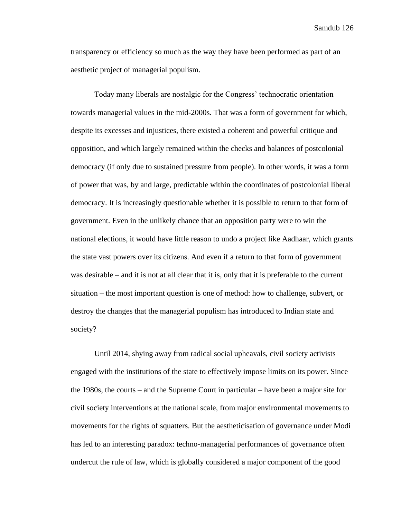transparency or efficiency so much as the way they have been performed as part of an aesthetic project of managerial populism.

Today many liberals are nostalgic for the Congress' technocratic orientation towards managerial values in the mid-2000s. That was a form of government for which, despite its excesses and injustices, there existed a coherent and powerful critique and opposition, and which largely remained within the checks and balances of postcolonial democracy (if only due to sustained pressure from people). In other words, it was a form of power that was, by and large, predictable within the coordinates of postcolonial liberal democracy. It is increasingly questionable whether it is possible to return to that form of government. Even in the unlikely chance that an opposition party were to win the national elections, it would have little reason to undo a project like Aadhaar, which grants the state vast powers over its citizens. And even if a return to that form of government was desirable – and it is not at all clear that it is, only that it is preferable to the current situation – the most important question is one of method: how to challenge, subvert, or destroy the changes that the managerial populism has introduced to Indian state and society?

Until 2014, shying away from radical social upheavals, civil society activists engaged with the institutions of the state to effectively impose limits on its power. Since the 1980s, the courts – and the Supreme Court in particular – have been a major site for civil society interventions at the national scale, from major environmental movements to movements for the rights of squatters. But the aestheticisation of governance under Modi has led to an interesting paradox: techno-managerial performances of governance often undercut the rule of law, which is globally considered a major component of the good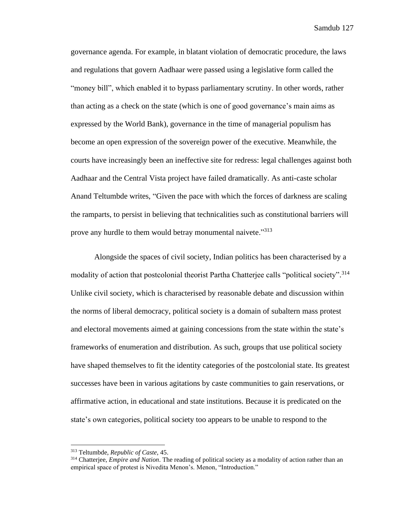governance agenda. For example, in blatant violation of democratic procedure, the laws and regulations that govern Aadhaar were passed using a legislative form called the "money bill", which enabled it to bypass parliamentary scrutiny. In other words, rather than acting as a check on the state (which is one of good governance's main aims as expressed by the World Bank), governance in the time of managerial populism has become an open expression of the sovereign power of the executive. Meanwhile, the courts have increasingly been an ineffective site for redress: legal challenges against both Aadhaar and the Central Vista project have failed dramatically. As anti-caste scholar Anand Teltumbde writes, "Given the pace with which the forces of darkness are scaling the ramparts, to persist in believing that technicalities such as constitutional barriers will prove any hurdle to them would betray monumental naivete."<sup>313</sup>

Alongside the spaces of civil society, Indian politics has been characterised by a modality of action that postcolonial theorist Partha Chatterjee calls "political society".<sup>314</sup> Unlike civil society, which is characterised by reasonable debate and discussion within the norms of liberal democracy, political society is a domain of subaltern mass protest and electoral movements aimed at gaining concessions from the state within the state's frameworks of enumeration and distribution. As such, groups that use political society have shaped themselves to fit the identity categories of the postcolonial state. Its greatest successes have been in various agitations by caste communities to gain reservations, or affirmative action, in educational and state institutions. Because it is predicated on the state's own categories, political society too appears to be unable to respond to the

<sup>313</sup> Teltumbde, *Republic of Caste*, 45.

<sup>314</sup> Chatterjee, *Empire and Nation*. The reading of political society as a modality of action rather than an empirical space of protest is Nivedita Menon's. Menon, "Introduction."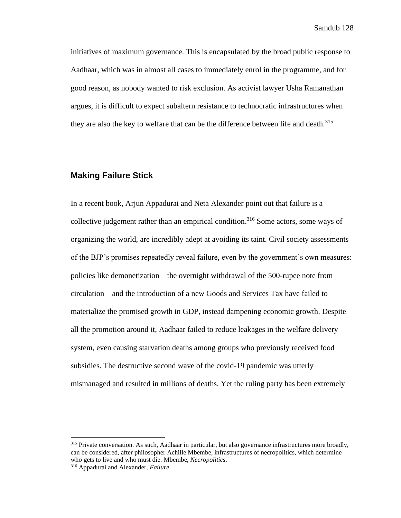initiatives of maximum governance. This is encapsulated by the broad public response to Aadhaar, which was in almost all cases to immediately enrol in the programme, and for good reason, as nobody wanted to risk exclusion. As activist lawyer Usha Ramanathan argues, it is difficult to expect subaltern resistance to technocratic infrastructures when they are also the key to welfare that can be the difference between life and death.<sup>315</sup>

## **Making Failure Stick**

In a recent book, Arjun Appadurai and Neta Alexander point out that failure is a collective judgement rather than an empirical condition. <sup>316</sup> Some actors, some ways of organizing the world, are incredibly adept at avoiding its taint. Civil society assessments of the BJP's promises repeatedly reveal failure, even by the government's own measures: policies like demonetization – the overnight withdrawal of the 500-rupee note from circulation – and the introduction of a new Goods and Services Tax have failed to materialize the promised growth in GDP, instead dampening economic growth. Despite all the promotion around it, Aadhaar failed to reduce leakages in the welfare delivery system, even causing starvation deaths among groups who previously received food subsidies. The destructive second wave of the covid-19 pandemic was utterly mismanaged and resulted in millions of deaths. Yet the ruling party has been extremely

<sup>&</sup>lt;sup>315</sup> Private conversation. As such, Aadhaar in particular, but also governance infrastructures more broadly, can be considered, after philosopher Achille Mbembe, infrastructures of necropolitics, which determine who gets to live and who must die. Mbembe, *Necropolitics*.

<sup>316</sup> Appadurai and Alexander, *Failure*.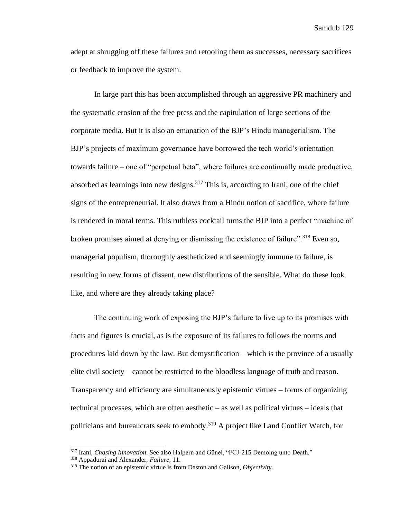adept at shrugging off these failures and retooling them as successes, necessary sacrifices or feedback to improve the system.

In large part this has been accomplished through an aggressive PR machinery and the systematic erosion of the free press and the capitulation of large sections of the corporate media. But it is also an emanation of the BJP's Hindu managerialism. The BJP's projects of maximum governance have borrowed the tech world's orientation towards failure – one of "perpetual beta", where failures are continually made productive, absorbed as learnings into new designs.<sup>317</sup> This is, according to Irani, one of the chief signs of the entrepreneurial. It also draws from a Hindu notion of sacrifice, where failure is rendered in moral terms. This ruthless cocktail turns the BJP into a perfect "machine of broken promises aimed at denying or dismissing the existence of failure".<sup>318</sup> Even so, managerial populism, thoroughly aestheticized and seemingly immune to failure, is resulting in new forms of dissent, new distributions of the sensible. What do these look like, and where are they already taking place?

The continuing work of exposing the BJP's failure to live up to its promises with facts and figures is crucial, as is the exposure of its failures to follows the norms and procedures laid down by the law. But demystification – which is the province of a usually elite civil society – cannot be restricted to the bloodless language of truth and reason. Transparency and efficiency are simultaneously epistemic virtues – forms of organizing technical processes, which are often aesthetic – as well as political virtues – ideals that politicians and bureaucrats seek to embody.<sup>319</sup> A project like Land Conflict Watch, for

<sup>317</sup> Irani, *Chasing Innovation*. See also Halpern and Günel, "FCJ-215 Demoing unto Death."

<sup>318</sup> Appadurai and Alexander, *Failure*, 11.

<sup>319</sup> The notion of an epistemic virtue is from Daston and Galison, *Objectivity*.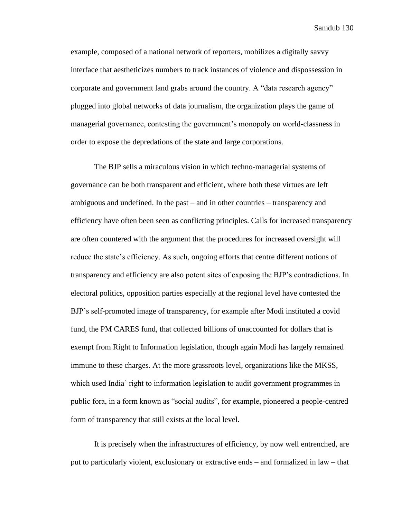example, composed of a national network of reporters, mobilizes a digitally savvy interface that aestheticizes numbers to track instances of violence and dispossession in corporate and government land grabs around the country. A "data research agency" plugged into global networks of data journalism, the organization plays the game of managerial governance, contesting the government's monopoly on world-classness in order to expose the depredations of the state and large corporations.

The BJP sells a miraculous vision in which techno-managerial systems of governance can be both transparent and efficient, where both these virtues are left ambiguous and undefined. In the past – and in other countries – transparency and efficiency have often been seen as conflicting principles. Calls for increased transparency are often countered with the argument that the procedures for increased oversight will reduce the state's efficiency. As such, ongoing efforts that centre different notions of transparency and efficiency are also potent sites of exposing the BJP's contradictions. In electoral politics, opposition parties especially at the regional level have contested the BJP's self-promoted image of transparency, for example after Modi instituted a covid fund, the PM CARES fund, that collected billions of unaccounted for dollars that is exempt from Right to Information legislation, though again Modi has largely remained immune to these charges. At the more grassroots level, organizations like the MKSS, which used India' right to information legislation to audit government programmes in public fora, in a form known as "social audits", for example, pioneered a people-centred form of transparency that still exists at the local level.

It is precisely when the infrastructures of efficiency, by now well entrenched, are put to particularly violent, exclusionary or extractive ends – and formalized in law – that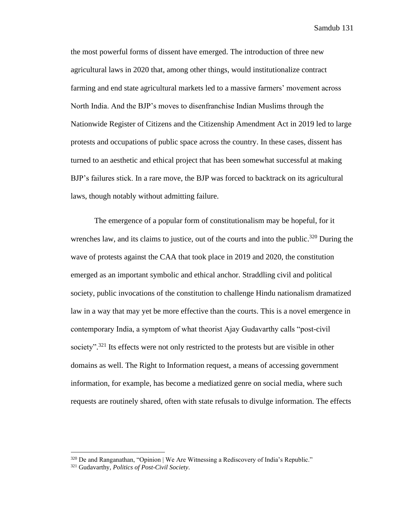the most powerful forms of dissent have emerged. The introduction of three new agricultural laws in 2020 that, among other things, would institutionalize contract farming and end state agricultural markets led to a massive farmers' movement across North India. And the BJP's moves to disenfranchise Indian Muslims through the Nationwide Register of Citizens and the Citizenship Amendment Act in 2019 led to large protests and occupations of public space across the country. In these cases, dissent has turned to an aesthetic and ethical project that has been somewhat successful at making BJP's failures stick. In a rare move, the BJP was forced to backtrack on its agricultural laws, though notably without admitting failure.

The emergence of a popular form of constitutionalism may be hopeful, for it wrenches law, and its claims to justice, out of the courts and into the public.<sup>320</sup> During the wave of protests against the CAA that took place in 2019 and 2020, the constitution emerged as an important symbolic and ethical anchor. Straddling civil and political society, public invocations of the constitution to challenge Hindu nationalism dramatized law in a way that may yet be more effective than the courts. This is a novel emergence in contemporary India, a symptom of what theorist Ajay Gudavarthy calls "post-civil society".<sup>321</sup> Its effects were not only restricted to the protests but are visible in other domains as well. The Right to Information request, a means of accessing government information, for example, has become a mediatized genre on social media, where such requests are routinely shared, often with state refusals to divulge information. The effects

<sup>320</sup> De and Ranganathan, "Opinion | We Are Witnessing a Rediscovery of India's Republic."

<sup>321</sup> Gudavarthy, *Politics of Post-Civil Society*.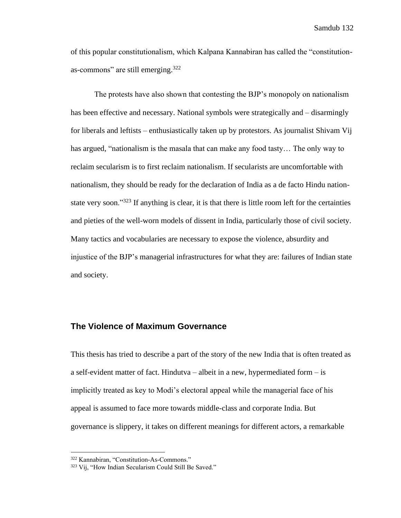of this popular constitutionalism, which Kalpana Kannabiran has called the "constitutionas-commons" are still emerging.<sup>322</sup>

The protests have also shown that contesting the BJP's monopoly on nationalism has been effective and necessary. National symbols were strategically and – disarmingly for liberals and leftists – enthusiastically taken up by protestors. As journalist Shivam Vij has argued, "nationalism is the masala that can make any food tasty… The only way to reclaim secularism is to first reclaim nationalism. If secularists are uncomfortable with nationalism, they should be ready for the declaration of India as a de facto Hindu nationstate very soon."<sup>323</sup> If anything is clear, it is that there is little room left for the certainties and pieties of the well-worn models of dissent in India, particularly those of civil society. Many tactics and vocabularies are necessary to expose the violence, absurdity and injustice of the BJP's managerial infrastructures for what they are: failures of Indian state and society.

#### **The Violence of Maximum Governance**

This thesis has tried to describe a part of the story of the new India that is often treated as a self-evident matter of fact. Hindutva – albeit in a new, hypermediated form – is implicitly treated as key to Modi's electoral appeal while the managerial face of his appeal is assumed to face more towards middle-class and corporate India. But governance is slippery, it takes on different meanings for different actors, a remarkable

<sup>322</sup> Kannabiran, "Constitution-As-Commons."

<sup>323</sup> Vij, "How Indian Secularism Could Still Be Saved."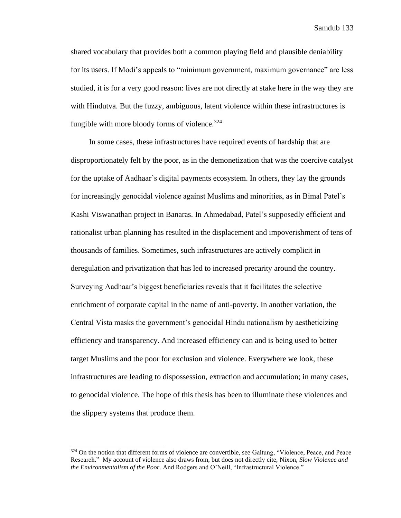shared vocabulary that provides both a common playing field and plausible deniability for its users. If Modi's appeals to "minimum government, maximum governance" are less studied, it is for a very good reason: lives are not directly at stake here in the way they are with Hindutva. But the fuzzy, ambiguous, latent violence within these infrastructures is fungible with more bloody forms of violence. $324$ 

In some cases, these infrastructures have required events of hardship that are disproportionately felt by the poor, as in the demonetization that was the coercive catalyst for the uptake of Aadhaar's digital payments ecosystem. In others, they lay the grounds for increasingly genocidal violence against Muslims and minorities, as in Bimal Patel's Kashi Viswanathan project in Banaras. In Ahmedabad, Patel's supposedly efficient and rationalist urban planning has resulted in the displacement and impoverishment of tens of thousands of families. Sometimes, such infrastructures are actively complicit in deregulation and privatization that has led to increased precarity around the country. Surveying Aadhaar's biggest beneficiaries reveals that it facilitates the selective enrichment of corporate capital in the name of anti-poverty. In another variation, the Central Vista masks the government's genocidal Hindu nationalism by aestheticizing efficiency and transparency. And increased efficiency can and is being used to better target Muslims and the poor for exclusion and violence. Everywhere we look, these infrastructures are leading to dispossession, extraction and accumulation; in many cases, to genocidal violence. The hope of this thesis has been to illuminate these violences and the slippery systems that produce them.

<sup>324</sup> On the notion that different forms of violence are convertible, see Galtung, "Violence, Peace, and Peace Research." My account of violence also draws from, but does not directly cite, Nixon, *Slow Violence and the Environmentalism of the Poor*. And Rodgers and O'Neill, "Infrastructural Violence."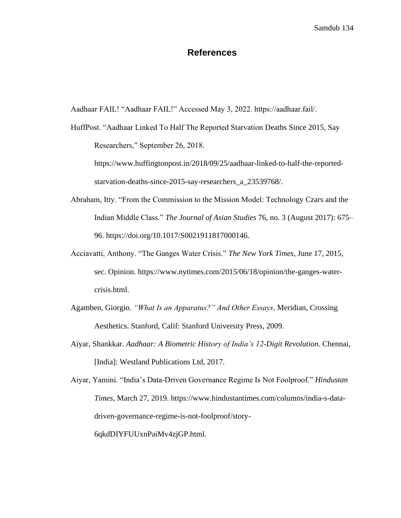## **References**

Aadhaar FAIL! "Aadhaar FAIL!" Accessed May 3, 2022. https://aadhaar.fail/.

HuffPost. "Aadhaar Linked To Half The Reported Starvation Deaths Since 2015, Say Researchers," September 26, 2018. https://www.huffingtonpost.in/2018/09/25/aadhaar-linked-to-half-the-reported-

starvation-deaths-since-2015-say-researchers\_a\_23539768/.

- Abraham, Itty. "From the Commission to the Mission Model: Technology Czars and the Indian Middle Class." *The Journal of Asian Studies* 76, no. 3 (August 2017): 675– 96. https://doi.org/10.1017/S0021911817000146.
- Acciavatti, Anthony. "The Ganges Water Crisis." *The New York Times*, June 17, 2015, sec. Opinion. https://www.nytimes.com/2015/06/18/opinion/the-ganges-watercrisis.html.
- Agamben, Giorgio. *"What Is an Apparatus?" And Other Essays*. Meridian, Crossing Aesthetics. Stanford, Calif: Stanford University Press, 2009.
- Aiyar, Shankkar. *Aadhaar: A Biometric History of India's 12-Digit Revolution*. Chennai, [India]: Westland Publications Ltd, 2017.

Aiyar, Yamini. "India's Data-Driven Governance Regime Is Not Foolproof." *Hindustan Times*, March 27, 2019. https://www.hindustantimes.com/columns/india-s-datadriven-governance-regime-is-not-foolproof/story-6qkdDIYFUUxnPaiMv4zjGP.html.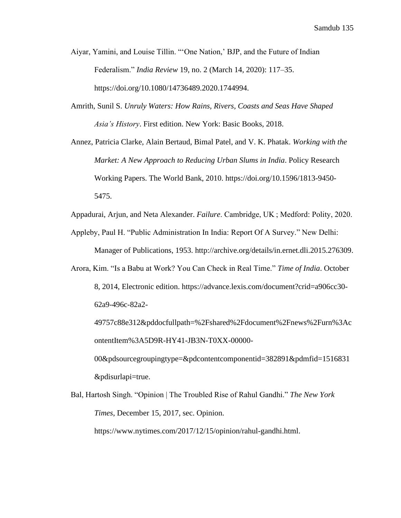- Aiyar, Yamini, and Louise Tillin. "'One Nation,' BJP, and the Future of Indian Federalism." *India Review* 19, no. 2 (March 14, 2020): 117–35. https://doi.org/10.1080/14736489.2020.1744994.
- Amrith, Sunil S. *Unruly Waters: How Rains, Rivers, Coasts and Seas Have Shaped Asia's History*. First edition. New York: Basic Books, 2018.

Annez, Patricia Clarke, Alain Bertaud, Bimal Patel, and V. K. Phatak. *Working with the Market: A New Approach to Reducing Urban Slums in India*. Policy Research Working Papers. The World Bank, 2010. https://doi.org/10.1596/1813-9450- 5475.

Appadurai, Arjun, and Neta Alexander. *Failure*. Cambridge, UK ; Medford: Polity, 2020.

Appleby, Paul H. "Public Administration In India: Report Of A Survey." New Delhi:

Manager of Publications, 1953. http://archive.org/details/in.ernet.dli.2015.276309.

Arora, Kim. "Is a Babu at Work? You Can Check in Real Time." *Time of India*. October 8, 2014, Electronic edition. https://advance.lexis.com/document?crid=a906cc30- 62a9-496c-82a2-

49757c88e312&pddocfullpath=%2Fshared%2Fdocument%2Fnews%2Furn%3Ac ontentItem%3A5D9R-HY41-JB3N-T0XX-00000-

00&pdsourcegroupingtype=&pdcontentcomponentid=382891&pdmfid=1516831 &pdisurlapi=true.

Bal, Hartosh Singh. "Opinion | The Troubled Rise of Rahul Gandhi." *The New York Times*, December 15, 2017, sec. Opinion.

https://www.nytimes.com/2017/12/15/opinion/rahul-gandhi.html.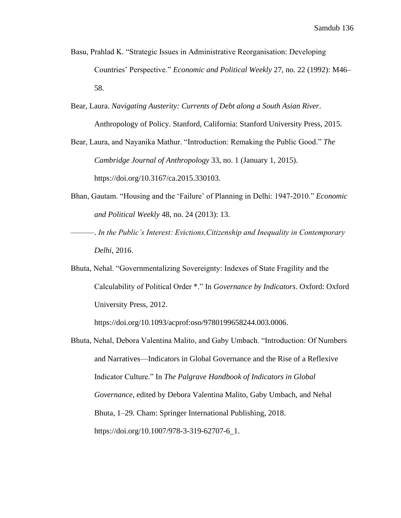- Basu, Prahlad K. "Strategic Issues in Administrative Reorganisation: Developing Countries' Perspective." *Economic and Political Weekly* 27, no. 22 (1992): M46– 58.
- Bear, Laura. *Navigating Austerity: Currents of Debt along a South Asian River*. Anthropology of Policy. Stanford, California: Stanford University Press, 2015.

Bear, Laura, and Nayanika Mathur. "Introduction: Remaking the Public Good." *The Cambridge Journal of Anthropology* 33, no. 1 (January 1, 2015). https://doi.org/10.3167/ca.2015.330103.

- Bhan, Gautam. "Housing and the 'Failure' of Planning in Delhi: 1947-2010." *Economic and Political Weekly* 48, no. 24 (2013): 13.
- ———. *In the Public's Interest: Evictions,Citizenship and Inequality in Contemporary Delhi*, 2016.
- Bhuta, Nehal. "Governmentalizing Sovereignty: Indexes of State Fragility and the Calculability of Political Order \*." In *Governance by Indicators*. Oxford: Oxford University Press, 2012.

https://doi.org/10.1093/acprof:oso/9780199658244.003.0006.

Bhuta, Nehal, Debora Valentina Malito, and Gaby Umbach. "Introduction: Of Numbers and Narratives—Indicators in Global Governance and the Rise of a Reflexive Indicator Culture." In *The Palgrave Handbook of Indicators in Global Governance*, edited by Debora Valentina Malito, Gaby Umbach, and Nehal Bhuta, 1–29. Cham: Springer International Publishing, 2018. https://doi.org/10.1007/978-3-319-62707-6\_1.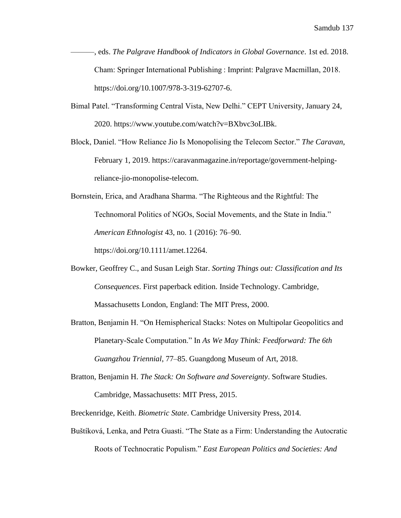- ———, eds. *The Palgrave Handbook of Indicators in Global Governance*. 1st ed. 2018. Cham: Springer International Publishing : Imprint: Palgrave Macmillan, 2018. https://doi.org/10.1007/978-3-319-62707-6.
- Bimal Patel. "Transforming Central Vista, New Delhi." CEPT University, January 24, 2020. https://www.youtube.com/watch?v=BXbvc3oLIBk.
- Block, Daniel. "How Reliance Jio Is Monopolising the Telecom Sector." *The Caravan*, February 1, 2019. https://caravanmagazine.in/reportage/government-helpingreliance-jio-monopolise-telecom.
- Bornstein, Erica, and Aradhana Sharma. "The Righteous and the Rightful: The Technomoral Politics of NGOs, Social Movements, and the State in India." *American Ethnologist* 43, no. 1 (2016): 76–90.

https://doi.org/10.1111/amet.12264.

- Bowker, Geoffrey C., and Susan Leigh Star. *Sorting Things out: Classification and Its Consequences*. First paperback edition. Inside Technology. Cambridge, Massachusetts London, England: The MIT Press, 2000.
- Bratton, Benjamin H. "On Hemispherical Stacks: Notes on Multipolar Geopolitics and Planetary-Scale Computation." In *As We May Think: Feedforward: The 6th Guangzhou Triennial*, 77–85. Guangdong Museum of Art, 2018.
- Bratton, Benjamin H. *The Stack: On Software and Sovereignty*. Software Studies. Cambridge, Massachusetts: MIT Press, 2015.
- Breckenridge, Keith. *Biometric State*. Cambridge University Press, 2014.
- Buštíková, Lenka, and Petra Guasti. "The State as a Firm: Understanding the Autocratic Roots of Technocratic Populism." *East European Politics and Societies: And*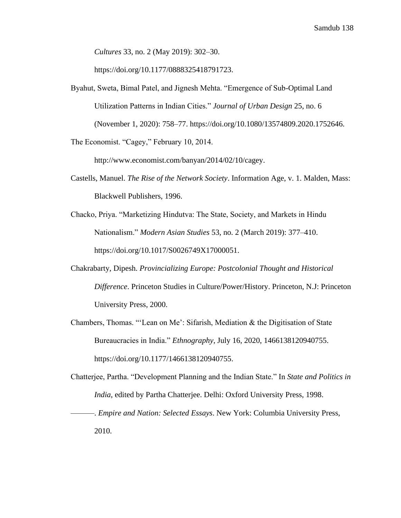*Cultures* 33, no. 2 (May 2019): 302–30.

https://doi.org/10.1177/0888325418791723.

Byahut, Sweta, Bimal Patel, and Jignesh Mehta. "Emergence of Sub-Optimal Land Utilization Patterns in Indian Cities." *Journal of Urban Design* 25, no. 6 (November 1, 2020): 758–77. https://doi.org/10.1080/13574809.2020.1752646.

The Economist. "Cagey," February 10, 2014.

http://www.economist.com/banyan/2014/02/10/cagey.

- Castells, Manuel. *The Rise of the Network Society*. Information Age, v. 1. Malden, Mass: Blackwell Publishers, 1996.
- Chacko, Priya. "Marketizing Hindutva: The State, Society, and Markets in Hindu Nationalism." *Modern Asian Studies* 53, no. 2 (March 2019): 377–410. https://doi.org/10.1017/S0026749X17000051.
- Chakrabarty, Dipesh. *Provincializing Europe: Postcolonial Thought and Historical Difference*. Princeton Studies in Culture/Power/History. Princeton, N.J: Princeton University Press, 2000.
- Chambers, Thomas. "'Lean on Me': Sifarish, Mediation & the Digitisation of State Bureaucracies in India." *Ethnography*, July 16, 2020, 1466138120940755. https://doi.org/10.1177/1466138120940755.
- Chatterjee, Partha. "Development Planning and the Indian State." In *State and Politics in India*, edited by Partha Chatterjee. Delhi: Oxford University Press, 1998.

———. *Empire and Nation: Selected Essays*. New York: Columbia University Press, 2010.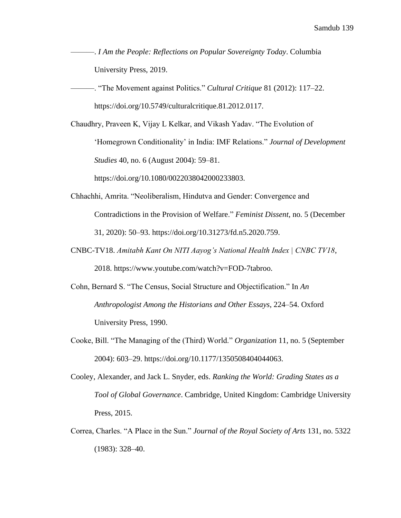- ———. *I Am the People: Reflections on Popular Sovereignty Today*. Columbia University Press, 2019.
- ———. "The Movement against Politics." *Cultural Critique* 81 (2012): 117–22. https://doi.org/10.5749/culturalcritique.81.2012.0117.
- Chaudhry, Praveen K, Vijay L Kelkar, and Vikash Yadav. "The Evolution of 'Homegrown Conditionality' in India: IMF Relations." *Journal of Development Studies* 40, no. 6 (August 2004): 59–81.

https://doi.org/10.1080/0022038042000233803.

- Chhachhi, Amrita. "Neoliberalism, Hindutva and Gender: Convergence and Contradictions in the Provision of Welfare." *Feminist Dissent*, no. 5 (December 31, 2020): 50–93. https://doi.org/10.31273/fd.n5.2020.759.
- CNBC-TV18. *Amitabh Kant On NITI Aayog's National Health Index | CNBC TV18*, 2018. https://www.youtube.com/watch?v=FOD-7tabroo.
- Cohn, Bernard S. "The Census, Social Structure and Objectification." In *An Anthropologist Among the Historians and Other Essays*, 224–54. Oxford University Press, 1990.
- Cooke, Bill. "The Managing of the (Third) World." *Organization* 11, no. 5 (September 2004): 603–29. https://doi.org/10.1177/1350508404044063.
- Cooley, Alexander, and Jack L. Snyder, eds. *Ranking the World: Grading States as a Tool of Global Governance*. Cambridge, United Kingdom: Cambridge University Press, 2015.
- Correa, Charles. "A Place in the Sun." *Journal of the Royal Society of Arts* 131, no. 5322 (1983): 328–40.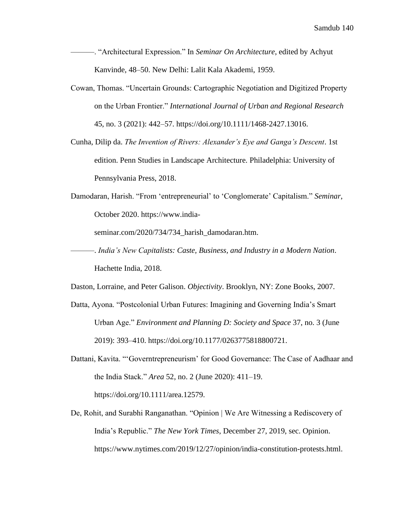- ———. "Architectural Expression." In *Seminar On Architecture*, edited by Achyut Kanvinde, 48–50. New Delhi: Lalit Kala Akademi, 1959.
- Cowan, Thomas. "Uncertain Grounds: Cartographic Negotiation and Digitized Property on the Urban Frontier." *International Journal of Urban and Regional Research* 45, no. 3 (2021): 442–57. https://doi.org/10.1111/1468-2427.13016.
- Cunha, Dilip da. *The Invention of Rivers: Alexander's Eye and Ganga's Descent*. 1st edition. Penn Studies in Landscape Architecture. Philadelphia: University of Pennsylvania Press, 2018.
- Damodaran, Harish. "From 'entrepreneurial' to 'Conglomerate' Capitalism." *Seminar*, October 2020. https://www.india-

seminar.com/2020/734/734\_harish\_damodaran.htm.

- ———. *India's New Capitalists: Caste, Business, and Industry in a Modern Nation*. Hachette India, 2018.
- Daston, Lorraine, and Peter Galison. *Objectivity*. Brooklyn, NY: Zone Books, 2007.
- Datta, Ayona. "Postcolonial Urban Futures: Imagining and Governing India's Smart Urban Age." *Environment and Planning D: Society and Space* 37, no. 3 (June 2019): 393–410. https://doi.org/10.1177/0263775818800721.
- Dattani, Kavita. "'Governtrepreneurism' for Good Governance: The Case of Aadhaar and the India Stack." *Area* 52, no. 2 (June 2020): 411–19. https://doi.org/10.1111/area.12579.
- De, Rohit, and Surabhi Ranganathan. "Opinion | We Are Witnessing a Rediscovery of India's Republic." *The New York Times*, December 27, 2019, sec. Opinion. https://www.nytimes.com/2019/12/27/opinion/india-constitution-protests.html.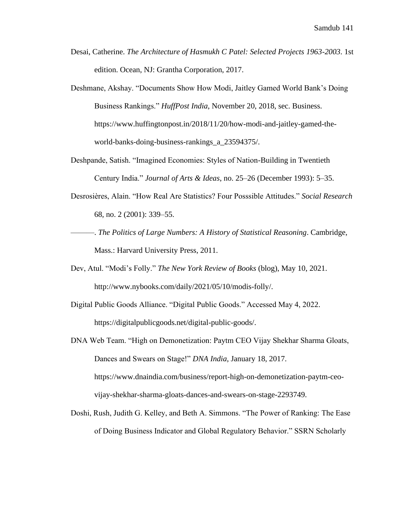- Desai, Catherine. *The Architecture of Hasmukh C Patel: Selected Projects 1963-2003*. 1st edition. Ocean, NJ: Grantha Corporation, 2017.
- Deshmane, Akshay. "Documents Show How Modi, Jaitley Gamed World Bank's Doing Business Rankings." *HuffPost India*, November 20, 2018, sec. Business. https://www.huffingtonpost.in/2018/11/20/how-modi-and-jaitley-gamed-theworld-banks-doing-business-rankings\_a\_23594375/.
- Deshpande, Satish. "Imagined Economies: Styles of Nation-Building in Twentieth Century India." *Journal of Arts & Ideas*, no. 25–26 (December 1993): 5–35.
- Desrosières, Alain. "How Real Are Statistics? Four Posssible Attitudes." *Social Research* 68, no. 2 (2001): 339–55.
- ———. *The Politics of Large Numbers: A History of Statistical Reasoning*. Cambridge, Mass.: Harvard University Press, 2011.
- Dev, Atul. "Modi's Folly." *The New York Review of Books* (blog), May 10, 2021. http://www.nybooks.com/daily/2021/05/10/modis-folly/.
- Digital Public Goods Alliance. "Digital Public Goods." Accessed May 4, 2022. https://digitalpublicgoods.net/digital-public-goods/.
- DNA Web Team. "High on Demonetization: Paytm CEO Vijay Shekhar Sharma Gloats, Dances and Swears on Stage!" *DNA India*, January 18, 2017. https://www.dnaindia.com/business/report-high-on-demonetization-paytm-ceovijay-shekhar-sharma-gloats-dances-and-swears-on-stage-2293749.
- Doshi, Rush, Judith G. Kelley, and Beth A. Simmons. "The Power of Ranking: The Ease of Doing Business Indicator and Global Regulatory Behavior." SSRN Scholarly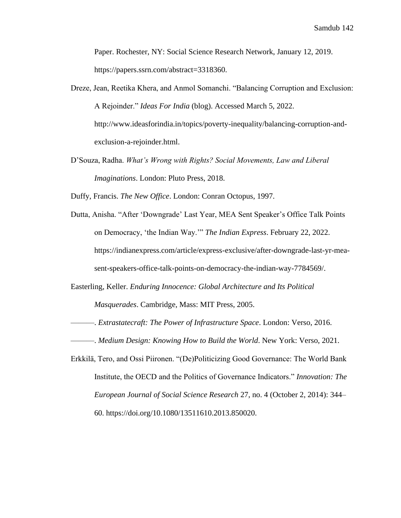Paper. Rochester, NY: Social Science Research Network, January 12, 2019. https://papers.ssrn.com/abstract=3318360.

- Dreze, Jean, Reetika Khera, and Anmol Somanchi. "Balancing Corruption and Exclusion: A Rejoinder." *Ideas For India* (blog). Accessed March 5, 2022. http://www.ideasforindia.in/topics/poverty-inequality/balancing-corruption-andexclusion-a-rejoinder.html.
- D'Souza, Radha. *What's Wrong with Rights? Social Movements, Law and Liberal Imaginations*. London: Pluto Press, 2018.
- Duffy, Francis. *The New Office*. London: Conran Octopus, 1997.
- Dutta, Anisha. "After 'Downgrade' Last Year, MEA Sent Speaker's Office Talk Points on Democracy, 'the Indian Way.'" *The Indian Express*. February 22, 2022. https://indianexpress.com/article/express-exclusive/after-downgrade-last-yr-measent-speakers-office-talk-points-on-democracy-the-indian-way-7784569/.
- Easterling, Keller. *Enduring Innocence: Global Architecture and Its Political Masquerades*. Cambridge, Mass: MIT Press, 2005.
	- ———. *Extrastatecraft: The Power of Infrastructure Space*. London: Verso, 2016.
- ———. *Medium Design: Knowing How to Build the World*. New York: Verso, 2021.
- Erkkilä, Tero, and Ossi Piironen. "(De)Politicizing Good Governance: The World Bank Institute, the OECD and the Politics of Governance Indicators." *Innovation: The European Journal of Social Science Research* 27, no. 4 (October 2, 2014): 344– 60. https://doi.org/10.1080/13511610.2013.850020.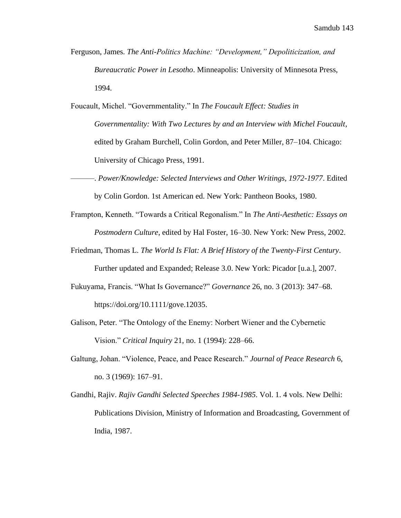- Ferguson, James. *The Anti-Politics Machine: "Development," Depoliticization, and Bureaucratic Power in Lesotho*. Minneapolis: University of Minnesota Press, 1994.
- Foucault, Michel. "Governmentality." In *The Foucault Effect: Studies in Governmentality: With Two Lectures by and an Interview with Michel Foucault*, edited by Graham Burchell, Colin Gordon, and Peter Miller, 87–104. Chicago: University of Chicago Press, 1991.
- ———. *Power/Knowledge: Selected Interviews and Other Writings, 1972-1977*. Edited by Colin Gordon. 1st American ed. New York: Pantheon Books, 1980.
- Frampton, Kenneth. "Towards a Critical Regonalism." In *The Anti-Aesthetic: Essays on Postmodern Culture*, edited by Hal Foster, 16–30. New York: New Press, 2002.
- Friedman, Thomas L. *The World Is Flat: A Brief History of the Twenty-First Century*.

Further updated and Expanded; Release 3.0. New York: Picador [u.a.], 2007.

- Fukuyama, Francis. "What Is Governance?" *Governance* 26, no. 3 (2013): 347–68. https://doi.org/10.1111/gove.12035.
- Galison, Peter. "The Ontology of the Enemy: Norbert Wiener and the Cybernetic Vision." *Critical Inquiry* 21, no. 1 (1994): 228–66.
- Galtung, Johan. "Violence, Peace, and Peace Research." *Journal of Peace Research* 6, no. 3 (1969): 167–91.
- Gandhi, Rajiv. *Rajiv Gandhi Selected Speeches 1984-1985*. Vol. 1. 4 vols. New Delhi: Publications Division, Ministry of Information and Broadcasting, Government of India, 1987.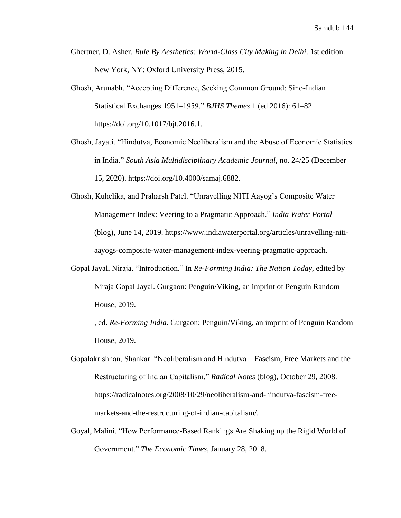- Ghertner, D. Asher. *Rule By Aesthetics: World-Class City Making in Delhi*. 1st edition. New York, NY: Oxford University Press, 2015.
- Ghosh, Arunabh. "Accepting Difference, Seeking Common Ground: Sino-Indian Statistical Exchanges 1951–1959." *BJHS Themes* 1 (ed 2016): 61–82. https://doi.org/10.1017/bjt.2016.1.
- Ghosh, Jayati. "Hindutva, Economic Neoliberalism and the Abuse of Economic Statistics in India." *South Asia Multidisciplinary Academic Journal*, no. 24/25 (December 15, 2020). https://doi.org/10.4000/samaj.6882.
- Ghosh, Kuhelika, and Praharsh Patel. "Unravelling NITI Aayog's Composite Water Management Index: Veering to a Pragmatic Approach." *India Water Portal* (blog), June 14, 2019. https://www.indiawaterportal.org/articles/unravelling-nitiaayogs-composite-water-management-index-veering-pragmatic-approach.
- Gopal Jayal, Niraja. "Introduction." In *Re-Forming India: The Nation Today*, edited by Niraja Gopal Jayal. Gurgaon: Penguin/Viking, an imprint of Penguin Random House, 2019.
	- ———, ed. *Re-Forming India*. Gurgaon: Penguin/Viking, an imprint of Penguin Random House, 2019.
- Gopalakrishnan, Shankar. "Neoliberalism and Hindutva Fascism, Free Markets and the Restructuring of Indian Capitalism." *Radical Notes* (blog), October 29, 2008. https://radicalnotes.org/2008/10/29/neoliberalism-and-hindutva-fascism-freemarkets-and-the-restructuring-of-indian-capitalism/.
- Goyal, Malini. "How Performance-Based Rankings Are Shaking up the Rigid World of Government." *The Economic Times*, January 28, 2018.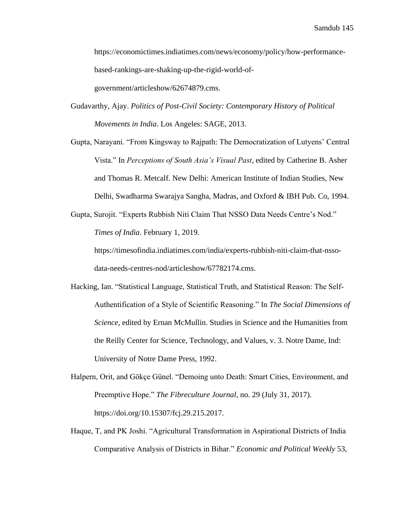https://economictimes.indiatimes.com/news/economy/policy/how-performancebased-rankings-are-shaking-up-the-rigid-world-ofgovernment/articleshow/62674879.cms.

Gudavarthy, Ajay. *Politics of Post-Civil Society: Contemporary History of Political Movements in India*. Los Angeles: SAGE, 2013.

Gupta, Narayani. "From Kingsway to Rajpath: The Democratization of Lutyens' Central Vista." In *Perceptions of South Asia's Visual Past*, edited by Catherine B. Asher and Thomas R. Metcalf. New Delhi: American Institute of Indian Studies, New Delhi, Swadharma Swarajya Sangha, Madras, and Oxford & IBH Pub. Co, 1994.

Gupta, Surojit. "Experts Rubbish Niti Claim That NSSO Data Needs Centre's Nod." *Times of India*. February 1, 2019.

https://timesofindia.indiatimes.com/india/experts-rubbish-niti-claim-that-nssodata-needs-centres-nod/articleshow/67782174.cms.

- Hacking, Ian. "Statistical Language, Statistical Truth, and Statistical Reason: The Self-Authentification of a Style of Scientific Reasoning." In *The Social Dimensions of Science*, edited by Ernan McMullin. Studies in Science and the Humanities from the Reilly Center for Science, Technology, and Values, v. 3. Notre Dame, Ind: University of Notre Dame Press, 1992.
- Halpern, Orit, and Gökçe Günel. "Demoing unto Death: Smart Cities, Environment, and Preemptive Hope." *The Fibreculture Journal*, no. 29 (July 31, 2017). https://doi.org/10.15307/fcj.29.215.2017.
- Haque, T, and PK Joshi. "Agricultural Transformation in Aspirational Districts of India Comparative Analysis of Districts in Bihar." *Economic and Political Weekly* 53,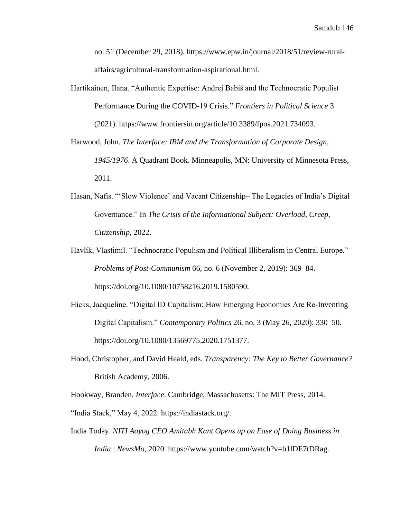no. 51 (December 29, 2018). https://www.epw.in/journal/2018/51/review-ruralaffairs/agricultural-transformation-aspirational.html.

- Hartikainen, Ilana. "Authentic Expertise: Andrej Babiš and the Technocratic Populist Performance During the COVID-19 Crisis." *Frontiers in Political Science* 3 (2021). https://www.frontiersin.org/article/10.3389/fpos.2021.734093.
- Harwood, John. *The Interface: IBM and the Transformation of Corporate Design, 1945/1976*. A Quadrant Book. Minneapolis, MN: University of Minnesota Press, 2011.
- Hasan, Nafis. "'Slow Violence' and Vacant Citizenship– The Legacies of India's Digital Governance." In *The Crisis of the Informational Subject: Overload, Creep, Citizenship*, 2022.
- Havlík, Vlastimil. "Technocratic Populism and Political Illiberalism in Central Europe." *Problems of Post-Communism* 66, no. 6 (November 2, 2019): 369–84. https://doi.org/10.1080/10758216.2019.1580590.
- Hicks, Jacqueline. "Digital ID Capitalism: How Emerging Economies Are Re-Inventing Digital Capitalism." *Contemporary Politics* 26, no. 3 (May 26, 2020): 330–50. https://doi.org/10.1080/13569775.2020.1751377.
- Hood, Christopher, and David Heald, eds. *Transparency: The Key to Better Governance?* British Academy, 2006.

Hookway, Branden. *Interface*. Cambridge, Massachusetts: The MIT Press, 2014.

- "India Stack," May 4, 2022. https://indiastack.org/.
- India Today. *NITI Aayog CEO Amitabh Kant Opens up on Ease of Doing Business in India | NewsMo*, 2020. https://www.youtube.com/watch?v=b1lDE7tDRag.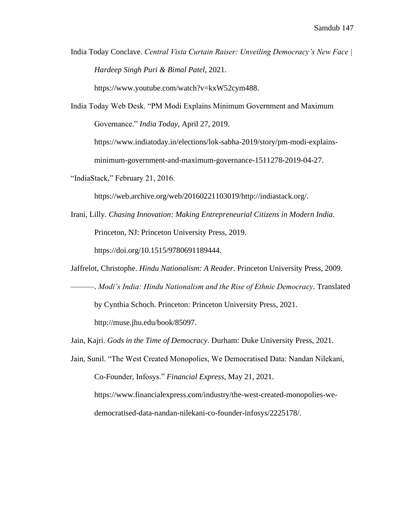India Today Conclave. *Central Vista Curtain Raiser: Unveiling Democracy's New Face | Hardeep Singh Puri & Bimal Patel*, 2021.

https://www.youtube.com/watch?v=kxW52cym488.

India Today Web Desk. "PM Modi Explains Minimum Government and Maximum Governance." *India Today*, April 27, 2019.

https://www.indiatoday.in/elections/lok-sabha-2019/story/pm-modi-explains-

minimum-government-and-maximum-governance-1511278-2019-04-27.

"IndiaStack," February 21, 2016.

https://web.archive.org/web/20160221103019/http://indiastack.org/.

Irani, Lilly. *Chasing Innovation: Making Entrepreneurial Citizens in Modern India*. Princeton, NJ: Princeton University Press, 2019. https://doi.org/10.1515/9780691189444.

Jaffrelot, Christophe. *Hindu Nationalism: A Reader*. Princeton University Press, 2009. ———. *Modi's India: Hindu Nationalism and the Rise of Ethnic Democracy*. Translated by Cynthia Schoch. Princeton: Princeton University Press, 2021. http://muse.jhu.edu/book/85097.

Jain, Kajri. *Gods in the Time of Democracy*. Durham: Duke University Press, 2021.

Jain, Sunil. "The West Created Monopolies, We Democratised Data: Nandan Nilekani, Co-Founder, Infosys." *Financial Express*, May 21, 2021.

https://www.financialexpress.com/industry/the-west-created-monopolies-wedemocratised-data-nandan-nilekani-co-founder-infosys/2225178/.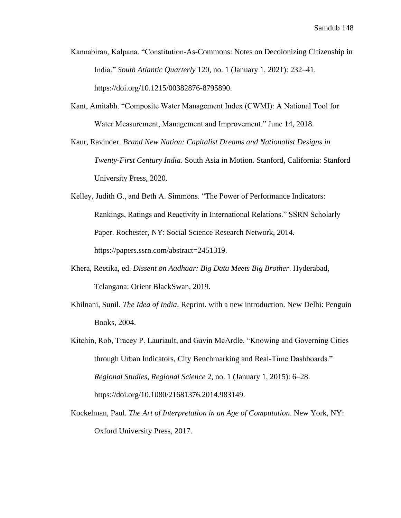- Kannabiran, Kalpana. "Constitution-As-Commons: Notes on Decolonizing Citizenship in India." *South Atlantic Quarterly* 120, no. 1 (January 1, 2021): 232–41. https://doi.org/10.1215/00382876-8795890.
- Kant, Amitabh. "Composite Water Management Index (CWMI): A National Tool for Water Measurement, Management and Improvement." June 14, 2018.
- Kaur, Ravinder. *Brand New Nation: Capitalist Dreams and Nationalist Designs in Twenty-First Century India*. South Asia in Motion. Stanford, California: Stanford University Press, 2020.
- Kelley, Judith G., and Beth A. Simmons. "The Power of Performance Indicators: Rankings, Ratings and Reactivity in International Relations." SSRN Scholarly Paper. Rochester, NY: Social Science Research Network, 2014. https://papers.ssrn.com/abstract=2451319.
- Khera, Reetika, ed. *Dissent on Aadhaar: Big Data Meets Big Brother*. Hyderabad, Telangana: Orient BlackSwan, 2019.
- Khilnani, Sunil. *The Idea of India*. Reprint. with a new introduction. New Delhi: Penguin Books, 2004.
- Kitchin, Rob, Tracey P. Lauriault, and Gavin McArdle. "Knowing and Governing Cities through Urban Indicators, City Benchmarking and Real-Time Dashboards." *Regional Studies, Regional Science* 2, no. 1 (January 1, 2015): 6–28. https://doi.org/10.1080/21681376.2014.983149.
- Kockelman, Paul. *The Art of Interpretation in an Age of Computation*. New York, NY: Oxford University Press, 2017.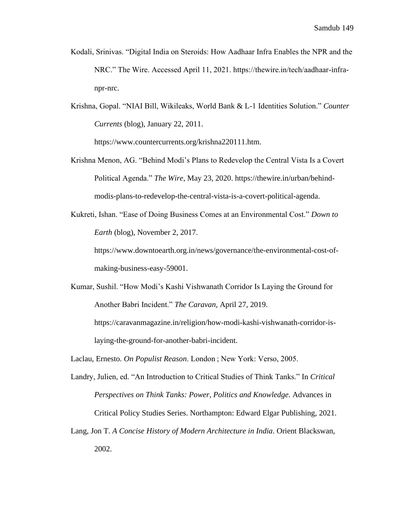- Kodali, Srinivas. "Digital India on Steroids: How Aadhaar Infra Enables the NPR and the NRC." The Wire. Accessed April 11, 2021. https://thewire.in/tech/aadhaar-infranpr-nrc.
- Krishna, Gopal. "NIAI Bill, Wikileaks, World Bank & L-1 Identities Solution." *Counter Currents* (blog), January 22, 2011.

https://www.countercurrents.org/krishna220111.htm.

- Krishna Menon, AG. "Behind Modi's Plans to Redevelop the Central Vista Is a Covert Political Agenda." *The Wire*, May 23, 2020. https://thewire.in/urban/behindmodis-plans-to-redevelop-the-central-vista-is-a-covert-political-agenda.
- Kukreti, Ishan. "Ease of Doing Business Comes at an Environmental Cost." *Down to Earth* (blog), November 2, 2017.

https://www.downtoearth.org.in/news/governance/the-environmental-cost-ofmaking-business-easy-59001.

Kumar, Sushil. "How Modi's Kashi Vishwanath Corridor Is Laying the Ground for Another Babri Incident." *The Caravan*, April 27, 2019. https://caravanmagazine.in/religion/how-modi-kashi-vishwanath-corridor-is-

laying-the-ground-for-another-babri-incident.

Laclau, Ernesto. *On Populist Reason*. London ; New York: Verso, 2005.

- Landry, Julien, ed. "An Introduction to Critical Studies of Think Tanks." In *Critical Perspectives on Think Tanks: Power, Politics and Knowledge*. Advances in Critical Policy Studies Series. Northampton: Edward Elgar Publishing, 2021.
- Lang, Jon T. *A Concise History of Modern Architecture in India*. Orient Blackswan, 2002.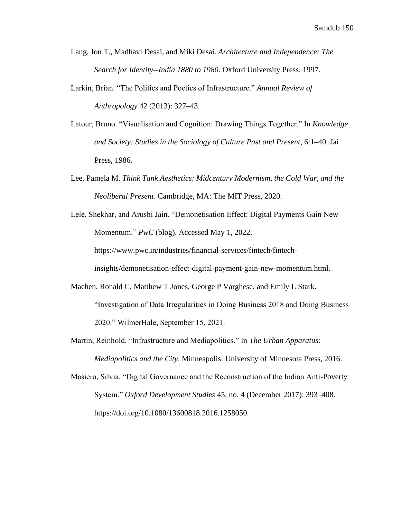- Lang, Jon T., Madhavi Desai, and Miki Desai. *Architecture and Independence: The Search for Identity--India 1880 to 1980*. Oxford University Press, 1997.
- Larkin, Brian. "The Politics and Poetics of Infrastructure." *Annual Review of Anthropology* 42 (2013): 327–43.
- Latour, Bruno. "Visualisation and Cognition: Drawing Things Together." In *Knowledge and Society: Studies in the Sociology of Culture Past and Present*, 6:1–40. Jai Press, 1986.
- Lee, Pamela M. *Think Tank Aesthetics: Midcentury Modernism, the Cold War, and the Neoliberal Present*. Cambridge, MA: The MIT Press, 2020.
- Lele, Shekhar, and Arushi Jain. "Demonetisation Effect: Digital Payments Gain New Momentum." *PwC* (blog). Accessed May 1, 2022. https://www.pwc.in/industries/financial-services/fintech/fintech-

insights/demonetisation-effect-digital-payment-gain-new-momentum.html.

- Machen, Ronald C, Matthew T Jones, George P Varghese, and Emily L Stark. "Investigation of Data Irregularities in Doing Business 2018 and Doing Business 2020." WilmerHale, September 15, 2021.
- Martin, Reinhold. "Infrastructure and Mediapolitics." In *The Urban Apparatus:*

*Mediapolitics and the City*. Minneapolis: University of Minnesota Press, 2016.

Masiero, Silvia. "Digital Governance and the Reconstruction of the Indian Anti-Poverty System." *Oxford Development Studies* 45, no. 4 (December 2017): 393–408. https://doi.org/10.1080/13600818.2016.1258050.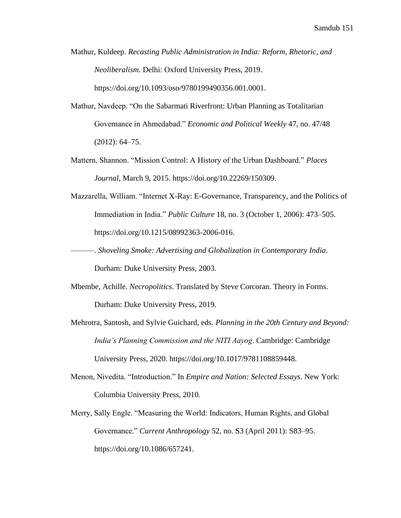- Mathur, Kuldeep. *Recasting Public Administration in India: Reform, Rhetoric, and Neoliberalism*. Delhi: Oxford University Press, 2019. https://doi.org/10.1093/oso/9780199490356.001.0001.
- Mathur, Navdeep. "On the Sabarmati Riverfront: Urban Planning as Totalitarian Governance in Ahmedabad." *Economic and Political Weekly* 47, no. 47/48 (2012): 64–75.
- Mattern, Shannon. "Mission Control: A History of the Urban Dashboard." *Places Journal*, March 9, 2015. https://doi.org/10.22269/150309.
- Mazzarella, William. "Internet X-Ray: E-Governance, Transparency, and the Politics of Immediation in India." *Public Culture* 18, no. 3 (October 1, 2006): 473–505. https://doi.org/10.1215/08992363-2006-016.
- ———. *Shoveling Smoke: Advertising and Globalization in Contemporary India*. Durham: Duke University Press, 2003.
- Mbembe, Achille. *Necropolitics*. Translated by Steve Corcoran. Theory in Forms. Durham: Duke University Press, 2019.
- Mehrotra, Santosh, and Sylvie Guichard, eds. *Planning in the 20th Century and Beyond: India's Planning Commission and the NITI Aayog*. Cambridge: Cambridge University Press, 2020. https://doi.org/10.1017/9781108859448.
- Menon, Nivedita. "Introduction." In *Empire and Nation: Selected Essays*. New York: Columbia University Press, 2010.
- Merry, Sally Engle. "Measuring the World: Indicators, Human Rights, and Global Governance." *Current Anthropology* 52, no. S3 (April 2011): S83–95. https://doi.org/10.1086/657241.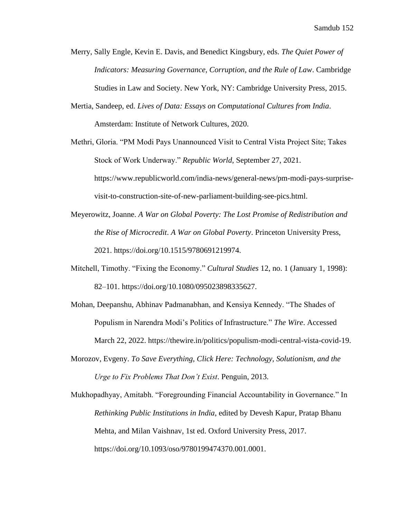- Merry, Sally Engle, Kevin E. Davis, and Benedict Kingsbury, eds. *The Quiet Power of Indicators: Measuring Governance, Corruption, and the Rule of Law*. Cambridge Studies in Law and Society. New York, NY: Cambridge University Press, 2015.
- Mertia, Sandeep, ed. *Lives of Data: Essays on Computational Cultures from India*. Amsterdam: Institute of Network Cultures, 2020.
- Methri, Gloria. "PM Modi Pays Unannounced Visit to Central Vista Project Site; Takes Stock of Work Underway." *Republic World*, September 27, 2021. https://www.republicworld.com/india-news/general-news/pm-modi-pays-surprisevisit-to-construction-site-of-new-parliament-building-see-pics.html.
- Meyerowitz, Joanne. *A War on Global Poverty: The Lost Promise of Redistribution and the Rise of Microcredit*. *A War on Global Poverty*. Princeton University Press, 2021. https://doi.org/10.1515/9780691219974.
- Mitchell, Timothy. "Fixing the Economy." *Cultural Studies* 12, no. 1 (January 1, 1998): 82–101. https://doi.org/10.1080/095023898335627.
- Mohan, Deepanshu, Abhinav Padmanabhan, and Kensiya Kennedy. "The Shades of Populism in Narendra Modi's Politics of Infrastructure." *The Wire*. Accessed March 22, 2022. https://thewire.in/politics/populism-modi-central-vista-covid-19.
- Morozov, Evgeny. *To Save Everything, Click Here: Technology, Solutionism, and the Urge to Fix Problems That Don't Exist*. Penguin, 2013.

Mukhopadhyay, Amitabh. "Foregrounding Financial Accountability in Governance." In *Rethinking Public Institutions in India*, edited by Devesh Kapur, Pratap Bhanu Mehta, and Milan Vaishnav, 1st ed. Oxford University Press, 2017. https://doi.org/10.1093/oso/9780199474370.001.0001.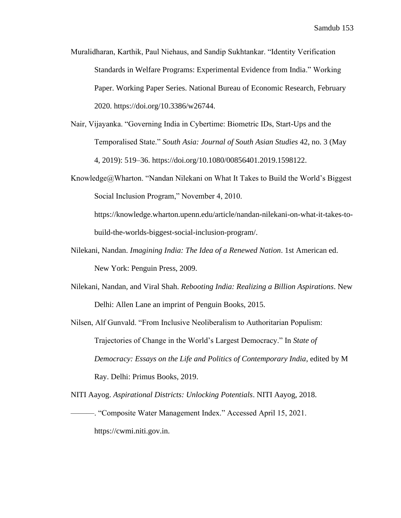- Muralidharan, Karthik, Paul Niehaus, and Sandip Sukhtankar. "Identity Verification Standards in Welfare Programs: Experimental Evidence from India." Working Paper. Working Paper Series. National Bureau of Economic Research, February 2020. https://doi.org/10.3386/w26744.
- Nair, Vijayanka. "Governing India in Cybertime: Biometric IDs, Start-Ups and the Temporalised State." *South Asia: Journal of South Asian Studies* 42, no. 3 (May 4, 2019): 519–36. https://doi.org/10.1080/00856401.2019.1598122.
- Knowledge@Wharton. "Nandan Nilekani on What It Takes to Build the World's Biggest Social Inclusion Program," November 4, 2010.

https://knowledge.wharton.upenn.edu/article/nandan-nilekani-on-what-it-takes-tobuild-the-worlds-biggest-social-inclusion-program/.

- Nilekani, Nandan. *Imagining India: The Idea of a Renewed Nation*. 1st American ed. New York: Penguin Press, 2009.
- Nilekani, Nandan, and Viral Shah. *Rebooting India: Realizing a Billion Aspirations*. New Delhi: Allen Lane an imprint of Penguin Books, 2015.
- Nilsen, Alf Gunvald. "From Inclusive Neoliberalism to Authoritarian Populism: Trajectories of Change in the World's Largest Democracy." In *State of Democracy: Essays on the Life and Politics of Contemporary India*, edited by M Ray. Delhi: Primus Books, 2019.

NITI Aayog. *Aspirational Districts: Unlocking Potentials*. NITI Aayog, 2018.

———. "Composite Water Management Index." Accessed April 15, 2021. https://cwmi.niti.gov.in.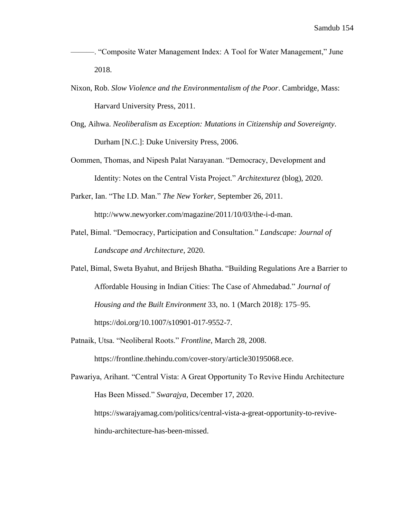- ———. "Composite Water Management Index: A Tool for Water Management," June 2018.
- Nixon, Rob. *Slow Violence and the Environmentalism of the Poor*. Cambridge, Mass: Harvard University Press, 2011.
- Ong, Aihwa. *Neoliberalism as Exception: Mutations in Citizenship and Sovereignty*. Durham [N.C.]: Duke University Press, 2006.
- Oommen, Thomas, and Nipesh Palat Narayanan. "Democracy, Development and Identity: Notes on the Central Vista Project." *Architexturez* (blog), 2020.
- Parker, Ian. "The I.D. Man." *The New Yorker*, September 26, 2011. http://www.newyorker.com/magazine/2011/10/03/the-i-d-man.
- Patel, Bimal. "Democracy, Participation and Consultation." *Landscape: Journal of Landscape and Architecture*, 2020.
- Patel, Bimal, Sweta Byahut, and Brijesh Bhatha. "Building Regulations Are a Barrier to Affordable Housing in Indian Cities: The Case of Ahmedabad." *Journal of Housing and the Built Environment* 33, no. 1 (March 2018): 175–95. https://doi.org/10.1007/s10901-017-9552-7.
- Patnaik, Utsa. "Neoliberal Roots." *Frontline*, March 28, 2008.

https://frontline.thehindu.com/cover-story/article30195068.ece.

Pawariya, Arihant. "Central Vista: A Great Opportunity To Revive Hindu Architecture Has Been Missed." *Swarajya*, December 17, 2020. https://swarajyamag.com/politics/central-vista-a-great-opportunity-to-revivehindu-architecture-has-been-missed.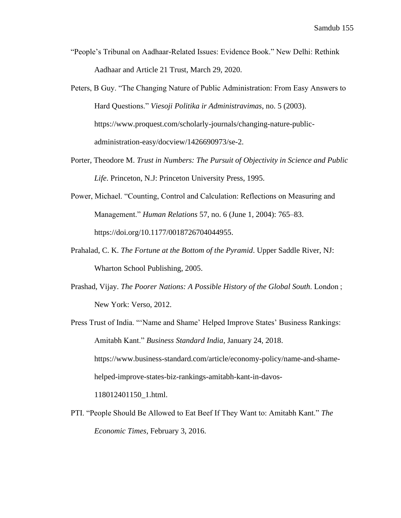- "People's Tribunal on Aadhaar-Related Issues: Evidence Book." New Delhi: Rethink Aadhaar and Article 21 Trust, March 29, 2020.
- Peters, B Guy. "The Changing Nature of Public Administration: From Easy Answers to Hard Questions." *Viesoji Politika ir Administravimas*, no. 5 (2003). https://www.proquest.com/scholarly-journals/changing-nature-publicadministration-easy/docview/1426690973/se-2.
- Porter, Theodore M. *Trust in Numbers: The Pursuit of Objectivity in Science and Public Life*. Princeton, N.J: Princeton University Press, 1995.
- Power, Michael. "Counting, Control and Calculation: Reflections on Measuring and Management." *Human Relations* 57, no. 6 (June 1, 2004): 765–83. https://doi.org/10.1177/0018726704044955.
- Prahalad, C. K. *The Fortune at the Bottom of the Pyramid*. Upper Saddle River, NJ: Wharton School Publishing, 2005.
- Prashad, Vijay. *The Poorer Nations: A Possible History of the Global South*. London ; New York: Verso, 2012.
- Press Trust of India. "'Name and Shame' Helped Improve States' Business Rankings: Amitabh Kant." *Business Standard India*, January 24, 2018. https://www.business-standard.com/article/economy-policy/name-and-shamehelped-improve-states-biz-rankings-amitabh-kant-in-davos-118012401150\_1.html.
- PTI. "People Should Be Allowed to Eat Beef If They Want to: Amitabh Kant." *The Economic Times*, February 3, 2016.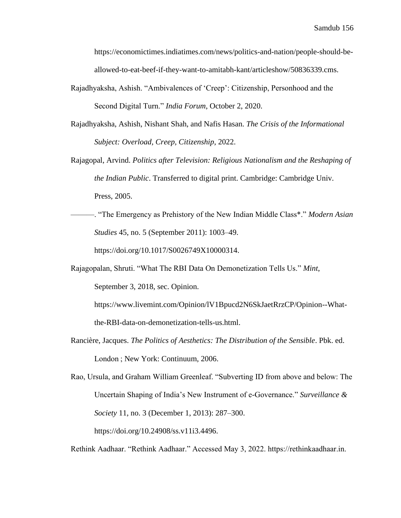https://economictimes.indiatimes.com/news/politics-and-nation/people-should-beallowed-to-eat-beef-if-they-want-to-amitabh-kant/articleshow/50836339.cms.

- Rajadhyaksha, Ashish. "Ambivalences of 'Creep': Citizenship, Personhood and the Second Digital Turn." *India Forum*, October 2, 2020.
- Rajadhyaksha, Ashish, Nishant Shah, and Nafis Hasan. *The Crisis of the Informational Subject: Overload, Creep, Citizenship*, 2022.
- Rajagopal, Arvind. *Politics after Television: Religious Nationalism and the Reshaping of the Indian Public*. Transferred to digital print. Cambridge: Cambridge Univ. Press, 2005.
- ———. "The Emergency as Prehistory of the New Indian Middle Class\*." *Modern Asian Studies* 45, no. 5 (September 2011): 1003–49. https://doi.org/10.1017/S0026749X10000314.
- Rajagopalan, Shruti. "What The RBI Data On Demonetization Tells Us." *Mint*, September 3, 2018, sec. Opinion.

https://www.livemint.com/Opinion/lV1Bpucd2N6SkJaetRrzCP/Opinion--What-

the-RBI-data-on-demonetization-tells-us.html.

Rancière, Jacques. *The Politics of Aesthetics: The Distribution of the Sensible*. Pbk. ed. London ; New York: Continuum, 2006.

Rao, Ursula, and Graham William Greenleaf. "Subverting ID from above and below: The Uncertain Shaping of India's New Instrument of e-Governance." *Surveillance & Society* 11, no. 3 (December 1, 2013): 287–300. https://doi.org/10.24908/ss.v11i3.4496.

Rethink Aadhaar. "Rethink Aadhaar." Accessed May 3, 2022. https://rethinkaadhaar.in.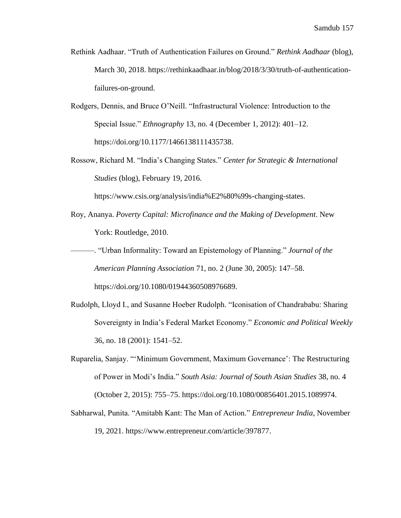- Rethink Aadhaar. "Truth of Authentication Failures on Ground." *Rethink Aadhaar* (blog), March 30, 2018. https://rethinkaadhaar.in/blog/2018/3/30/truth-of-authenticationfailures-on-ground.
- Rodgers, Dennis, and Bruce O'Neill. "Infrastructural Violence: Introduction to the Special Issue." *Ethnography* 13, no. 4 (December 1, 2012): 401–12. https://doi.org/10.1177/1466138111435738.
- Rossow, Richard M. "India's Changing States." *Center for Strategic & International Studies* (blog), February 19, 2016.

https://www.csis.org/analysis/india%E2%80%99s-changing-states.

- Roy, Ananya. *Poverty Capital: Microfinance and the Making of Development*. New York: Routledge, 2010.
- ———. "Urban Informality: Toward an Epistemology of Planning." *Journal of the American Planning Association* 71, no. 2 (June 30, 2005): 147–58. https://doi.org/10.1080/01944360508976689.
- Rudolph, Lloyd I., and Susanne Hoeber Rudolph. "Iconisation of Chandrababu: Sharing Sovereignty in India's Federal Market Economy." *Economic and Political Weekly* 36, no. 18 (2001): 1541–52.
- Ruparelia, Sanjay. "'Minimum Government, Maximum Governance': The Restructuring of Power in Modi's India." *South Asia: Journal of South Asian Studies* 38, no. 4 (October 2, 2015): 755–75. https://doi.org/10.1080/00856401.2015.1089974.
- Sabharwal, Punita. "Amitabh Kant: The Man of Action." *Entrepreneur India*, November 19, 2021. https://www.entrepreneur.com/article/397877.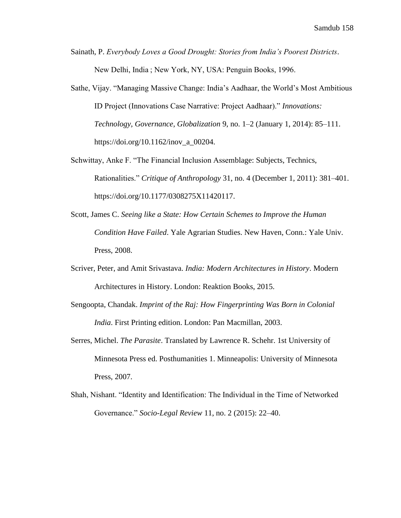- Sainath, P. *Everybody Loves a Good Drought: Stories from India's Poorest Districts*. New Delhi, India ; New York, NY, USA: Penguin Books, 1996.
- Sathe, Vijay. "Managing Massive Change: India's Aadhaar, the World's Most Ambitious ID Project (Innovations Case Narrative: Project Aadhaar)." *Innovations: Technology, Governance, Globalization* 9, no. 1–2 (January 1, 2014): 85–111. https://doi.org/10.1162/inov\_a\_00204.
- Schwittay, Anke F. "The Financial Inclusion Assemblage: Subjects, Technics, Rationalities." *Critique of Anthropology* 31, no. 4 (December 1, 2011): 381–401. https://doi.org/10.1177/0308275X11420117.
- Scott, James C. *Seeing like a State: How Certain Schemes to Improve the Human Condition Have Failed*. Yale Agrarian Studies. New Haven, Conn.: Yale Univ. Press, 2008.
- Scriver, Peter, and Amit Srivastava. *India: Modern Architectures in History*. Modern Architectures in History. London: Reaktion Books, 2015.
- Sengoopta, Chandak. *Imprint of the Raj: How Fingerprinting Was Born in Colonial India*. First Printing edition. London: Pan Macmillan, 2003.
- Serres, Michel. *The Parasite*. Translated by Lawrence R. Schehr. 1st University of Minnesota Press ed. Posthumanities 1. Minneapolis: University of Minnesota Press, 2007.
- Shah, Nishant. "Identity and Identification: The Individual in the Time of Networked Governance." *Socio-Legal Review* 11, no. 2 (2015): 22–40.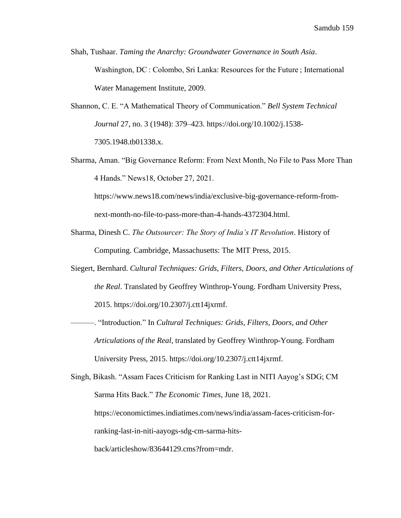- Shah, Tushaar. *Taming the Anarchy: Groundwater Governance in South Asia*. Washington, DC : Colombo, Sri Lanka: Resources for the Future ; International Water Management Institute, 2009.
- Shannon, C. E. "A Mathematical Theory of Communication." *Bell System Technical Journal* 27, no. 3 (1948): 379–423. https://doi.org/10.1002/j.1538- 7305.1948.tb01338.x.
- Sharma, Aman. "Big Governance Reform: From Next Month, No File to Pass More Than 4 Hands." News18, October 27, 2021.

https://www.news18.com/news/india/exclusive-big-governance-reform-fromnext-month-no-file-to-pass-more-than-4-hands-4372304.html.

- Sharma, Dinesh C. *The Outsourcer: The Story of India's IT Revolution*. History of Computing. Cambridge, Massachusetts: The MIT Press, 2015.
- Siegert, Bernhard. *Cultural Techniques: Grids, Filters, Doors, and Other Articulations of the Real*. Translated by Geoffrey Winthrop-Young. Fordham University Press, 2015. https://doi.org/10.2307/j.ctt14jxrmf.
	- ———. "Introduction." In *Cultural Techniques: Grids, Filters, Doors, and Other Articulations of the Real*, translated by Geoffrey Winthrop-Young. Fordham University Press, 2015. https://doi.org/10.2307/j.ctt14jxrmf.

Singh, Bikash. "Assam Faces Criticism for Ranking Last in NITI Aayog's SDG; CM Sarma Hits Back." *The Economic Times*, June 18, 2021. https://economictimes.indiatimes.com/news/india/assam-faces-criticism-forranking-last-in-niti-aayogs-sdg-cm-sarma-hitsback/articleshow/83644129.cms?from=mdr.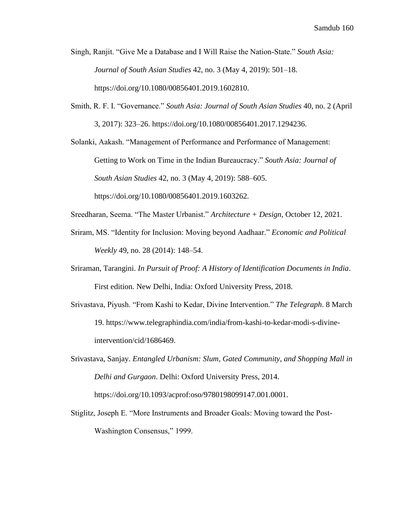Singh, Ranjit. "Give Me a Database and I Will Raise the Nation-State." *South Asia: Journal of South Asian Studies* 42, no. 3 (May 4, 2019): 501–18. https://doi.org/10.1080/00856401.2019.1602810.

Smith, R. F. I. "Governance." *South Asia: Journal of South Asian Studies* 40, no. 2 (April 3, 2017): 323–26. https://doi.org/10.1080/00856401.2017.1294236.

Solanki, Aakash. "Management of Performance and Performance of Management: Getting to Work on Time in the Indian Bureaucracy." *South Asia: Journal of South Asian Studies* 42, no. 3 (May 4, 2019): 588–605. https://doi.org/10.1080/00856401.2019.1603262.

Sreedharan, Seema. "The Master Urbanist." *Architecture + Design*, October 12, 2021.

- Sriram, MS. "Identity for Inclusion: Moving beyond Aadhaar." *Economic and Political Weekly* 49, no. 28 (2014): 148–54.
- Sriraman, Tarangini. *In Pursuit of Proof: A History of Identification Documents in India*. First edition. New Delhi, India: Oxford University Press, 2018.
- Srivastava, Piyush. "From Kashi to Kedar, Divine Intervention." *The Telegraph*. 8 March 19. https://www.telegraphindia.com/india/from-kashi-to-kedar-modi-s-divineintervention/cid/1686469.
- Srivastava, Sanjay. *Entangled Urbanism: Slum, Gated Community, and Shopping Mall in Delhi and Gurgaon*. Delhi: Oxford University Press, 2014. https://doi.org/10.1093/acprof:oso/9780198099147.001.0001.
- Stiglitz, Joseph E. "More Instruments and Broader Goals: Moving toward the Post-Washington Consensus," 1999.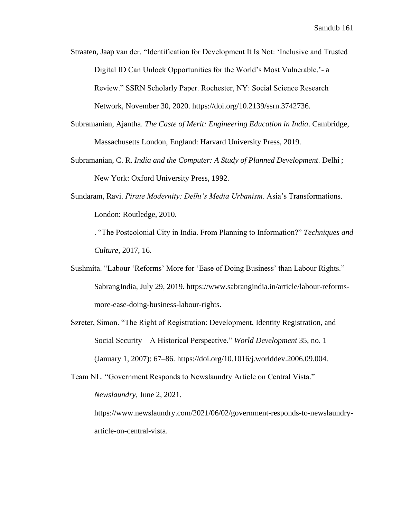Straaten, Jaap van der. "Identification for Development It Is Not: 'Inclusive and Trusted Digital ID Can Unlock Opportunities for the World's Most Vulnerable.'- a Review." SSRN Scholarly Paper. Rochester, NY: Social Science Research Network, November 30, 2020. https://doi.org/10.2139/ssrn.3742736.

- Subramanian, Ajantha. *The Caste of Merit: Engineering Education in India*. Cambridge, Massachusetts London, England: Harvard University Press, 2019.
- Subramanian, C. R. *India and the Computer: A Study of Planned Development*. Delhi ; New York: Oxford University Press, 1992.
- Sundaram, Ravi. *Pirate Modernity: Delhi's Media Urbanism*. Asia's Transformations. London: Routledge, 2010.
- ———. "The Postcolonial City in India. From Planning to Information?" *Techniques and Culture*, 2017, 16.
- Sushmita. "Labour 'Reforms' More for 'Ease of Doing Business' than Labour Rights." SabrangIndia, July 29, 2019. https://www.sabrangindia.in/article/labour-reformsmore-ease-doing-business-labour-rights.
- Szreter, Simon. "The Right of Registration: Development, Identity Registration, and Social Security—A Historical Perspective." *World Development* 35, no. 1 (January 1, 2007): 67–86. https://doi.org/10.1016/j.worlddev.2006.09.004.

Team NL. "Government Responds to Newslaundry Article on Central Vista." *Newslaundry*, June 2, 2021.

https://www.newslaundry.com/2021/06/02/government-responds-to-newslaundryarticle-on-central-vista.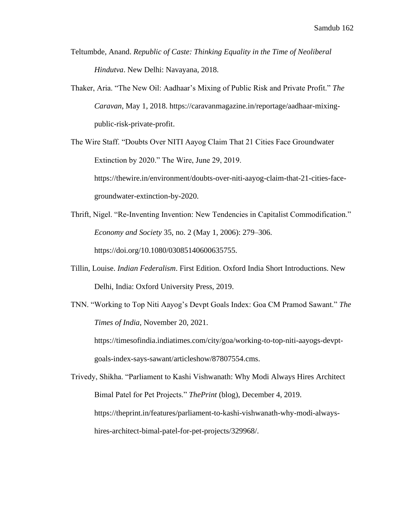- Teltumbde, Anand. *Republic of Caste: Thinking Equality in the Time of Neoliberal Hindutva*. New Delhi: Navayana, 2018.
- Thaker, Aria. "The New Oil: Aadhaar's Mixing of Public Risk and Private Profit." *The Caravan*, May 1, 2018. https://caravanmagazine.in/reportage/aadhaar-mixingpublic-risk-private-profit.

The Wire Staff. "Doubts Over NITI Aayog Claim That 21 Cities Face Groundwater Extinction by 2020." The Wire, June 29, 2019. https://thewire.in/environment/doubts-over-niti-aayog-claim-that-21-cities-facegroundwater-extinction-by-2020.

- Thrift, Nigel. "Re-Inventing Invention: New Tendencies in Capitalist Commodification." *Economy and Society* 35, no. 2 (May 1, 2006): 279–306. https://doi.org/10.1080/03085140600635755.
- Tillin, Louise. *Indian Federalism*. First Edition. Oxford India Short Introductions. New Delhi, India: Oxford University Press, 2019.
- TNN. "Working to Top Niti Aayog's Devpt Goals Index: Goa CM Pramod Sawant." *The Times of India*, November 20, 2021.

https://timesofindia.indiatimes.com/city/goa/working-to-top-niti-aayogs-devptgoals-index-says-sawant/articleshow/87807554.cms.

Trivedy, Shikha. "Parliament to Kashi Vishwanath: Why Modi Always Hires Architect Bimal Patel for Pet Projects." *ThePrint* (blog), December 4, 2019. https://theprint.in/features/parliament-to-kashi-vishwanath-why-modi-alwayshires-architect-bimal-patel-for-pet-projects/329968/.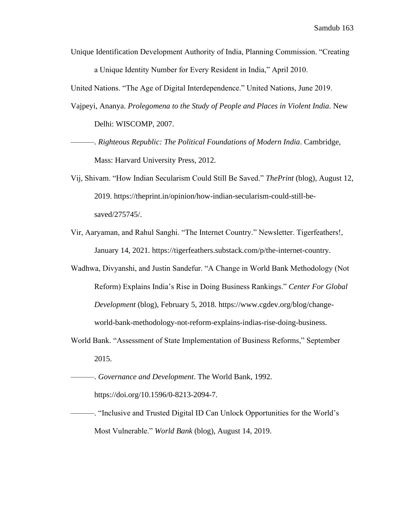Unique Identification Development Authority of India, Planning Commission. "Creating

a Unique Identity Number for Every Resident in India," April 2010.

United Nations. "The Age of Digital Interdependence." United Nations, June 2019.

- Vajpeyi, Ananya. *Prolegomena to the Study of People and Places in Violent India*. New Delhi: WISCOMP, 2007.
- ———. *Righteous Republic: The Political Foundations of Modern India*. Cambridge, Mass: Harvard University Press, 2012.
- Vij, Shivam. "How Indian Secularism Could Still Be Saved." *ThePrint* (blog), August 12, 2019. https://theprint.in/opinion/how-indian-secularism-could-still-besaved/275745/.
- Vir, Aaryaman, and Rahul Sanghi. "The Internet Country." Newsletter. Tigerfeathers!, January 14, 2021. https://tigerfeathers.substack.com/p/the-internet-country.
- Wadhwa, Divyanshi, and Justin Sandefur. "A Change in World Bank Methodology (Not Reform) Explains India's Rise in Doing Business Rankings." *Center For Global Development* (blog), February 5, 2018. https://www.cgdev.org/blog/changeworld-bank-methodology-not-reform-explains-indias-rise-doing-business.
- World Bank. "Assessment of State Implementation of Business Reforms," September 2015.
- ———. *Governance and Development*. The World Bank, 1992. https://doi.org/10.1596/0-8213-2094-7.
- ———. "Inclusive and Trusted Digital ID Can Unlock Opportunities for the World's Most Vulnerable." *World Bank* (blog), August 14, 2019.